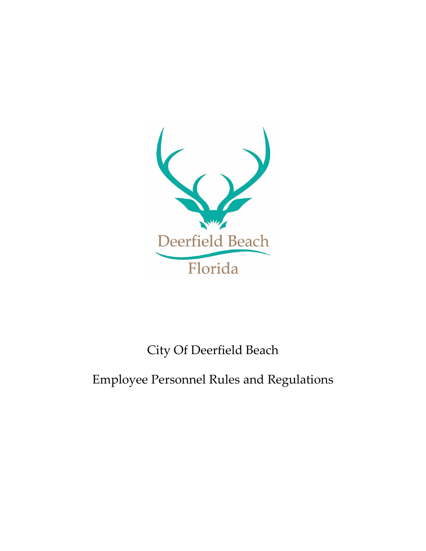

# City Of Deerfield Beach

## Employee Personnel Rules and Regulations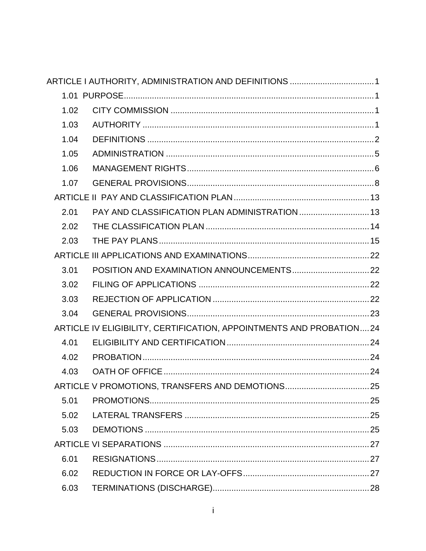|      | ARTICLE I AUTHORITY, ADMINISTRATION AND DEFINITIONS  1              |  |
|------|---------------------------------------------------------------------|--|
|      |                                                                     |  |
| 1.02 |                                                                     |  |
| 1.03 |                                                                     |  |
| 1.04 |                                                                     |  |
| 1.05 |                                                                     |  |
| 1.06 |                                                                     |  |
| 1.07 |                                                                     |  |
|      |                                                                     |  |
| 2.01 |                                                                     |  |
| 2.02 |                                                                     |  |
| 2.03 |                                                                     |  |
|      |                                                                     |  |
| 3.01 |                                                                     |  |
| 3.02 |                                                                     |  |
| 3.03 |                                                                     |  |
| 3.04 |                                                                     |  |
|      | ARTICLE IV ELIGIBILITY, CERTIFICATION, APPOINTMENTS AND PROBATION24 |  |
| 4.01 |                                                                     |  |
| 4.02 |                                                                     |  |
| 4.03 |                                                                     |  |
|      |                                                                     |  |
| 5.01 |                                                                     |  |
| 5.02 |                                                                     |  |
| 5.03 |                                                                     |  |
|      |                                                                     |  |
| 6.01 |                                                                     |  |
| 6.02 |                                                                     |  |
| 6.03 |                                                                     |  |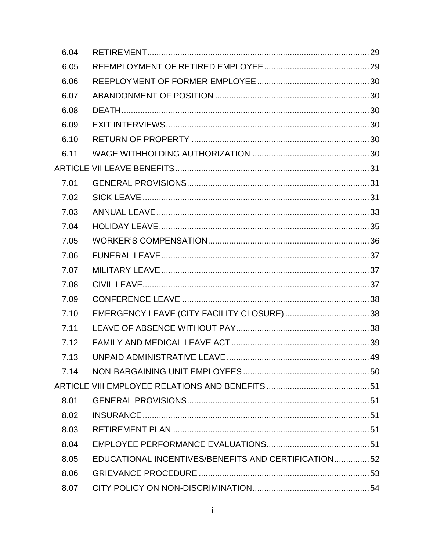| 6.04 |                                                     |  |
|------|-----------------------------------------------------|--|
| 6.05 |                                                     |  |
| 6.06 |                                                     |  |
| 6.07 |                                                     |  |
| 6.08 |                                                     |  |
| 6.09 |                                                     |  |
| 6.10 |                                                     |  |
| 6.11 |                                                     |  |
|      |                                                     |  |
| 7.01 |                                                     |  |
| 7.02 |                                                     |  |
| 7.03 |                                                     |  |
| 7.04 |                                                     |  |
| 7.05 |                                                     |  |
| 7.06 |                                                     |  |
| 7.07 |                                                     |  |
| 7.08 |                                                     |  |
| 7.09 |                                                     |  |
| 7.10 |                                                     |  |
| 7.11 |                                                     |  |
| 7.12 |                                                     |  |
| 7 13 |                                                     |  |
| 7.14 |                                                     |  |
|      |                                                     |  |
| 8.01 |                                                     |  |
| 8.02 |                                                     |  |
| 8.03 |                                                     |  |
| 8.04 |                                                     |  |
| 8.05 | EDUCATIONAL INCENTIVES/BENEFITS AND CERTIFICATION52 |  |
| 8.06 |                                                     |  |
| 8.07 |                                                     |  |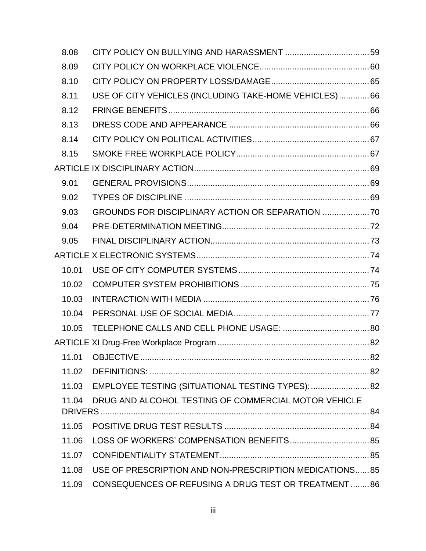| 8.08  |                                                         |     |
|-------|---------------------------------------------------------|-----|
| 8.09  |                                                         |     |
| 8.10  |                                                         |     |
| 8.11  | USE OF CITY VEHICLES (INCLUDING TAKE-HOME VEHICLES) 66  |     |
| 8.12  |                                                         |     |
| 8.13  |                                                         |     |
| 8.14  |                                                         |     |
| 8.15  |                                                         |     |
|       |                                                         |     |
| 9.01  |                                                         |     |
| 9.02  |                                                         |     |
| 9.03  | GROUNDS FOR DISCIPLINARY ACTION OR SEPARATION           |     |
| 9.04  |                                                         |     |
| 9.05  |                                                         |     |
|       |                                                         |     |
| 10.01 |                                                         |     |
| 10.02 |                                                         |     |
| 10.03 |                                                         |     |
| 10.04 |                                                         |     |
| 10.05 |                                                         |     |
|       |                                                         |     |
|       | 11.01 OBJECTIVE                                         | .82 |
| 11.02 |                                                         |     |
|       | 11.03 EMPLOYEE TESTING (SITUATIONAL TESTING TYPES):  82 |     |
| 11.04 | DRUG AND ALCOHOL TESTING OF COMMERCIAL MOTOR VEHICLE    |     |
|       |                                                         |     |
| 11.05 |                                                         |     |
| 11.06 | LOSS OF WORKERS' COMPENSATION BENEFITS 85               |     |
| 11.07 |                                                         |     |
| 11.08 | USE OF PRESCRIPTION AND NON-PRESCRIPTION MEDICATIONS85  |     |
| 11.09 | CONSEQUENCES OF REFUSING A DRUG TEST OR TREATMENT86     |     |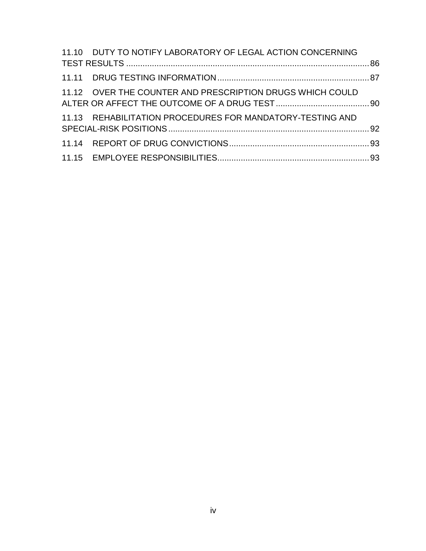| 11.10 DUTY TO NOTIFY LABORATORY OF LEGAL ACTION CONCERNING |  |
|------------------------------------------------------------|--|
|                                                            |  |
| 11.12 OVER THE COUNTER AND PRESCRIPTION DRUGS WHICH COULD  |  |
| 11.13 REHABILITATION PROCEDURES FOR MANDATORY-TESTING AND  |  |
|                                                            |  |
|                                                            |  |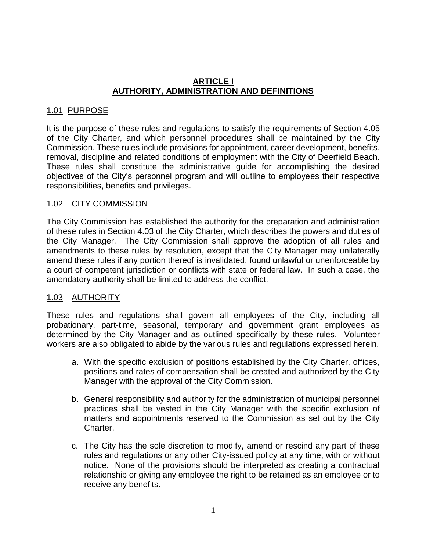#### **ARTICLE I AUTHORITY, ADMINISTRATION AND DEFINITIONS**

#### 1.01 PURPOSE

It is the purpose of these rules and regulations to satisfy the requirements of Section 4.05 of the City Charter, and which personnel procedures shall be maintained by the City Commission. These rules include provisions for appointment, career development, benefits, removal, discipline and related conditions of employment with the City of Deerfield Beach. These rules shall constitute the administrative guide for accomplishing the desired objectives of the City's personnel program and will outline to employees their respective responsibilities, benefits and privileges.

#### 1.02 CITY COMMISSION

The City Commission has established the authority for the preparation and administration of these rules in Section 4.03 of the City Charter, which describes the powers and duties of the City Manager. The City Commission shall approve the adoption of all rules and amendments to these rules by resolution, except that the City Manager may unilaterally amend these rules if any portion thereof is invalidated, found unlawful or unenforceable by a court of competent jurisdiction or conflicts with state or federal law. In such a case, the amendatory authority shall be limited to address the conflict.

#### 1.03 AUTHORITY

These rules and regulations shall govern all employees of the City, including all probationary, part-time, seasonal, temporary and government grant employees as determined by the City Manager and as outlined specifically by these rules. Volunteer workers are also obligated to abide by the various rules and regulations expressed herein.

- a. With the specific exclusion of positions established by the City Charter, offices, positions and rates of compensation shall be created and authorized by the City Manager with the approval of the City Commission.
- b. General responsibility and authority for the administration of municipal personnel practices shall be vested in the City Manager with the specific exclusion of matters and appointments reserved to the Commission as set out by the City Charter.
- c. The City has the sole discretion to modify, amend or rescind any part of these rules and regulations or any other City-issued policy at any time, with or without notice. None of the provisions should be interpreted as creating a contractual relationship or giving any employee the right to be retained as an employee or to receive any benefits.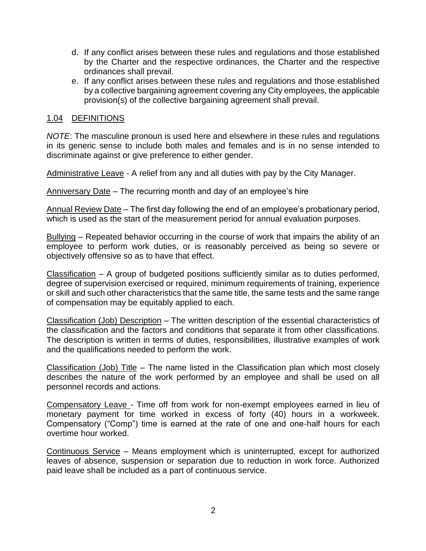- d. If any conflict arises between these rules and regulations and those established by the Charter and the respective ordinances, the Charter and the respective ordinances shall prevail.
- e. If any conflict arises between these rules and regulations and those established by a collective bargaining agreement covering any City employees, the applicable provision(s) of the collective bargaining agreement shall prevail.

#### 1.04 DEFINITIONS

*NOTE*: The masculine pronoun is used here and elsewhere in these rules and regulations in its generic sense to include both males and females and is in no sense intended to discriminate against or give preference to either gender.

Administrative Leave - A relief from any and all duties with pay by the City Manager.

Anniversary Date – The recurring month and day of an employee's hire

Annual Review Date – The first day following the end of an employee's probationary period, which is used as the start of the measurement period for annual evaluation purposes.

Bullying – Repeated behavior occurring in the course of work that impairs the ability of an employee to perform work duties, or is reasonably perceived as being so severe or objectively offensive so as to have that effect.

Classification – A group of budgeted positions sufficiently similar as to duties performed, degree of supervision exercised or required, minimum requirements of training, experience or skill and such other characteristics that the same title, the same tests and the same range of compensation may be equitably applied to each.

Classification (Job) Description – The written description of the essential characteristics of the classification and the factors and conditions that separate it from other classifications. The description is written in terms of duties, responsibilities, illustrative examples of work and the qualifications needed to perform the work.

Classification (Job) Title – The name listed in the Classification plan which most closely describes the nature of the work performed by an employee and shall be used on all personnel records and actions.

Compensatory Leave - Time off from work for non-exempt employees earned in lieu of monetary payment for time worked in excess of forty (40) hours in a workweek. Compensatory ("Comp") time is earned at the rate of one and one-half hours for each overtime hour worked.

Continuous Service – Means employment which is uninterrupted, except for authorized leaves of absence, suspension or separation due to reduction in work force. Authorized paid leave shall be included as a part of continuous service.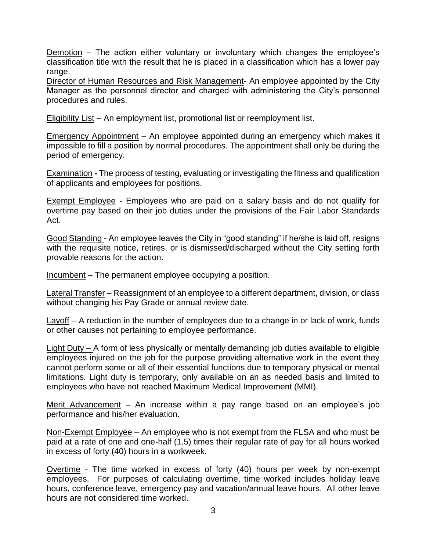Demotion – The action either voluntary or involuntary which changes the employee's classification title with the result that he is placed in a classification which has a lower pay range.

Director of Human Resources and Risk Management- An employee appointed by the City Manager as the personnel director and charged with administering the City's personnel procedures and rules.

Eligibility List – An employment list, promotional list or reemployment list.

Emergency Appointment – An employee appointed during an emergency which makes it impossible to fill a position by normal procedures. The appointment shall only be during the period of emergency.

Examination **-** The process of testing, evaluating or investigating the fitness and qualification of applicants and employees for positions.

Exempt Employee - Employees who are paid on a salary basis and do not qualify for overtime pay based on their job duties under the provisions of the Fair Labor Standards Act.

Good Standing - An employee leaves the City in "good standing" if he/she is laid off, resigns with the requisite notice, retires, or is dismissed/discharged without the City setting forth provable reasons for the action.

Incumbent – The permanent employee occupying a position.

Lateral Transfer – Reassignment of an employee to a different department, division, or class without changing his Pay Grade or annual review date.

Layoff – A reduction in the number of employees due to a change in or lack of work, funds or other causes not pertaining to employee performance.

Light Duty – A form of less physically or mentally demanding job duties available to eligible employees injured on the job for the purpose providing alternative work in the event they cannot perform some or all of their essential functions due to temporary physical or mental limitations. Light duty is temporary, only available on an as needed basis and limited to employees who have not reached Maximum Medical Improvement (MMI).

Merit Advancement – An increase within a pay range based on an employee's job performance and his/her evaluation.

Non-Exempt Employee – An employee who is not exempt from the FLSA and who must be paid at a rate of one and one-half (1.5) times their regular rate of pay for all hours worked in excess of forty (40) hours in a workweek.

Overtime - The time worked in excess of forty (40) hours per week by non-exempt employees. For purposes of calculating overtime, time worked includes holiday leave hours, conference leave, emergency pay and vacation/annual leave hours. All other leave hours are not considered time worked.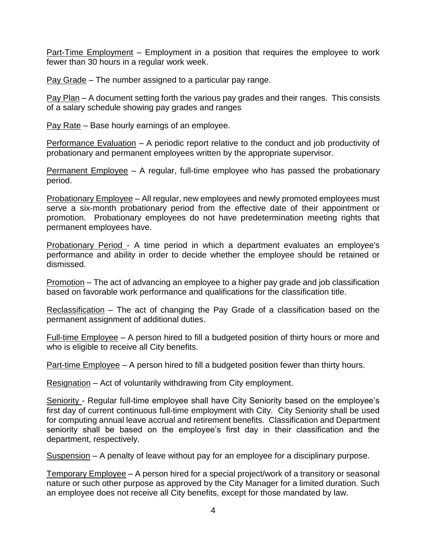Part-Time Employment – Employment in a position that requires the employee to work fewer than 30 hours in a regular work week.

Pay Grade – The number assigned to a particular pay range.

Pay Plan – A document setting forth the various pay grades and their ranges. This consists of a salary schedule showing pay grades and ranges

Pay Rate – Base hourly earnings of an employee.

Performance Evaluation – A periodic report relative to the conduct and job productivity of probationary and permanent employees written by the appropriate supervisor.

Permanent Employee – A regular, full-time employee who has passed the probationary period.

Probationary Employee – All regular, new employees and newly promoted employees must serve a six-month probationary period from the effective date of their appointment or promotion. Probationary employees do not have predetermination meeting rights that permanent employees have.

Probationary Period - A time period in which a department evaluates an employee's performance and ability in order to decide whether the employee should be retained or dismissed.

Promotion – The act of advancing an employee to a higher pay grade and job classification based on favorable work performance and qualifications for the classification title.

Reclassification – The act of changing the Pay Grade of a classification based on the permanent assignment of additional duties.

Full-time Employee – A person hired to fill a budgeted position of thirty hours or more and who is eligible to receive all City benefits.

Part-time Employee – A person hired to fill a budgeted position fewer than thirty hours.

Resignation – Act of voluntarily withdrawing from City employment.

Seniority - Regular full-time employee shall have City Seniority based on the employee's first day of current continuous full-time employment with City. City Seniority shall be used for computing annual leave accrual and retirement benefits. Classification and Department seniority shall be based on the employee's first day in their classification and the department, respectively.

Suspension – A penalty of leave without pay for an employee for a disciplinary purpose.

Temporary Employee – A person hired for a special project/work of a transitory or seasonal nature or such other purpose as approved by the City Manager for a limited duration. Such an employee does not receive all City benefits, except for those mandated by law.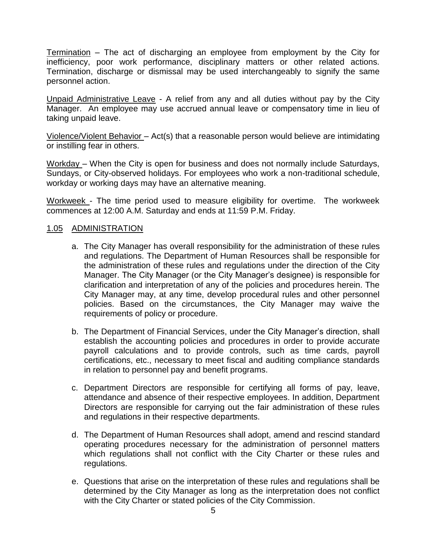Termination – The act of discharging an employee from employment by the City for inefficiency, poor work performance, disciplinary matters or other related actions. Termination, discharge or dismissal may be used interchangeably to signify the same personnel action.

Unpaid Administrative Leave - A relief from any and all duties without pay by the City Manager. An employee may use accrued annual leave or compensatory time in lieu of taking unpaid leave.

Violence/Violent Behavior – Act(s) that a reasonable person would believe are intimidating or instilling fear in others.

Workday – When the City is open for business and does not normally include Saturdays, Sundays, or City-observed holidays. For employees who work a non-traditional schedule, workday or working days may have an alternative meaning.

Workweek - The time period used to measure eligibility for overtime. The workweek commences at 12:00 A.M. Saturday and ends at 11:59 P.M. Friday.

#### 1.05 ADMINISTRATION

- a. The City Manager has overall responsibility for the administration of these rules and regulations. The Department of Human Resources shall be responsible for the administration of these rules and regulations under the direction of the City Manager. The City Manager (or the City Manager's designee) is responsible for clarification and interpretation of any of the policies and procedures herein. The City Manager may, at any time, develop procedural rules and other personnel policies. Based on the circumstances, the City Manager may waive the requirements of policy or procedure.
- b. The Department of Financial Services, under the City Manager's direction, shall establish the accounting policies and procedures in order to provide accurate payroll calculations and to provide controls, such as time cards, payroll certifications, etc., necessary to meet fiscal and auditing compliance standards in relation to personnel pay and benefit programs.
- c. Department Directors are responsible for certifying all forms of pay, leave, attendance and absence of their respective employees. In addition, Department Directors are responsible for carrying out the fair administration of these rules and regulations in their respective departments.
- d. The Department of Human Resources shall adopt, amend and rescind standard operating procedures necessary for the administration of personnel matters which regulations shall not conflict with the City Charter or these rules and regulations.
- e. Questions that arise on the interpretation of these rules and regulations shall be determined by the City Manager as long as the interpretation does not conflict with the City Charter or stated policies of the City Commission.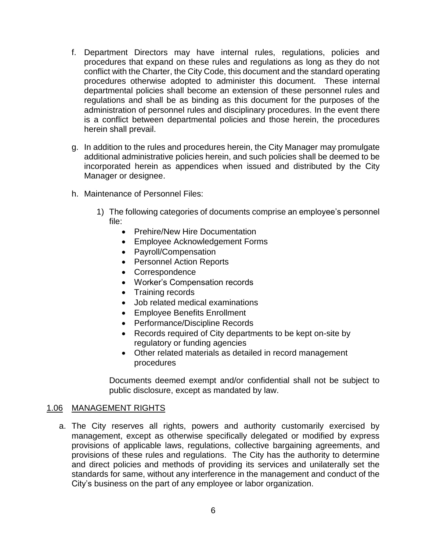- f. Department Directors may have internal rules, regulations, policies and procedures that expand on these rules and regulations as long as they do not conflict with the Charter, the City Code, this document and the standard operating procedures otherwise adopted to administer this document. These internal departmental policies shall become an extension of these personnel rules and regulations and shall be as binding as this document for the purposes of the administration of personnel rules and disciplinary procedures. In the event there is a conflict between departmental policies and those herein, the procedures herein shall prevail.
- g. In addition to the rules and procedures herein, the City Manager may promulgate additional administrative policies herein, and such policies shall be deemed to be incorporated herein as appendices when issued and distributed by the City Manager or designee.
- h. Maintenance of Personnel Files:
	- 1) The following categories of documents comprise an employee's personnel file:
		- Prehire/New Hire Documentation
		- Employee Acknowledgement Forms
		- Payroll/Compensation
		- Personnel Action Reports
		- Correspondence
		- Worker's Compensation records
		- Training records
		- Job related medical examinations
		- Employee Benefits Enrollment
		- Performance/Discipline Records
		- Records required of City departments to be kept on-site by regulatory or funding agencies
		- Other related materials as detailed in record management procedures

Documents deemed exempt and/or confidential shall not be subject to public disclosure, except as mandated by law.

#### 1.06 MANAGEMENT RIGHTS

a. The City reserves all rights, powers and authority customarily exercised by management, except as otherwise specifically delegated or modified by express provisions of applicable laws, regulations, collective bargaining agreements, and provisions of these rules and regulations. The City has the authority to determine and direct policies and methods of providing its services and unilaterally set the standards for same, without any interference in the management and conduct of the City's business on the part of any employee or labor organization.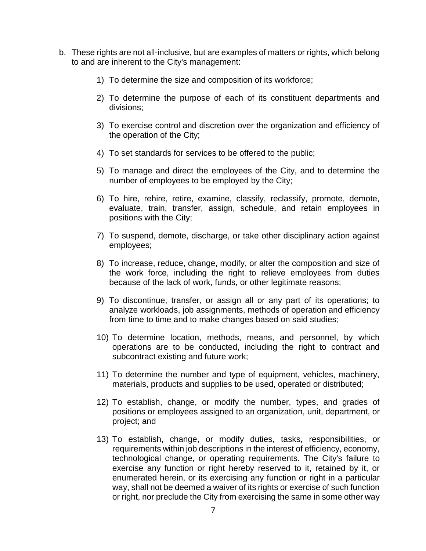- b. These rights are not all-inclusive, but are examples of matters or rights, which belong to and are inherent to the City's management:
	- 1) To determine the size and composition of its workforce;
	- 2) To determine the purpose of each of its constituent departments and divisions;
	- 3) To exercise control and discretion over the organization and efficiency of the operation of the City;
	- 4) To set standards for services to be offered to the public;
	- 5) To manage and direct the employees of the City, and to determine the number of employees to be employed by the City;
	- 6) To hire, rehire, retire, examine, classify, reclassify, promote, demote, evaluate, train, transfer, assign, schedule, and retain employees in positions with the City;
	- 7) To suspend, demote, discharge, or take other disciplinary action against employees;
	- 8) To increase, reduce, change, modify, or alter the composition and size of the work force, including the right to relieve employees from duties because of the lack of work, funds, or other legitimate reasons;
	- 9) To discontinue, transfer, or assign all or any part of its operations; to analyze workloads, job assignments, methods of operation and efficiency from time to time and to make changes based on said studies;
	- 10) To determine location, methods, means, and personnel, by which operations are to be conducted, including the right to contract and subcontract existing and future work;
	- 11) To determine the number and type of equipment, vehicles, machinery, materials, products and supplies to be used, operated or distributed;
	- 12) To establish, change, or modify the number, types, and grades of positions or employees assigned to an organization, unit, department, or project; and
	- 13) To establish, change, or modify duties, tasks, responsibilities, or requirements within job descriptions in the interest of efficiency, economy, technological change, or operating requirements. The City's failure to exercise any function or right hereby reserved to it, retained by it, or enumerated herein, or its exercising any function or right in a particular way, shall not be deemed a waiver of its rights or exercise of such function or right, nor preclude the City from exercising the same in some other way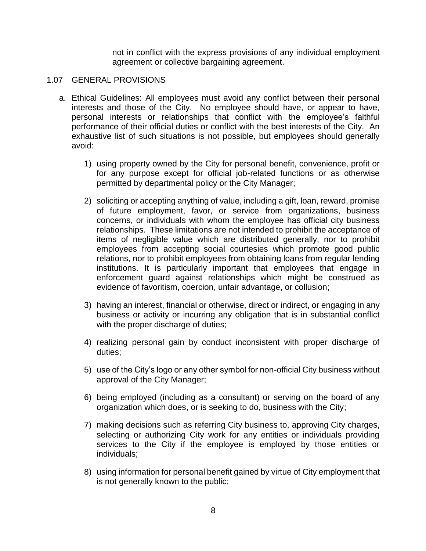not in conflict with the express provisions of any individual employment agreement or collective bargaining agreement.

#### 1.07 GENERAL PROVISIONS

- a. Ethical Guidelines: All employees must avoid any conflict between their personal interests and those of the City. No employee should have, or appear to have, personal interests or relationships that conflict with the employee's faithful performance of their official duties or conflict with the best interests of the City. An exhaustive list of such situations is not possible, but employees should generally avoid:
	- 1) using property owned by the City for personal benefit, convenience, profit or for any purpose except for official job-related functions or as otherwise permitted by departmental policy or the City Manager;
	- 2) soliciting or accepting anything of value, including a gift, loan, reward, promise of future employment, favor, or service from organizations, business concerns, or individuals with whom the employee has official city business relationships. These limitations are not intended to prohibit the acceptance of items of negligible value which are distributed generally, nor to prohibit employees from accepting social courtesies which promote good public relations, nor to prohibit employees from obtaining loans from regular lending institutions. It is particularly important that employees that engage in enforcement guard against relationships which might be construed as evidence of favoritism, coercion, unfair advantage, or collusion;
	- 3) having an interest, financial or otherwise, direct or indirect, or engaging in any business or activity or incurring any obligation that is in substantial conflict with the proper discharge of duties;
	- 4) realizing personal gain by conduct inconsistent with proper discharge of duties;
	- 5) use of the City's logo or any other symbol for non-official City business without approval of the City Manager;
	- 6) being employed (including as a consultant) or serving on the board of any organization which does, or is seeking to do, business with the City;
	- 7) making decisions such as referring City business to, approving City charges, selecting or authorizing City work for any entities or individuals providing services to the City if the employee is employed by those entities or individuals;
	- 8) using information for personal benefit gained by virtue of City employment that is not generally known to the public;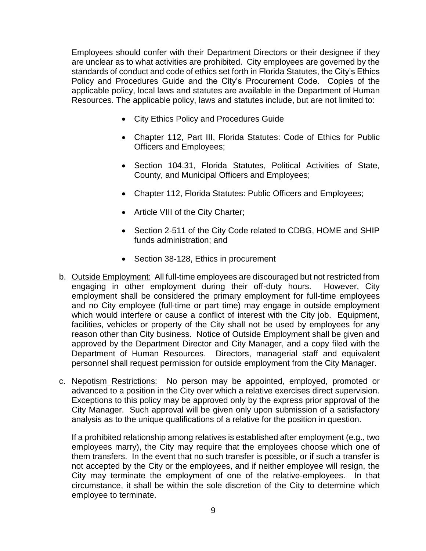Employees should confer with their Department Directors or their designee if they are unclear as to what activities are prohibited. City employees are governed by the standards of conduct and code of ethics set forth in Florida Statutes, the City's Ethics Policy and Procedures Guide and the City's Procurement Code. Copies of the applicable policy, local laws and statutes are available in the Department of Human Resources. The applicable policy, laws and statutes include, but are not limited to:

- City Ethics Policy and Procedures Guide
- Chapter 112, Part III, Florida Statutes: Code of Ethics for Public Officers and Employees;
- Section 104.31, Florida Statutes, Political Activities of State, County, and Municipal Officers and Employees;
- Chapter 112, Florida Statutes: Public Officers and Employees;
- Article VIII of the City Charter;
- Section 2-511 of the City Code related to CDBG, HOME and SHIP funds administration; and
- Section 38-128, Ethics in procurement
- b. Outside Employment: All full-time employees are discouraged but not restricted from engaging in other employment during their off-duty hours. However, City employment shall be considered the primary employment for full-time employees and no City employee (full-time or part time) may engage in outside employment which would interfere or cause a conflict of interest with the City job. Equipment, facilities, vehicles or property of the City shall not be used by employees for any reason other than City business. Notice of Outside Employment shall be given and approved by the Department Director and City Manager, and a copy filed with the Department of Human Resources. Directors, managerial staff and equivalent personnel shall request permission for outside employment from the City Manager.
- c. Nepotism Restrictions: No person may be appointed, employed, promoted or advanced to a position in the City over which a relative exercises direct supervision. Exceptions to this policy may be approved only by the express prior approval of the City Manager. Such approval will be given only upon submission of a satisfactory analysis as to the unique qualifications of a relative for the position in question.

If a prohibited relationship among relatives is established after employment (e.g., two employees marry), the City may require that the employees choose which one of them transfers. In the event that no such transfer is possible, or if such a transfer is not accepted by the City or the employees, and if neither employee will resign, the City may terminate the employment of one of the relative-employees. In that circumstance, it shall be within the sole discretion of the City to determine which employee to terminate.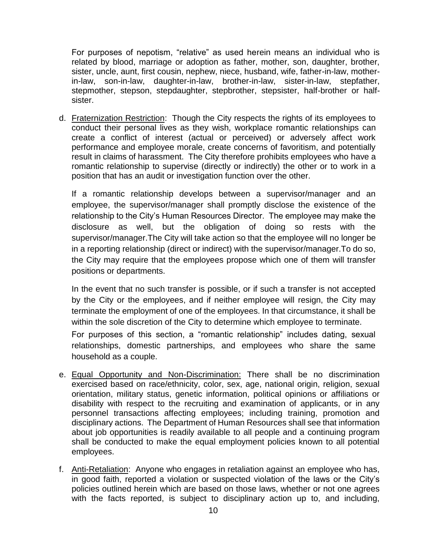For purposes of nepotism, "relative" as used herein means an individual who is related by blood, marriage or adoption as father, mother, son, daughter, brother, sister, uncle, aunt, first cousin, nephew, niece, husband, wife, father-in-law, motherin-law, son-in-law, daughter-in-law, brother-in-law, sister-in-law, stepfather, stepmother, stepson, stepdaughter, stepbrother, stepsister, half-brother or halfsister.

d. Fraternization Restriction: Though the City respects the rights of its employees to conduct their personal lives as they wish, workplace romantic relationships can create a conflict of interest (actual or perceived) or adversely affect work performance and employee morale, create concerns of favoritism, and potentially result in claims of harassment. The City therefore prohibits employees who have a romantic relationship to supervise (directly or indirectly) the other or to work in a position that has an audit or investigation function over the other.

If a romantic relationship develops between a supervisor/manager and an employee, the supervisor/manager shall promptly disclose the existence of the relationship to the City's Human Resources Director. The employee may make the disclosure as well, but the obligation of doing so rests with the supervisor/manager.The City will take action so that the employee will no longer be in a reporting relationship (direct or indirect) with the supervisor/manager.To do so, the City may require that the employees propose which one of them will transfer positions or departments.

In the event that no such transfer is possible, or if such a transfer is not accepted by the City or the employees, and if neither employee will resign, the City may terminate the employment of one of the employees. In that circumstance, it shall be within the sole discretion of the City to determine which employee to terminate.

For purposes of this section, a "romantic relationship" includes dating, sexual relationships, domestic partnerships, and employees who share the same household as a couple.

- e. Equal Opportunity and Non-Discrimination: There shall be no discrimination exercised based on race/ethnicity, color, sex, age, national origin, religion, sexual orientation, military status, genetic information, political opinions or affiliations or disability with respect to the recruiting and examination of applicants, or in any personnel transactions affecting employees; including training, promotion and disciplinary actions. The Department of Human Resources shall see that information about job opportunities is readily available to all people and a continuing program shall be conducted to make the equal employment policies known to all potential employees.
- f. Anti-Retaliation: Anyone who engages in retaliation against an employee who has, in good faith, reported a violation or suspected violation of the laws or the City's policies outlined herein which are based on those laws, whether or not one agrees with the facts reported, is subject to disciplinary action up to, and including,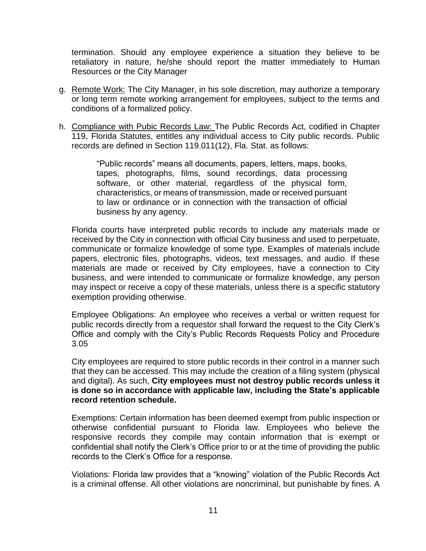termination. Should any employee experience a situation they believe to be retaliatory in nature, he/she should report the matter immediately to Human Resources or the City Manager

- g. Remote Work: The City Manager, in his sole discretion, may authorize a temporary or long term remote working arrangement for employees, subject to the terms and conditions of a formalized policy.
- h. Compliance with Pubic Records Law: The Public Records Act, codified in Chapter 119, Florida Statutes, entitles any individual access to City public records. Public records are defined in Section 119.011(12), Fla. Stat. as follows:

"Public records" means all documents, papers, letters, maps, books, tapes, photographs, films, sound recordings, data processing software, or other material, regardless of the physical form, characteristics, or means of transmission, made or received pursuant to law or ordinance or in connection with the transaction of official business by any agency.

Florida courts have interpreted public records to include any materials made or received by the City in connection with official City business and used to perpetuate, communicate or formalize knowledge of some type. Examples of materials include papers, electronic files, photographs, videos, text messages, and audio. If these materials are made or received by City employees, have a connection to City business, and were intended to communicate or formalize knowledge, any person may inspect or receive a copy of these materials, unless there is a specific statutory exemption providing otherwise.

Employee Obligations: An employee who receives a verbal or written request for public records directly from a requestor shall forward the request to the City Clerk's Office and comply with the City's Public Records Requests Policy and Procedure 3.05

City employees are required to store public records in their control in a manner such that they can be accessed. This may include the creation of a filing system (physical and digital). As such, **City employees must not destroy public records unless it is done so in accordance with applicable law, including the State's applicable record retention schedule.**

Exemptions: Certain information has been deemed exempt from public inspection or otherwise confidential pursuant to Florida law. Employees who believe the responsive records they compile may contain information that is exempt or confidential shall notify the Clerk's Office prior to or at the time of providing the public records to the Clerk's Office for a response.

Violations: Florida law provides that a "knowing" violation of the Public Records Act is a criminal offense. All other violations are noncriminal, but punishable by fines. A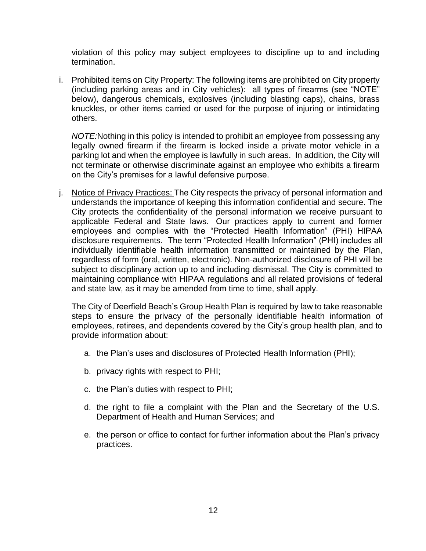violation of this policy may subject employees to discipline up to and including termination.

i. Prohibited items on City Property: The following items are prohibited on City property (including parking areas and in City vehicles): all types of firearms (see "NOTE" below), dangerous chemicals, explosives (including blasting caps), chains, brass knuckles, or other items carried or used for the purpose of injuring or intimidating others.

*NOTE:*Nothing in this policy is intended to prohibit an employee from possessing any legally owned firearm if the firearm is locked inside a private motor vehicle in a parking lot and when the employee is lawfully in such areas. In addition, the City will not terminate or otherwise discriminate against an employee who exhibits a firearm on the City's premises for a lawful defensive purpose.

j. Notice of Privacy Practices: The City respects the privacy of personal information and understands the importance of keeping this information confidential and secure. The City protects the confidentiality of the personal information we receive pursuant to applicable Federal and State laws. Our practices apply to current and former employees and complies with the "Protected Health Information" (PHI) HIPAA disclosure requirements. The term "Protected Health Information" (PHI) includes all individually identifiable health information transmitted or maintained by the Plan, regardless of form (oral, written, electronic). Non-authorized disclosure of PHI will be subject to disciplinary action up to and including dismissal. The City is committed to maintaining compliance with HIPAA regulations and all related provisions of federal and state law, as it may be amended from time to time, shall apply.

The City of Deerfield Beach's Group Health Plan is required by law to take reasonable steps to ensure the privacy of the personally identifiable health information of employees, retirees, and dependents covered by the City's group health plan, and to provide information about:

- a. the Plan's uses and disclosures of Protected Health Information (PHI);
- b. privacy rights with respect to PHI;
- c. the Plan's duties with respect to PHI;
- d. the right to file a complaint with the Plan and the Secretary of the U.S. Department of Health and Human Services; and
- e. the person or office to contact for further information about the Plan's privacy practices.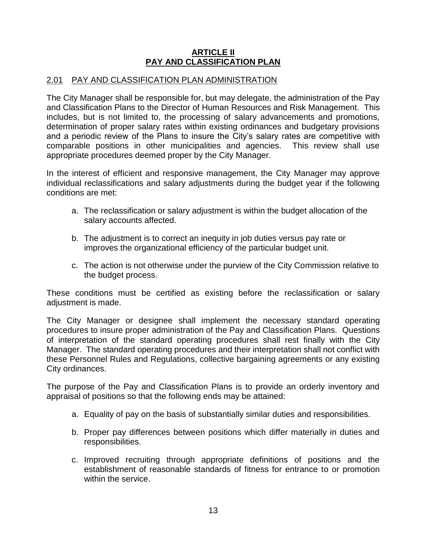#### **ARTICLE II PAY AND CLASSIFICATION PLAN**

#### 2.01 PAY AND CLASSIFICATION PLAN ADMINISTRATION

The City Manager shall be responsible for, but may delegate, the administration of the Pay and Classification Plans to the Director of Human Resources and Risk Management. This includes, but is not limited to, the processing of salary advancements and promotions, determination of proper salary rates within existing ordinances and budgetary provisions and a periodic review of the Plans to insure the City's salary rates are competitive with comparable positions in other municipalities and agencies. This review shall use appropriate procedures deemed proper by the City Manager.

In the interest of efficient and responsive management, the City Manager may approve individual reclassifications and salary adjustments during the budget year if the following conditions are met:

- a. The reclassification or salary adjustment is within the budget allocation of the salary accounts affected.
- b. The adjustment is to correct an inequity in job duties versus pay rate or improves the organizational efficiency of the particular budget unit.
- c. The action is not otherwise under the purview of the City Commission relative to the budget process.

These conditions must be certified as existing before the reclassification or salary adjustment is made.

The City Manager or designee shall implement the necessary standard operating procedures to insure proper administration of the Pay and Classification Plans. Questions of interpretation of the standard operating procedures shall rest finally with the City Manager. The standard operating procedures and their interpretation shall not conflict with these Personnel Rules and Regulations, collective bargaining agreements or any existing City ordinances.

The purpose of the Pay and Classification Plans is to provide an orderly inventory and appraisal of positions so that the following ends may be attained:

- a. Equality of pay on the basis of substantially similar duties and responsibilities.
- b. Proper pay differences between positions which differ materially in duties and responsibilities.
- c. Improved recruiting through appropriate definitions of positions and the establishment of reasonable standards of fitness for entrance to or promotion within the service.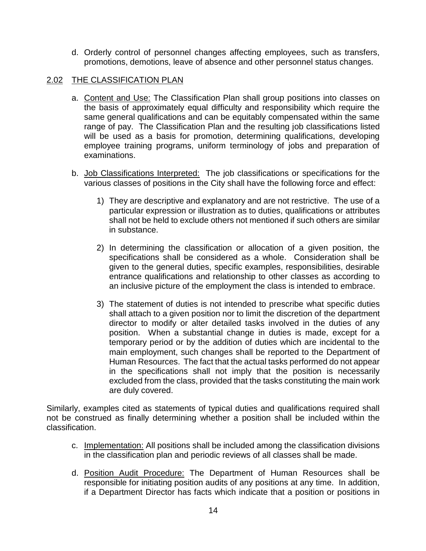d. Orderly control of personnel changes affecting employees, such as transfers, promotions, demotions, leave of absence and other personnel status changes.

#### 2.02 THE CLASSIFICATION PLAN

- a. Content and Use: The Classification Plan shall group positions into classes on the basis of approximately equal difficulty and responsibility which require the same general qualifications and can be equitably compensated within the same range of pay. The Classification Plan and the resulting job classifications listed will be used as a basis for promotion, determining qualifications, developing employee training programs, uniform terminology of jobs and preparation of examinations.
- b. Job Classifications Interpreted: The job classifications or specifications for the various classes of positions in the City shall have the following force and effect:
	- 1) They are descriptive and explanatory and are not restrictive. The use of a particular expression or illustration as to duties, qualifications or attributes shall not be held to exclude others not mentioned if such others are similar in substance.
	- 2) In determining the classification or allocation of a given position, the specifications shall be considered as a whole. Consideration shall be given to the general duties, specific examples, responsibilities, desirable entrance qualifications and relationship to other classes as according to an inclusive picture of the employment the class is intended to embrace.
	- 3) The statement of duties is not intended to prescribe what specific duties shall attach to a given position nor to limit the discretion of the department director to modify or alter detailed tasks involved in the duties of any position. When a substantial change in duties is made, except for a temporary period or by the addition of duties which are incidental to the main employment, such changes shall be reported to the Department of Human Resources. The fact that the actual tasks performed do not appear in the specifications shall not imply that the position is necessarily excluded from the class, provided that the tasks constituting the main work are duly covered.

Similarly, examples cited as statements of typical duties and qualifications required shall not be construed as finally determining whether a position shall be included within the classification.

- c. Implementation: All positions shall be included among the classification divisions in the classification plan and periodic reviews of all classes shall be made.
- d. Position Audit Procedure: The Department of Human Resources shall be responsible for initiating position audits of any positions at any time. In addition, if a Department Director has facts which indicate that a position or positions in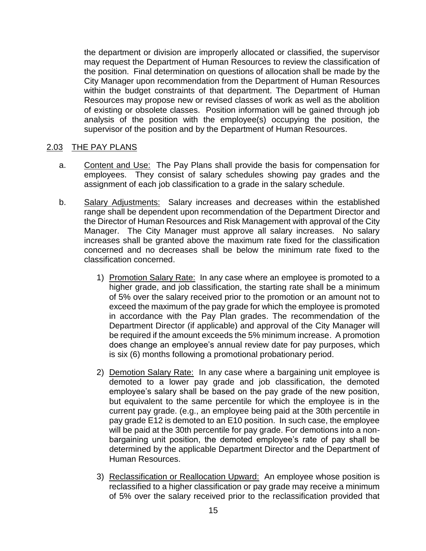the department or division are improperly allocated or classified, the supervisor may request the Department of Human Resources to review the classification of the position. Final determination on questions of allocation shall be made by the City Manager upon recommendation from the Department of Human Resources within the budget constraints of that department. The Department of Human Resources may propose new or revised classes of work as well as the abolition of existing or obsolete classes. Position information will be gained through job analysis of the position with the employee(s) occupying the position, the supervisor of the position and by the Department of Human Resources.

#### 2.03 THE PAY PLANS

- a. Content and Use: The Pay Plans shall provide the basis for compensation for employees. They consist of salary schedules showing pay grades and the assignment of each job classification to a grade in the salary schedule.
- b. Salary Adjustments: Salary increases and decreases within the established range shall be dependent upon recommendation of the Department Director and the Director of Human Resources and Risk Management with approval of the City Manager. The City Manager must approve all salary increases. No salary increases shall be granted above the maximum rate fixed for the classification concerned and no decreases shall be below the minimum rate fixed to the classification concerned.
	- 1) Promotion Salary Rate: In any case where an employee is promoted to a higher grade, and job classification, the starting rate shall be a minimum of 5% over the salary received prior to the promotion or an amount not to exceed the maximum of the pay grade for which the employee is promoted in accordance with the Pay Plan grades. The recommendation of the Department Director (if applicable) and approval of the City Manager will be required if the amount exceeds the 5% minimum increase. A promotion does change an employee's annual review date for pay purposes, which is six (6) months following a promotional probationary period.
	- 2) Demotion Salary Rate: In any case where a bargaining unit employee is demoted to a lower pay grade and job classification, the demoted employee's salary shall be based on the pay grade of the new position, but equivalent to the same percentile for which the employee is in the current pay grade. (e.g., an employee being paid at the 30th percentile in pay grade E12 is demoted to an E10 position. In such case, the employee will be paid at the 30th percentile for pay grade. For demotions into a nonbargaining unit position, the demoted employee's rate of pay shall be determined by the applicable Department Director and the Department of Human Resources.
	- 3) Reclassification or Reallocation Upward: An employee whose position is reclassified to a higher classification or pay grade may receive a minimum of 5% over the salary received prior to the reclassification provided that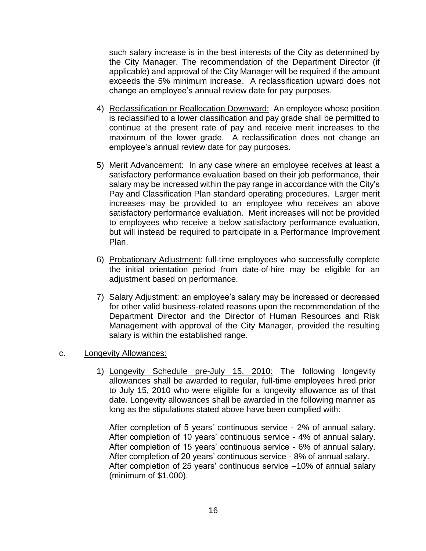such salary increase is in the best interests of the City as determined by the City Manager. The recommendation of the Department Director (if applicable) and approval of the City Manager will be required if the amount exceeds the 5% minimum increase. A reclassification upward does not change an employee's annual review date for pay purposes.

- 4) Reclassification or Reallocation Downward: An employee whose position is reclassified to a lower classification and pay grade shall be permitted to continue at the present rate of pay and receive merit increases to the maximum of the lower grade. A reclassification does not change an employee's annual review date for pay purposes.
- 5) Merit Advancement: In any case where an employee receives at least a satisfactory performance evaluation based on their job performance, their salary may be increased within the pay range in accordance with the City's Pay and Classification Plan standard operating procedures. Larger merit increases may be provided to an employee who receives an above satisfactory performance evaluation. Merit increases will not be provided to employees who receive a below satisfactory performance evaluation, but will instead be required to participate in a Performance Improvement Plan.
- 6) Probationary Adjustment: full-time employees who successfully complete the initial orientation period from date-of-hire may be eligible for an adjustment based on performance.
- 7) Salary Adjustment: an employee's salary may be increased or decreased for other valid business-related reasons upon the recommendation of the Department Director and the Director of Human Resources and Risk Management with approval of the City Manager, provided the resulting salary is within the established range.

#### c. Longevity Allowances:

1) Longevity Schedule pre-July 15, 2010: The following longevity allowances shall be awarded to regular, full-time employees hired prior to July 15, 2010 who were eligible for a longevity allowance as of that date. Longevity allowances shall be awarded in the following manner as long as the stipulations stated above have been complied with:

After completion of 5 years' continuous service - 2% of annual salary. After completion of 10 years' continuous service - 4% of annual salary. After completion of 15 years' continuous service - 6% of annual salary. After completion of 20 years' continuous service - 8% of annual salary. After completion of 25 years' continuous service –10% of annual salary (minimum of \$1,000).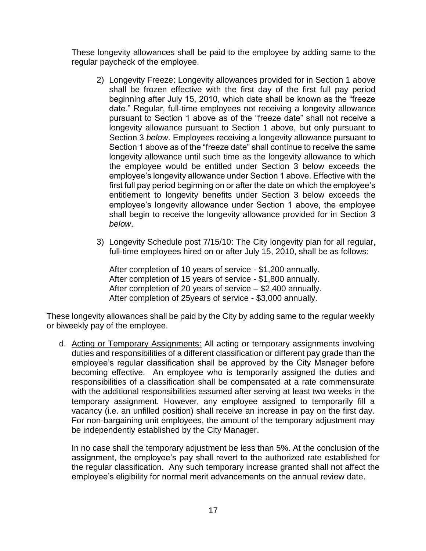These longevity allowances shall be paid to the employee by adding same to the regular paycheck of the employee.

- 2) Longevity Freeze: Longevity allowances provided for in Section 1 above shall be frozen effective with the first day of the first full pay period beginning after July 15, 2010, which date shall be known as the "freeze date." Regular, full-time employees not receiving a longevity allowance pursuant to Section 1 above as of the "freeze date" shall not receive a longevity allowance pursuant to Section 1 above, but only pursuant to Section 3 *below*. Employees receiving a longevity allowance pursuant to Section 1 above as of the "freeze date" shall continue to receive the same longevity allowance until such time as the longevity allowance to which the employee would be entitled under Section 3 below exceeds the employee's longevity allowance under Section 1 above. Effective with the first full pay period beginning on or after the date on which the employee's entitlement to longevity benefits under Section 3 below exceeds the employee's longevity allowance under Section 1 above, the employee shall begin to receive the longevity allowance provided for in Section 3 *below*.
- 3) Longevity Schedule post 7/15/10: The City longevity plan for all regular, full-time employees hired on or after July 15, 2010, shall be as follows:

After completion of 10 years of service - \$1,200 annually. After completion of 15 years of service - \$1,800 annually. After completion of 20 years of service – \$2,400 annually. After completion of 25years of service - \$3,000 annually.

These longevity allowances shall be paid by the City by adding same to the regular weekly or biweekly pay of the employee.

d. Acting or Temporary Assignments: All acting or temporary assignments involving duties and responsibilities of a different classification or different pay grade than the employee's regular classification shall be approved by the City Manager before becoming effective. An employee who is temporarily assigned the duties and responsibilities of a classification shall be compensated at a rate commensurate with the additional responsibilities assumed after serving at least two weeks in the temporary assignment. However, any employee assigned to temporarily fill a vacancy (i.e. an unfilled position) shall receive an increase in pay on the first day. For non-bargaining unit employees, the amount of the temporary adjustment may be independently established by the City Manager.

In no case shall the temporary adjustment be less than 5%. At the conclusion of the assignment, the employee's pay shall revert to the authorized rate established for the regular classification. Any such temporary increase granted shall not affect the employee's eligibility for normal merit advancements on the annual review date.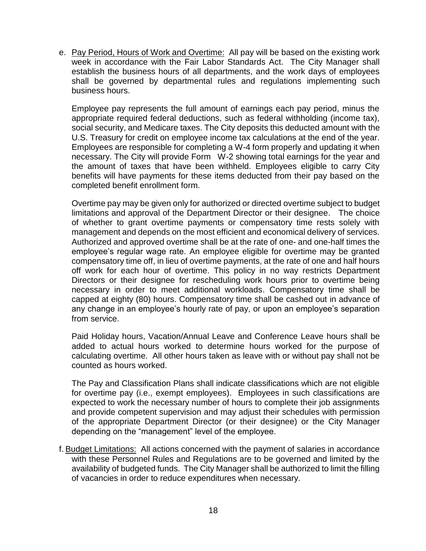e. Pay Period, Hours of Work and Overtime: All pay will be based on the existing work week in accordance with the Fair Labor Standards Act. The City Manager shall establish the business hours of all departments, and the work days of employees shall be governed by departmental rules and regulations implementing such business hours.

Employee pay represents the full amount of earnings each pay period, minus the appropriate required federal deductions, such as federal withholding (income tax), social security, and Medicare taxes. The City deposits this deducted amount with the U.S. Treasury for credit on employee income tax calculations at the end of the year. Employees are responsible for completing a W-4 form properly and updating it when necessary. The City will provide Form W-2 showing total earnings for the year and the amount of taxes that have been withheld. Employees eligible to carry City benefits will have payments for these items deducted from their pay based on the completed benefit enrollment form.

Overtime pay may be given only for authorized or directed overtime subject to budget limitations and approval of the Department Director or their designee. The choice of whether to grant overtime payments or compensatory time rests solely with management and depends on the most efficient and economical delivery of services. Authorized and approved overtime shall be at the rate of one- and one-half times the employee's regular wage rate. An employee eligible for overtime may be granted compensatory time off, in lieu of overtime payments, at the rate of one and half hours off work for each hour of overtime. This policy in no way restricts Department Directors or their designee for rescheduling work hours prior to overtime being necessary in order to meet additional workloads. Compensatory time shall be capped at eighty (80) hours. Compensatory time shall be cashed out in advance of any change in an employee's hourly rate of pay, or upon an employee's separation from service.

Paid Holiday hours, Vacation/Annual Leave and Conference Leave hours shall be added to actual hours worked to determine hours worked for the purpose of calculating overtime. All other hours taken as leave with or without pay shall not be counted as hours worked.

The Pay and Classification Plans shall indicate classifications which are not eligible for overtime pay (i.e., exempt employees). Employees in such classifications are expected to work the necessary number of hours to complete their job assignments and provide competent supervision and may adjust their schedules with permission of the appropriate Department Director (or their designee) or the City Manager depending on the "management" level of the employee.

f. Budget Limitations: All actions concerned with the payment of salaries in accordance with these Personnel Rules and Regulations are to be governed and limited by the availability of budgeted funds. The City Manager shall be authorized to limit the filling of vacancies in order to reduce expenditures when necessary.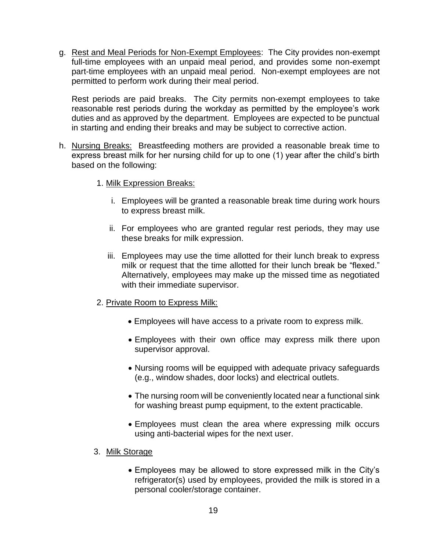g. Rest and Meal Periods for Non-Exempt Employees: The City provides non-exempt full-time employees with an unpaid meal period, and provides some non-exempt part-time employees with an unpaid meal period. Non-exempt employees are not permitted to perform work during their meal period.

Rest periods are paid breaks. The City permits non-exempt employees to take reasonable rest periods during the workday as permitted by the employee's work duties and as approved by the department. Employees are expected to be punctual in starting and ending their breaks and may be subject to corrective action.

- h. Nursing Breaks: Breastfeeding mothers are provided a reasonable break time to express breast milk for her nursing child for up to one (1) year after the child's birth based on the following:
	- 1. Milk Expression Breaks:
		- i. Employees will be granted a reasonable break time during work hours to express breast milk.
		- ii. For employees who are granted regular rest periods, they may use these breaks for milk expression.
		- iii. Employees may use the time allotted for their lunch break to express milk or request that the time allotted for their lunch break be "flexed." Alternatively, employees may make up the missed time as negotiated with their immediate supervisor.
	- 2. Private Room to Express Milk:
		- Employees will have access to a private room to express milk.
		- Employees with their own office may express milk there upon supervisor approval.
		- Nursing rooms will be equipped with adequate privacy safeguards (e.g., window shades, door locks) and electrical outlets.
		- The nursing room will be conveniently located near a functional sink for washing breast pump equipment, to the extent practicable.
		- Employees must clean the area where expressing milk occurs using anti-bacterial wipes for the next user.
	- 3. Milk Storage
		- Employees may be allowed to store expressed milk in the City's refrigerator(s) used by employees, provided the milk is stored in a personal cooler/storage container.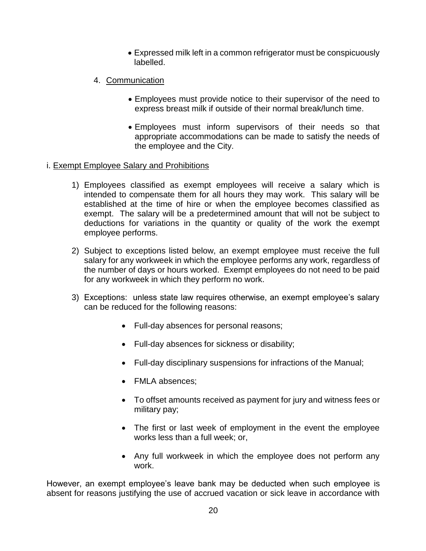- Expressed milk left in a common refrigerator must be conspicuously labelled.
- 4. Communication
	- Employees must provide notice to their supervisor of the need to express breast milk if outside of their normal break/lunch time.
	- Employees must inform supervisors of their needs so that appropriate accommodations can be made to satisfy the needs of the employee and the City.

#### i. Exempt Employee Salary and Prohibitions

- 1) Employees classified as exempt employees will receive a salary which is intended to compensate them for all hours they may work. This salary will be established at the time of hire or when the employee becomes classified as exempt. The salary will be a predetermined amount that will not be subject to deductions for variations in the quantity or quality of the work the exempt employee performs.
- 2) Subject to exceptions listed below, an exempt employee must receive the full salary for any workweek in which the employee performs any work, regardless of the number of days or hours worked. Exempt employees do not need to be paid for any workweek in which they perform no work.
- 3) Exceptions: unless state law requires otherwise, an exempt employee's salary can be reduced for the following reasons:
	- Full-day absences for personal reasons;
	- Full-day absences for sickness or disability;
	- Full-day disciplinary suspensions for infractions of the Manual;
	- FMLA absences;
	- To offset amounts received as payment for jury and witness fees or military pay;
	- The first or last week of employment in the event the employee works less than a full week; or,
	- Any full workweek in which the employee does not perform any work.

However, an exempt employee's leave bank may be deducted when such employee is absent for reasons justifying the use of accrued vacation or sick leave in accordance with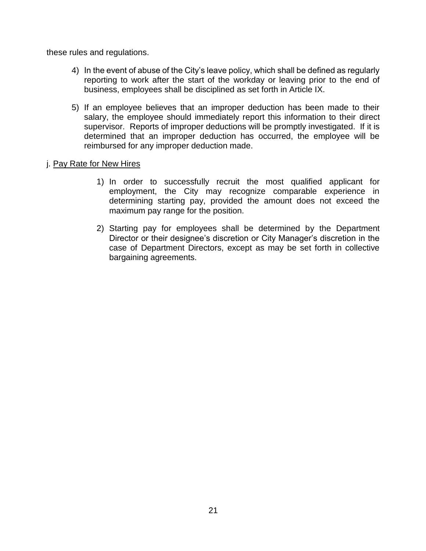these rules and regulations.

- 4) In the event of abuse of the City's leave policy, which shall be defined as regularly reporting to work after the start of the workday or leaving prior to the end of business, employees shall be disciplined as set forth in Article IX.
- 5) If an employee believes that an improper deduction has been made to their salary, the employee should immediately report this information to their direct supervisor. Reports of improper deductions will be promptly investigated. If it is determined that an improper deduction has occurred, the employee will be reimbursed for any improper deduction made.

#### j. Pay Rate for New Hires

- 1) In order to successfully recruit the most qualified applicant for employment, the City may recognize comparable experience in determining starting pay, provided the amount does not exceed the maximum pay range for the position.
- 2) Starting pay for employees shall be determined by the Department Director or their designee's discretion or City Manager's discretion in the case of Department Directors, except as may be set forth in collective bargaining agreements.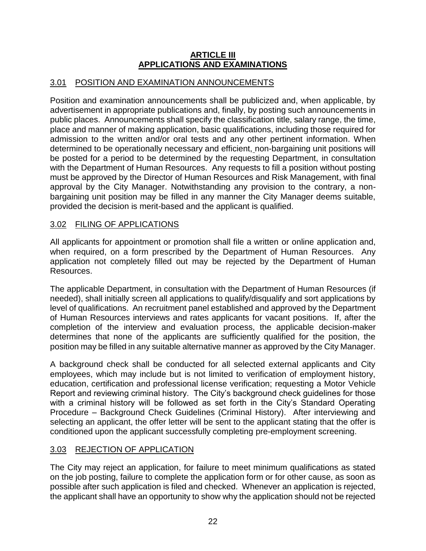#### **ARTICLE III APPLICATIONS AND EXAMINATIONS**

## 3.01 POSITION AND EXAMINATION ANNOUNCEMENTS

Position and examination announcements shall be publicized and, when applicable, by advertisement in appropriate publications and, finally, by posting such announcements in public places. Announcements shall specify the classification title, salary range, the time, place and manner of making application, basic qualifications, including those required for admission to the written and/or oral tests and any other pertinent information. When determined to be operationally necessary and efficient, non-bargaining unit positions will be posted for a period to be determined by the requesting Department, in consultation with the Department of Human Resources. Any requests to fill a position without posting must be approved by the Director of Human Resources and Risk Management, with final approval by the City Manager. Notwithstanding any provision to the contrary, a nonbargaining unit position may be filled in any manner the City Manager deems suitable, provided the decision is merit-based and the applicant is qualified.

## 3.02 FILING OF APPLICATIONS

All applicants for appointment or promotion shall file a written or online application and, when required, on a form prescribed by the Department of Human Resources. Any application not completely filled out may be rejected by the Department of Human Resources.

The applicable Department, in consultation with the Department of Human Resources (if needed), shall initially screen all applications to qualify/disqualify and sort applications by level of qualifications. An recruitment panel established and approved by the Department of Human Resources interviews and rates applicants for vacant positions. If, after the completion of the interview and evaluation process, the applicable decision-maker determines that none of the applicants are sufficiently qualified for the position, the position may be filled in any suitable alternative manner as approved by the City Manager.

A background check shall be conducted for all selected external applicants and City employees, which may include but is not limited to verification of employment history, education, certification and professional license verification; requesting a Motor Vehicle Report and reviewing criminal history. The City's background check guidelines for those with a criminal history will be followed as set forth in the City's Standard Operating Procedure – Background Check Guidelines (Criminal History). After interviewing and selecting an applicant, the offer letter will be sent to the applicant stating that the offer is conditioned upon the applicant successfully completing pre-employment screening.

## 3.03 REJECTION OF APPLICATION

The City may reject an application, for failure to meet minimum qualifications as stated on the job posting, failure to complete the application form or for other cause, as soon as possible after such application is filed and checked. Whenever an application is rejected, the applicant shall have an opportunity to show why the application should not be rejected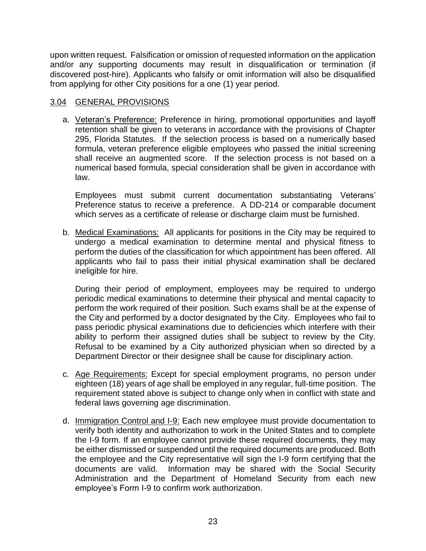upon written request. Falsification or omission of requested information on the application and/or any supporting documents may result in disqualification or termination (if discovered post-hire). Applicants who falsify or omit information will also be disqualified from applying for other City positions for a one (1) year period.

## 3.04 GENERAL PROVISIONS

a. Veteran's Preference: Preference in hiring, promotional opportunities and layoff retention shall be given to veterans in accordance with the provisions of Chapter 295, Florida Statutes. If the selection process is based on a numerically based formula, veteran preference eligible employees who passed the initial screening shall receive an augmented score. If the selection process is not based on a numerical based formula, special consideration shall be given in accordance with law.

Employees must submit current documentation substantiating Veterans' Preference status to receive a preference. A DD-214 or comparable document which serves as a certificate of release or discharge claim must be furnished.

b. Medical Examinations: All applicants for positions in the City may be required to undergo a medical examination to determine mental and physical fitness to perform the duties of the classification for which appointment has been offered. All applicants who fail to pass their initial physical examination shall be declared ineligible for hire.

During their period of employment, employees may be required to undergo periodic medical examinations to determine their physical and mental capacity to perform the work required of their position. Such exams shall be at the expense of the City and performed by a doctor designated by the City. Employees who fail to pass periodic physical examinations due to deficiencies which interfere with their ability to perform their assigned duties shall be subject to review by the City. Refusal to be examined by a City authorized physician when so directed by a Department Director or their designee shall be cause for disciplinary action.

- c. Age Requirements: Except for special employment programs, no person under eighteen (18) years of age shall be employed in any regular, full-time position. The requirement stated above is subject to change only when in conflict with state and federal laws governing age discrimination.
- d. Immigration Control and I-9: Each new employee must provide documentation to verify both identity and authorization to work in the United States and to complete the I-9 form. If an employee cannot provide these required documents, they may be either dismissed or suspended until the required documents are produced. Both the employee and the City representative will sign the I-9 form certifying that the documents are valid. Information may be shared with the Social Security Administration and the Department of Homeland Security from each new employee's Form I-9 to confirm work authorization.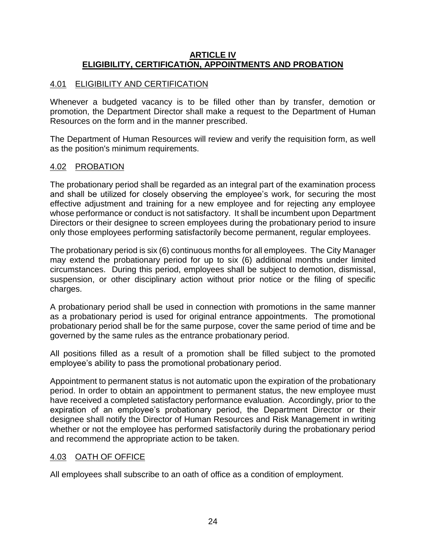#### **ARTICLE IV ELIGIBILITY, CERTIFICATION, APPOINTMENTS AND PROBATION**

## 4.01 ELIGIBILITY AND CERTIFICATION

Whenever a budgeted vacancy is to be filled other than by transfer, demotion or promotion, the Department Director shall make a request to the Department of Human Resources on the form and in the manner prescribed.

The Department of Human Resources will review and verify the requisition form, as well as the position's minimum requirements.

## 4.02 PROBATION

The probationary period shall be regarded as an integral part of the examination process and shall be utilized for closely observing the employee's work, for securing the most effective adjustment and training for a new employee and for rejecting any employee whose performance or conduct is not satisfactory. It shall be incumbent upon Department Directors or their designee to screen employees during the probationary period to insure only those employees performing satisfactorily become permanent, regular employees.

The probationary period is six (6) continuous months for all employees. The City Manager may extend the probationary period for up to six (6) additional months under limited circumstances. During this period, employees shall be subject to demotion, dismissal, suspension, or other disciplinary action without prior notice or the filing of specific charges.

A probationary period shall be used in connection with promotions in the same manner as a probationary period is used for original entrance appointments. The promotional probationary period shall be for the same purpose, cover the same period of time and be governed by the same rules as the entrance probationary period.

All positions filled as a result of a promotion shall be filled subject to the promoted employee's ability to pass the promotional probationary period.

Appointment to permanent status is not automatic upon the expiration of the probationary period. In order to obtain an appointment to permanent status, the new employee must have received a completed satisfactory performance evaluation. Accordingly, prior to the expiration of an employee's probationary period, the Department Director or their designee shall notify the Director of Human Resources and Risk Management in writing whether or not the employee has performed satisfactorily during the probationary period and recommend the appropriate action to be taken.

## 4.03 OATH OF OFFICE

All employees shall subscribe to an oath of office as a condition of employment.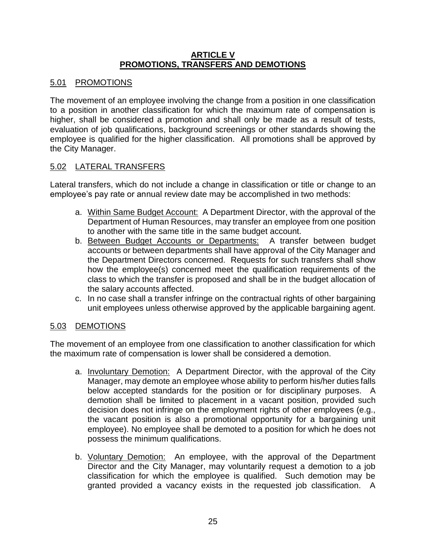#### **ARTICLE V PROMOTIONS, TRANSFERS AND DEMOTIONS**

## 5.01 PROMOTIONS

The movement of an employee involving the change from a position in one classification to a position in another classification for which the maximum rate of compensation is higher, shall be considered a promotion and shall only be made as a result of tests, evaluation of job qualifications, background screenings or other standards showing the employee is qualified for the higher classification. All promotions shall be approved by the City Manager.

## 5.02 LATERAL TRANSFERS

Lateral transfers, which do not include a change in classification or title or change to an employee's pay rate or annual review date may be accomplished in two methods:

- a. Within Same Budget Account: A Department Director, with the approval of the Department of Human Resources, may transfer an employee from one position to another with the same title in the same budget account.
- b. Between Budget Accounts or Departments: A transfer between budget accounts or between departments shall have approval of the City Manager and the Department Directors concerned. Requests for such transfers shall show how the employee(s) concerned meet the qualification requirements of the class to which the transfer is proposed and shall be in the budget allocation of the salary accounts affected.
- c. In no case shall a transfer infringe on the contractual rights of other bargaining unit employees unless otherwise approved by the applicable bargaining agent.

## 5.03 DEMOTIONS

The movement of an employee from one classification to another classification for which the maximum rate of compensation is lower shall be considered a demotion.

- a. Involuntary Demotion: A Department Director, with the approval of the City Manager, may demote an employee whose ability to perform his/her duties falls below accepted standards for the position or for disciplinary purposes. A demotion shall be limited to placement in a vacant position, provided such decision does not infringe on the employment rights of other employees (e.g., the vacant position is also a promotional opportunity for a bargaining unit employee). No employee shall be demoted to a position for which he does not possess the minimum qualifications.
- b. Voluntary Demotion: An employee, with the approval of the Department Director and the City Manager, may voluntarily request a demotion to a job classification for which the employee is qualified. Such demotion may be granted provided a vacancy exists in the requested job classification. A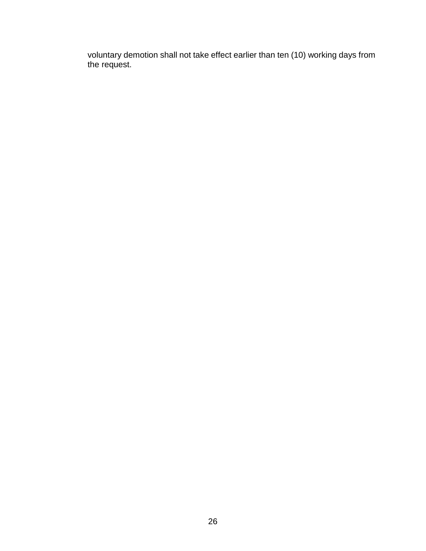voluntary demotion shall not take effect earlier than ten (10) working days from the request.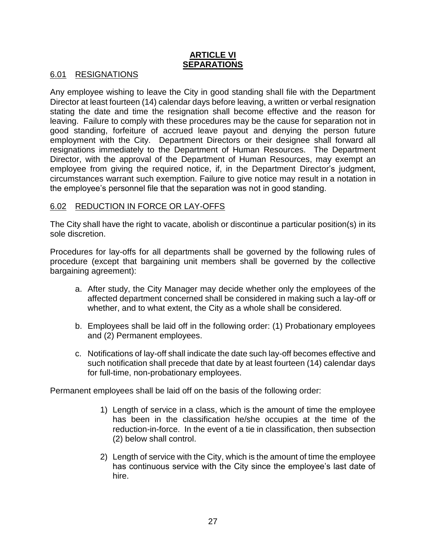#### **ARTICLE VI SEPARATIONS**

#### 6.01 RESIGNATIONS

Any employee wishing to leave the City in good standing shall file with the Department Director at least fourteen (14) calendar days before leaving, a written or verbal resignation stating the date and time the resignation shall become effective and the reason for leaving. Failure to comply with these procedures may be the cause for separation not in good standing, forfeiture of accrued leave payout and denying the person future employment with the City. Department Directors or their designee shall forward all resignations immediately to the Department of Human Resources. The Department Director, with the approval of the Department of Human Resources, may exempt an employee from giving the required notice, if, in the Department Director's judgment, circumstances warrant such exemption. Failure to give notice may result in a notation in the employee's personnel file that the separation was not in good standing.

#### 6.02 REDUCTION IN FORCE OR LAY-OFFS

The City shall have the right to vacate, abolish or discontinue a particular position(s) in its sole discretion.

Procedures for lay-offs for all departments shall be governed by the following rules of procedure (except that bargaining unit members shall be governed by the collective bargaining agreement):

- a. After study, the City Manager may decide whether only the employees of the affected department concerned shall be considered in making such a lay-off or whether, and to what extent, the City as a whole shall be considered.
- b. Employees shall be laid off in the following order: (1) Probationary employees and (2) Permanent employees.
- c. Notifications of lay-off shall indicate the date such lay-off becomes effective and such notification shall precede that date by at least fourteen (14) calendar days for full-time, non-probationary employees.

Permanent employees shall be laid off on the basis of the following order:

- 1) Length of service in a class, which is the amount of time the employee has been in the classification he/she occupies at the time of the reduction-in-force. In the event of a tie in classification, then subsection (2) below shall control.
- 2) Length of service with the City, which is the amount of time the employee has continuous service with the City since the employee's last date of hire.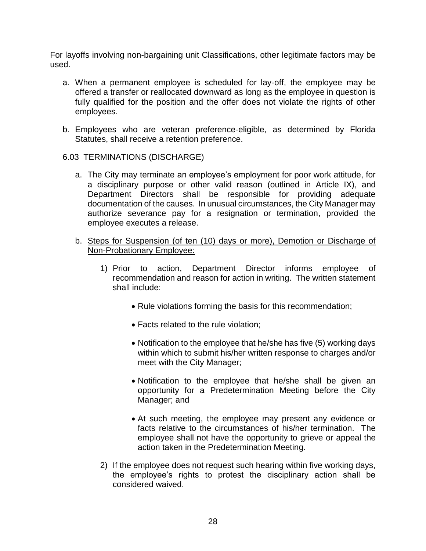For layoffs involving non-bargaining unit Classifications, other legitimate factors may be used.

- a. When a permanent employee is scheduled for lay-off, the employee may be offered a transfer or reallocated downward as long as the employee in question is fully qualified for the position and the offer does not violate the rights of other employees.
- b. Employees who are veteran preference-eligible, as determined by Florida Statutes, shall receive a retention preference.

#### 6.03 TERMINATIONS (DISCHARGE)

- a. The City may terminate an employee's employment for poor work attitude, for a disciplinary purpose or other valid reason (outlined in Article IX), and Department Directors shall be responsible for providing adequate documentation of the causes. In unusual circumstances, the City Manager may authorize severance pay for a resignation or termination, provided the employee executes a release.
- b. Steps for Suspension (of ten (10) days or more), Demotion or Discharge of Non-Probationary Employee:
	- 1) Prior to action, Department Director informs employee of recommendation and reason for action in writing. The written statement shall include:
		- Rule violations forming the basis for this recommendation;
		- Facts related to the rule violation;
		- Notification to the employee that he/she has five (5) working days within which to submit his/her written response to charges and/or meet with the City Manager;
		- Notification to the employee that he/she shall be given an opportunity for a Predetermination Meeting before the City Manager; and
		- At such meeting, the employee may present any evidence or facts relative to the circumstances of his/her termination. The employee shall not have the opportunity to grieve or appeal the action taken in the Predetermination Meeting.
	- 2) If the employee does not request such hearing within five working days, the employee's rights to protest the disciplinary action shall be considered waived.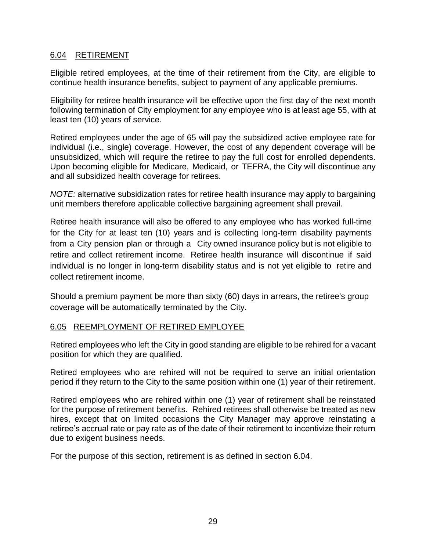#### 6.04 RETIREMENT

Eligible retired employees, at the time of their retirement from the City, are eligible to continue health insurance benefits, subject to payment of any applicable premiums.

Eligibility for retiree health insurance will be effective upon the first day of the next month following termination of City employment for any employee who is at least age 55, with at least ten (10) years of service.

Retired employees under the age of 65 will pay the subsidized active employee rate for individual (i.e., single) coverage. However, the cost of any dependent coverage will be unsubsidized, which will require the retiree to pay the full cost for enrolled dependents. Upon becoming eligible for Medicare, Medicaid, or TEFRA, the City will discontinue any and all subsidized health coverage for retirees.

*NOTE:* alternative subsidization rates for retiree health insurance may apply to bargaining unit members therefore applicable collective bargaining agreement shall prevail.

Retiree health insurance will also be offered to any employee who has worked full-time for the City for at least ten (10) years and is collecting long-term disability payments from a City pension plan or through a City owned insurance policy but is not eligible to retire and collect retirement income. Retiree health insurance will discontinue if said individual is no longer in long-term disability status and is not yet eligible to retire and collect retirement income.

Should a premium payment be more than sixty (60) days in arrears, the retiree's group coverage will be automatically terminated by the City.

## 6.05 REEMPLOYMENT OF RETIRED EMPLOYEE

Retired employees who left the City in good standing are eligible to be rehired for a vacant position for which they are qualified.

Retired employees who are rehired will not be required to serve an initial orientation period if they return to the City to the same position within one (1) year of their retirement.

Retired employees who are rehired within one (1) year of retirement shall be reinstated for the purpose of retirement benefits. Rehired retirees shall otherwise be treated as new hires, except that on limited occasions the City Manager may approve reinstating a retiree's accrual rate or pay rate as of the date of their retirement to incentivize their return due to exigent business needs.

For the purpose of this section, retirement is as defined in section 6.04.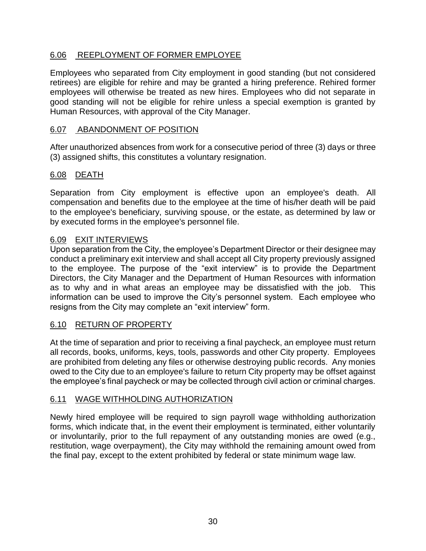## 6.06 REEPLOYMENT OF FORMER EMPLOYEE

Employees who separated from City employment in good standing (but not considered retirees) are eligible for rehire and may be granted a hiring preference. Rehired former employees will otherwise be treated as new hires. Employees who did not separate in good standing will not be eligible for rehire unless a special exemption is granted by Human Resources, with approval of the City Manager.

## 6.07 ABANDONMENT OF POSITION

After unauthorized absences from work for a consecutive period of three (3) days or three (3) assigned shifts, this constitutes a voluntary resignation.

## 6.08 DEATH

Separation from City employment is effective upon an employee's death. All compensation and benefits due to the employee at the time of his/her death will be paid to the employee's beneficiary, surviving spouse, or the estate, as determined by law or by executed forms in the employee's personnel file.

## 6.09 EXIT INTERVIEWS

Upon separation from the City, the employee's Department Director or their designee may conduct a preliminary exit interview and shall accept all City property previously assigned to the employee. The purpose of the "exit interview" is to provide the Department Directors, the City Manager and the Department of Human Resources with information as to why and in what areas an employee may be dissatisfied with the job. This information can be used to improve the City's personnel system. Each employee who resigns from the City may complete an "exit interview" form.

## 6.10 RETURN OF PROPERTY

At the time of separation and prior to receiving a final paycheck, an employee must return all records, books, uniforms, keys, tools, passwords and other City property. Employees are prohibited from deleting any files or otherwise destroying public records. Any monies owed to the City due to an employee's failure to return City property may be offset against the employee's final paycheck or may be collected through civil action or criminal charges.

## 6.11 WAGE WITHHOLDING AUTHORIZATION

Newly hired employee will be required to sign payroll wage withholding authorization forms, which indicate that, in the event their employment is terminated, either voluntarily or involuntarily, prior to the full repayment of any outstanding monies are owed (e.g., restitution, wage overpayment), the City may withhold the remaining amount owed from the final pay, except to the extent prohibited by federal or state minimum wage law.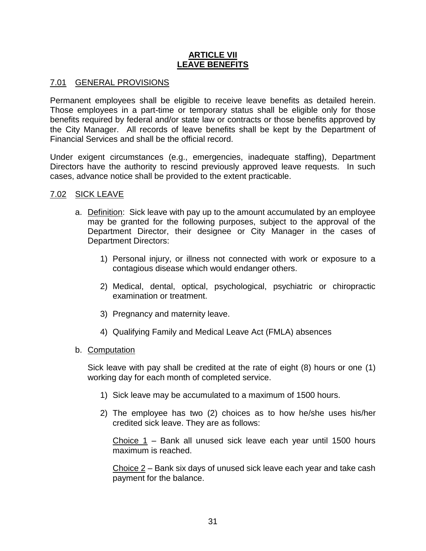#### **ARTICLE VII LEAVE BENEFITS**

#### 7.01 GENERAL PROVISIONS

Permanent employees shall be eligible to receive leave benefits as detailed herein. Those employees in a part-time or temporary status shall be eligible only for those benefits required by federal and/or state law or contracts or those benefits approved by the City Manager. All records of leave benefits shall be kept by the Department of Financial Services and shall be the official record.

Under exigent circumstances (e.g., emergencies, inadequate staffing), Department Directors have the authority to rescind previously approved leave requests. In such cases, advance notice shall be provided to the extent practicable.

#### 7.02 SICK LEAVE

- a. Definition: Sick leave with pay up to the amount accumulated by an employee may be granted for the following purposes, subject to the approval of the Department Director, their designee or City Manager in the cases of Department Directors:
	- 1) Personal injury, or illness not connected with work or exposure to a contagious disease which would endanger others.
	- 2) Medical, dental, optical, psychological, psychiatric or chiropractic examination or treatment.
	- 3) Pregnancy and maternity leave.
	- 4) Qualifying Family and Medical Leave Act (FMLA) absences
- b. Computation

Sick leave with pay shall be credited at the rate of eight (8) hours or one (1) working day for each month of completed service.

- 1) Sick leave may be accumulated to a maximum of 1500 hours.
- 2) The employee has two (2) choices as to how he/she uses his/her credited sick leave. They are as follows:

Choice 1 – Bank all unused sick leave each year until 1500 hours maximum is reached.

Choice  $2$  – Bank six days of unused sick leave each year and take cash payment for the balance.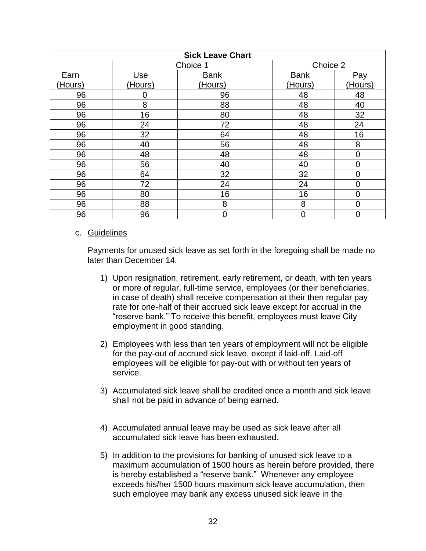| <b>Sick Leave Chart</b> |          |                |                |                |  |
|-------------------------|----------|----------------|----------------|----------------|--|
|                         | Choice 1 |                | Choice 2       |                |  |
| Earn                    | Use      | <b>Bank</b>    | <b>Bank</b>    | Pay            |  |
| (Hours)                 | (Hours)  | (Hours)        | (Hours)        | (Hours)        |  |
| 96                      | 0        | 96             | 48             | 48             |  |
| 96                      | 8        | 88             | 48             | 40             |  |
| 96                      | 16       | 80             | 48             | 32             |  |
| 96                      | 24       | 72             | 48             | 24             |  |
| 96                      | 32       | 64             | 48             | 16             |  |
| 96                      | 40       | 56             | 48             | 8              |  |
| 96                      | 48       | 48             | 48             | $\mathbf 0$    |  |
| 96                      | 56       | 40             | 40             | $\mathbf 0$    |  |
| 96                      | 64       | 32             | 32             | $\overline{0}$ |  |
| 96                      | 72       | 24             | 24             | $\overline{0}$ |  |
| 96                      | 80       | 16             | 16             | $\mathbf 0$    |  |
| 96                      | 88       | 8              | 8              | $\overline{0}$ |  |
| 96                      | 96       | $\overline{0}$ | $\overline{0}$ | $\overline{0}$ |  |

#### c. Guidelines

Payments for unused sick leave as set forth in the foregoing shall be made no later than December 14.

- 1) Upon resignation, retirement, early retirement, or death, with ten years or more of regular, full-time service, employees (or their beneficiaries, in case of death) shall receive compensation at their then regular pay rate for one-half of their accrued sick leave except for accrual in the "reserve bank." To receive this benefit, employees must leave City employment in good standing.
- 2) Employees with less than ten years of employment will not be eligible for the pay-out of accrued sick leave, except if laid-off. Laid-off employees will be eligible for pay-out with or without ten years of service.
- 3) Accumulated sick leave shall be credited once a month and sick leave shall not be paid in advance of being earned.
- 4) Accumulated annual leave may be used as sick leave after all accumulated sick leave has been exhausted.
- 5) In addition to the provisions for banking of unused sick leave to a maximum accumulation of 1500 hours as herein before provided, there is hereby established a "reserve bank." Whenever any employee exceeds his/her 1500 hours maximum sick leave accumulation, then such employee may bank any excess unused sick leave in the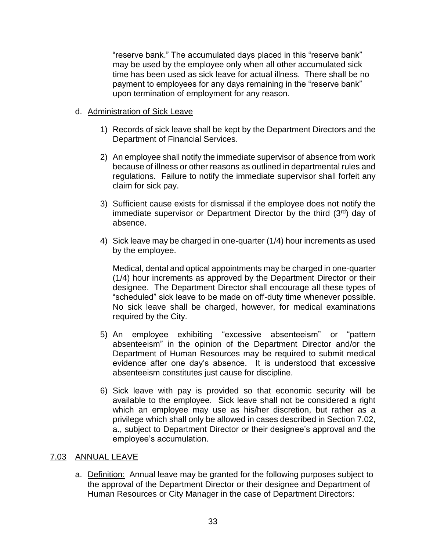"reserve bank." The accumulated days placed in this "reserve bank" may be used by the employee only when all other accumulated sick time has been used as sick leave for actual illness. There shall be no payment to employees for any days remaining in the "reserve bank" upon termination of employment for any reason.

### d. Administration of Sick Leave

- 1) Records of sick leave shall be kept by the Department Directors and the Department of Financial Services.
- 2) An employee shall notify the immediate supervisor of absence from work because of illness or other reasons as outlined in departmental rules and regulations. Failure to notify the immediate supervisor shall forfeit any claim for sick pay.
- 3) Sufficient cause exists for dismissal if the employee does not notify the immediate supervisor or Department Director by the third  $(3<sup>rd</sup>)$  day of absence.
- 4) Sick leave may be charged in one-quarter (1/4) hour increments as used by the employee.

Medical, dental and optical appointments may be charged in one-quarter (1/4) hour increments as approved by the Department Director or their designee. The Department Director shall encourage all these types of "scheduled" sick leave to be made on off-duty time whenever possible. No sick leave shall be charged, however, for medical examinations required by the City.

- 5) An employee exhibiting "excessive absenteeism" or "pattern absenteeism" in the opinion of the Department Director and/or the Department of Human Resources may be required to submit medical evidence after one day's absence. It is understood that excessive absenteeism constitutes just cause for discipline.
- 6) Sick leave with pay is provided so that economic security will be available to the employee. Sick leave shall not be considered a right which an employee may use as his/her discretion, but rather as a privilege which shall only be allowed in cases described in Section 7.02, a., subject to Department Director or their designee's approval and the employee's accumulation.

### 7.03 ANNUAL LEAVE

a. Definition: Annual leave may be granted for the following purposes subject to the approval of the Department Director or their designee and Department of Human Resources or City Manager in the case of Department Directors: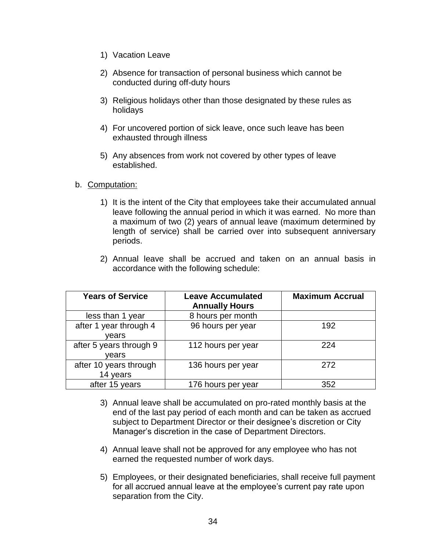- 1) Vacation Leave
- 2) Absence for transaction of personal business which cannot be conducted during off-duty hours
- 3) Religious holidays other than those designated by these rules as holidays
- 4) For uncovered portion of sick leave, once such leave has been exhausted through illness
- 5) Any absences from work not covered by other types of leave established.

### b. Computation:

- 1) It is the intent of the City that employees take their accumulated annual leave following the annual period in which it was earned. No more than a maximum of two (2) years of annual leave (maximum determined by length of service) shall be carried over into subsequent anniversary periods.
- 2) Annual leave shall be accrued and taken on an annual basis in accordance with the following schedule:

| <b>Years of Service</b>            | <b>Leave Accumulated</b><br><b>Annually Hours</b> | <b>Maximum Accrual</b> |
|------------------------------------|---------------------------------------------------|------------------------|
| less than 1 year                   | 8 hours per month                                 |                        |
| after 1 year through 4<br>vears    | 96 hours per year                                 | 192                    |
| after 5 years through 9<br>vears   | 112 hours per year                                | 224                    |
| after 10 years through<br>14 years | 136 hours per year                                | 272                    |
| after 15 years                     | 176 hours per year                                | 352                    |

- 3) Annual leave shall be accumulated on pro-rated monthly basis at the end of the last pay period of each month and can be taken as accrued subject to Department Director or their designee's discretion or City Manager's discretion in the case of Department Directors.
- 4) Annual leave shall not be approved for any employee who has not earned the requested number of work days.
- 5) Employees, or their designated beneficiaries, shall receive full payment for all accrued annual leave at the employee's current pay rate upon separation from the City.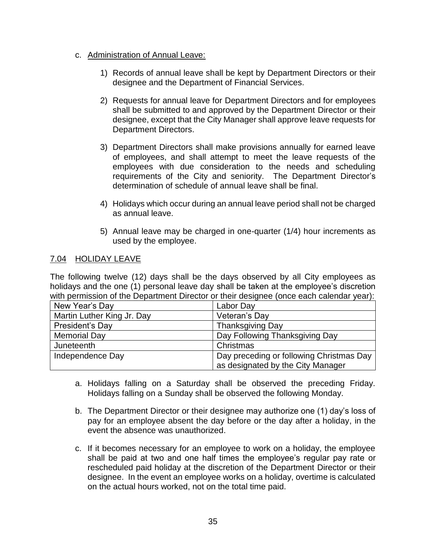### c. Administration of Annual Leave:

- 1) Records of annual leave shall be kept by Department Directors or their designee and the Department of Financial Services.
- 2) Requests for annual leave for Department Directors and for employees shall be submitted to and approved by the Department Director or their designee, except that the City Manager shall approve leave requests for Department Directors.
- 3) Department Directors shall make provisions annually for earned leave of employees, and shall attempt to meet the leave requests of the employees with due consideration to the needs and scheduling requirements of the City and seniority. The Department Director's determination of schedule of annual leave shall be final.
- 4) Holidays which occur during an annual leave period shall not be charged as annual leave.
- 5) Annual leave may be charged in one-quarter (1/4) hour increments as used by the employee.

## 7.04 HOLIDAY LEAVE

The following twelve (12) days shall be the days observed by all City employees as holidays and the one (1) personal leave day shall be taken at the employee's discretion with permission of the Department Director or their designee (once each calendar year):

| New Year's Day             | Labor Day                                |  |
|----------------------------|------------------------------------------|--|
| Martin Luther King Jr. Day | Veteran's Day                            |  |
| President's Day            | <b>Thanksgiving Day</b>                  |  |
| <b>Memorial Day</b>        | Day Following Thanksgiving Day           |  |
| Juneteenth                 | Christmas                                |  |
| Independence Day           | Day preceding or following Christmas Day |  |
|                            | as designated by the City Manager        |  |

- a. Holidays falling on a Saturday shall be observed the preceding Friday. Holidays falling on a Sunday shall be observed the following Monday.
- b. The Department Director or their designee may authorize one (1) day's loss of pay for an employee absent the day before or the day after a holiday, in the event the absence was unauthorized.
- c. If it becomes necessary for an employee to work on a holiday, the employee shall be paid at two and one half times the employee's regular pay rate or rescheduled paid holiday at the discretion of the Department Director or their designee. In the event an employee works on a holiday, overtime is calculated on the actual hours worked, not on the total time paid.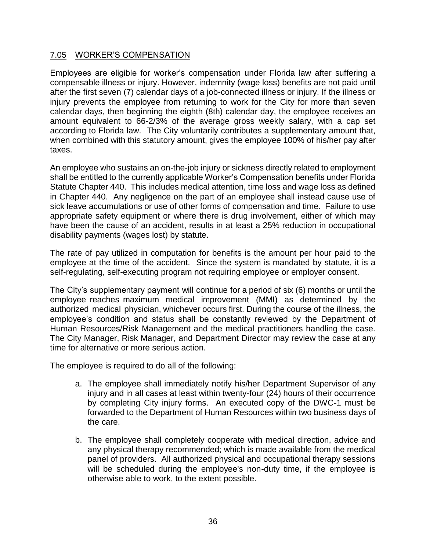### 7.05 WORKER'S COMPENSATION

Employees are eligible for worker's compensation under Florida law after suffering a compensable illness or injury. However, indemnity (wage loss) benefits are not paid until after the first seven (7) calendar days of a job-connected illness or injury. If the illness or injury prevents the employee from returning to work for the City for more than seven calendar days, then beginning the eighth (8th) calendar day, the employee receives an amount equivalent to 66-2/3% of the average gross weekly salary, with a cap set according to Florida law. The City voluntarily contributes a supplementary amount that, when combined with this statutory amount, gives the employee 100% of his/her pay after taxes.

An employee who sustains an on-the-job injury or sickness directly related to employment shall be entitled to the currently applicable Worker's Compensation benefits under Florida Statute Chapter 440. This includes medical attention, time loss and wage loss as defined in Chapter 440. Any negligence on the part of an employee shall instead cause use of sick leave accumulations or use of other forms of compensation and time. Failure to use appropriate safety equipment or where there is drug involvement, either of which may have been the cause of an accident, results in at least a 25% reduction in occupational disability payments (wages lost) by statute.

The rate of pay utilized in computation for benefits is the amount per hour paid to the employee at the time of the accident. Since the system is mandated by statute, it is a self-regulating, self-executing program not requiring employee or employer consent.

The City's supplementary payment will continue for a period of six (6) months or until the employee reaches maximum medical improvement (MMI) as determined by the authorized medical physician, whichever occurs first. During the course of the illness, the employee's condition and status shall be constantly reviewed by the Department of Human Resources/Risk Management and the medical practitioners handling the case. The City Manager, Risk Manager, and Department Director may review the case at any time for alternative or more serious action.

The employee is required to do all of the following:

- a. The employee shall immediately notify his/her Department Supervisor of any injury and in all cases at least within twenty-four (24) hours of their occurrence by completing City injury forms. An executed copy of the DWC-1 must be forwarded to the Department of Human Resources within two business days of the care.
- b. The employee shall completely cooperate with medical direction, advice and any physical therapy recommended; which is made available from the medical panel of providers. All authorized physical and occupational therapy sessions will be scheduled during the employee's non-duty time, if the employee is otherwise able to work, to the extent possible.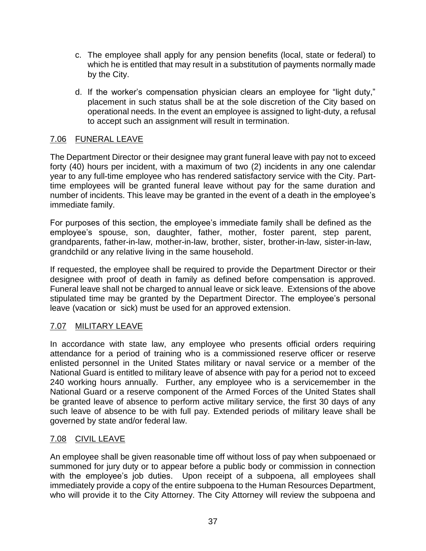- c. The employee shall apply for any pension benefits (local, state or federal) to which he is entitled that may result in a substitution of payments normally made by the City.
- d. If the worker's compensation physician clears an employee for "light duty," placement in such status shall be at the sole discretion of the City based on operational needs. In the event an employee is assigned to light-duty, a refusal to accept such an assignment will result in termination.

## 7.06 FUNERAL LEAVE

The Department Director or their designee may grant funeral leave with pay not to exceed forty (40) hours per incident, with a maximum of two (2) incidents in any one calendar year to any full-time employee who has rendered satisfactory service with the City. Parttime employees will be granted funeral leave without pay for the same duration and number of incidents. This leave may be granted in the event of a death in the employee's immediate family.

For purposes of this section, the employee's immediate family shall be defined as the employee's spouse, son, daughter, father, mother, foster parent, step parent, grandparents, father-in-law, mother-in-law, brother, sister, brother-in-law, sister-in-law, grandchild or any relative living in the same household.

If requested, the employee shall be required to provide the Department Director or their designee with proof of death in family as defined before compensation is approved. Funeral leave shall not be charged to annual leave or sick leave. Extensions of the above stipulated time may be granted by the Department Director. The employee's personal leave (vacation or sick) must be used for an approved extension.

# 7.07 MILITARY LEAVE

In accordance with state law, any employee who presents official orders requiring attendance for a period of training who is a commissioned reserve officer or reserve enlisted personnel in the United States military or naval service or a member of the National Guard is entitled to military leave of absence with pay for a period not to exceed 240 working hours annually. Further, any employee who is a servicemember in the National Guard or a reserve component of the Armed Forces of the United States shall be granted leave of absence to perform active military service, the first 30 days of any such leave of absence to be with full pay. Extended periods of military leave shall be governed by state and/or federal law.

## 7.08 CIVIL LEAVE

An employee shall be given reasonable time off without loss of pay when subpoenaed or summoned for jury duty or to appear before a public body or commission in connection with the employee's job duties. Upon receipt of a subpoena, all employees shall immediately provide a copy of the entire subpoena to the Human Resources Department, who will provide it to the City Attorney. The City Attorney will review the subpoena and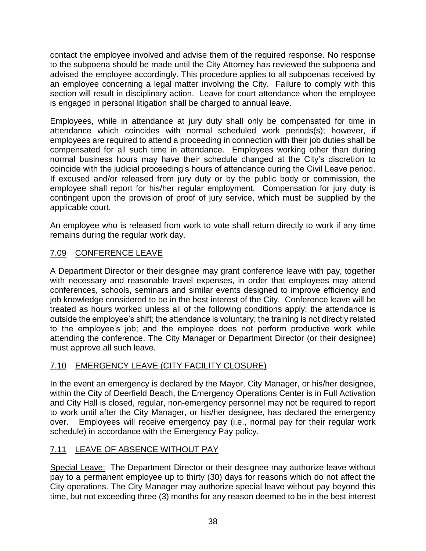contact the employee involved and advise them of the required response. No response to the subpoena should be made until the City Attorney has reviewed the subpoena and advised the employee accordingly. This procedure applies to all subpoenas received by an employee concerning a legal matter involving the City. Failure to comply with this section will result in disciplinary action. Leave for court attendance when the employee is engaged in personal litigation shall be charged to annual leave.

Employees, while in attendance at jury duty shall only be compensated for time in attendance which coincides with normal scheduled work periods(s); however, if employees are required to attend a proceeding in connection with their job duties shall be compensated for all such time in attendance. Employees working other than during normal business hours may have their schedule changed at the City's discretion to coincide with the judicial proceeding's hours of attendance during the Civil Leave period. If excused and/or released from jury duty or by the public body or commission, the employee shall report for his/her regular employment. Compensation for jury duty is contingent upon the provision of proof of jury service, which must be supplied by the applicable court.

An employee who is released from work to vote shall return directly to work if any time remains during the regular work day.

# 7.09 CONFERENCE LEAVE

A Department Director or their designee may grant conference leave with pay, together with necessary and reasonable travel expenses, in order that employees may attend conferences, schools, seminars and similar events designed to improve efficiency and job knowledge considered to be in the best interest of the City. Conference leave will be treated as hours worked unless all of the following conditions apply: the attendance is outside the employee's shift; the attendance is voluntary; the training is not directly related to the employee's job; and the employee does not perform productive work while attending the conference. The City Manager or Department Director (or their designee) must approve all such leave.

# 7.10 EMERGENCY LEAVE (CITY FACILITY CLOSURE)

In the event an emergency is declared by the Mayor, City Manager, or his/her designee, within the City of Deerfield Beach, the Emergency Operations Center is in Full Activation and City Hall is closed, regular, non-emergency personnel may not be required to report to work until after the City Manager, or his/her designee, has declared the emergency over. Employees will receive emergency pay (i.e., normal pay for their regular work schedule) in accordance with the Emergency Pay policy.

# 7.11 LEAVE OF ABSENCE WITHOUT PAY

Special Leave: The Department Director or their designee may authorize leave without pay to a permanent employee up to thirty (30) days for reasons which do not affect the City operations. The City Manager may authorize special leave without pay beyond this time, but not exceeding three (3) months for any reason deemed to be in the best interest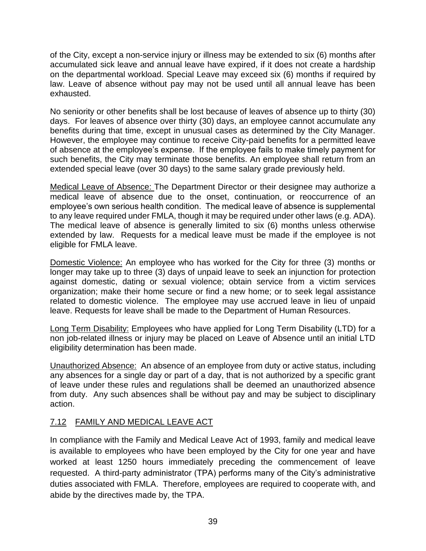of the City, except a non-service injury or illness may be extended to six (6) months after accumulated sick leave and annual leave have expired, if it does not create a hardship on the departmental workload. Special Leave may exceed six (6) months if required by law. Leave of absence without pay may not be used until all annual leave has been exhausted.

No seniority or other benefits shall be lost because of leaves of absence up to thirty (30) days. For leaves of absence over thirty (30) days, an employee cannot accumulate any benefits during that time, except in unusual cases as determined by the City Manager. However, the employee may continue to receive City-paid benefits for a permitted leave of absence at the employee's expense. If the employee fails to make timely payment for such benefits, the City may terminate those benefits. An employee shall return from an extended special leave (over 30 days) to the same salary grade previously held.

Medical Leave of Absence: The Department Director or their designee may authorize a medical leave of absence due to the onset, continuation, or reoccurrence of an employee's own serious health condition. The medical leave of absence is supplemental to any leave required under FMLA, though it may be required under other laws (e.g. ADA). The medical leave of absence is generally limited to six (6) months unless otherwise extended by law. Requests for a medical leave must be made if the employee is not eligible for FMLA leave.

Domestic Violence: An employee who has worked for the City for three (3) months or longer may take up to three (3) days of unpaid leave to seek an injunction for protection against domestic, dating or sexual violence; obtain service from a victim services organization; make their home secure or find a new home; or to seek legal assistance related to domestic violence. The employee may use accrued leave in lieu of unpaid leave. Requests for leave shall be made to the Department of Human Resources.

Long Term Disability: Employees who have applied for Long Term Disability (LTD) for a non job-related illness or injury may be placed on Leave of Absence until an initial LTD eligibility determination has been made.

Unauthorized Absence: An absence of an employee from duty or active status, including any absences for a single day or part of a day, that is not authorized by a specific grant of leave under these rules and regulations shall be deemed an unauthorized absence from duty. Any such absences shall be without pay and may be subject to disciplinary action.

# 7.12 FAMILY AND MEDICAL LEAVE ACT

In compliance with the Family and Medical Leave Act of 1993, family and medical leave is available to employees who have been employed by the City for one year and have worked at least 1250 hours immediately preceding the commencement of leave requested. A third-party administrator (TPA) performs many of the City's administrative duties associated with FMLA. Therefore, employees are required to cooperate with, and abide by the directives made by, the TPA.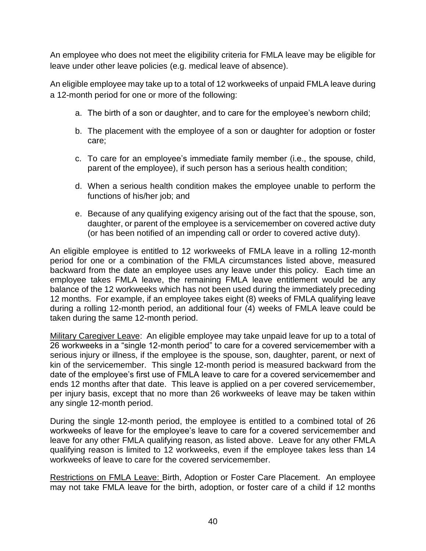An employee who does not meet the eligibility criteria for FMLA leave may be eligible for leave under other leave policies (e.g. medical leave of absence).

An eligible employee may take up to a total of 12 workweeks of unpaid FMLA leave during a 12-month period for one or more of the following:

- a. The birth of a son or daughter, and to care for the employee's newborn child;
- b. The placement with the employee of a son or daughter for adoption or foster care;
- c. To care for an employee's immediate family member (i.e., the spouse, child, parent of the employee), if such person has a serious health condition;
- d. When a serious health condition makes the employee unable to perform the functions of his/her job; and
- e. Because of any qualifying exigency arising out of the fact that the spouse, son, daughter, or parent of the employee is a servicemember on covered active duty (or has been notified of an impending call or order to covered active duty).

An eligible employee is entitled to 12 workweeks of FMLA leave in a rolling 12-month period for one or a combination of the FMLA circumstances listed above, measured backward from the date an employee uses any leave under this policy. Each time an employee takes FMLA leave, the remaining FMLA leave entitlement would be any balance of the 12 workweeks which has not been used during the immediately preceding 12 months. For example, if an employee takes eight (8) weeks of FMLA qualifying leave during a rolling 12-month period, an additional four (4) weeks of FMLA leave could be taken during the same 12-month period.

Military Caregiver Leave: An eligible employee may take unpaid leave for up to a total of 26 workweeks in a "single 12-month period" to care for a covered servicemember with a serious injury or illness, if the employee is the spouse, son, daughter, parent, or next of kin of the servicemember. This single 12-month period is measured backward from the date of the employee's first use of FMLA leave to care for a covered servicemember and ends 12 months after that date. This leave is applied on a per covered servicemember, per injury basis, except that no more than 26 workweeks of leave may be taken within any single 12-month period.

During the single 12-month period, the employee is entitled to a combined total of 26 workweeks of leave for the employee's leave to care for a covered servicemember and leave for any other FMLA qualifying reason, as listed above. Leave for any other FMLA qualifying reason is limited to 12 workweeks, even if the employee takes less than 14 workweeks of leave to care for the covered servicemember.

Restrictions on FMLA Leave: Birth, Adoption or Foster Care Placement. An employee may not take FMLA leave for the birth, adoption, or foster care of a child if 12 months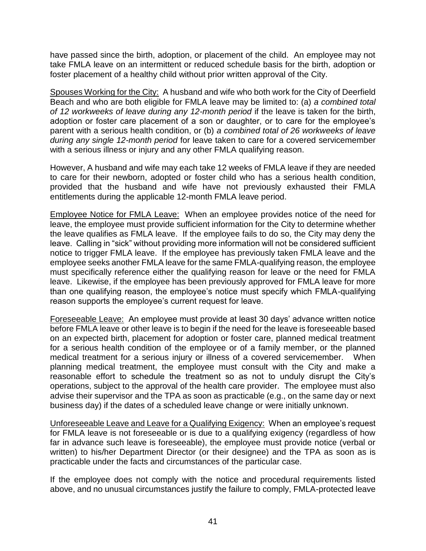have passed since the birth, adoption, or placement of the child. An employee may not take FMLA leave on an intermittent or reduced schedule basis for the birth, adoption or foster placement of a healthy child without prior written approval of the City.

Spouses Working for the City: A husband and wife who both work for the City of Deerfield Beach and who are both eligible for FMLA leave may be limited to: (a) *a combined total of 12 workweeks of leave during any 12-month period* if the leave is taken for the birth, adoption or foster care placement of a son or daughter, or to care for the employee's parent with a serious health condition, or (b) *a combined total of 26 workweeks of leave during any single 12-month period* for leave taken to care for a covered servicemember with a serious illness or injury and any other FMLA qualifying reason.

However, A husband and wife may each take 12 weeks of FMLA leave if they are needed to care for their newborn, adopted or foster child who has a serious health condition, provided that the husband and wife have not previously exhausted their FMLA entitlements during the applicable 12-month FMLA leave period.

Employee Notice for FMLA Leave:When an employee provides notice of the need for leave, the employee must provide sufficient information for the City to determine whether the leave qualifies as FMLA leave. If the employee fails to do so, the City may deny the leave. Calling in "sick" without providing more information will not be considered sufficient notice to trigger FMLA leave. If the employee has previously taken FMLA leave and the employee seeks another FMLA leave for the same FMLA-qualifying reason, the employee must specifically reference either the qualifying reason for leave or the need for FMLA leave. Likewise, if the employee has been previously approved for FMLA leave for more than one qualifying reason, the employee's notice must specify which FMLA-qualifying reason supports the employee's current request for leave.

Foreseeable Leave: An employee must provide at least 30 days' advance written notice before FMLA leave or other leave is to begin if the need for the leave is foreseeable based on an expected birth, placement for adoption or foster care, planned medical treatment for a serious health condition of the employee or of a family member, or the planned medical treatment for a serious injury or illness of a covered servicemember. When planning medical treatment, the employee must consult with the City and make a reasonable effort to schedule the treatment so as not to unduly disrupt the City's operations, subject to the approval of the health care provider. The employee must also advise their supervisor and the TPA as soon as practicable (e.g., on the same day or next business day) if the dates of a scheduled leave change or were initially unknown.

Unforeseeable Leave and Leave for a Qualifying Exigency: When an employee's request for FMLA leave is not foreseeable or is due to a qualifying exigency (regardless of how far in advance such leave is foreseeable), the employee must provide notice (verbal or written) to his/her Department Director (or their designee) and the TPA as soon as is practicable under the facts and circumstances of the particular case.

If the employee does not comply with the notice and procedural requirements listed above, and no unusual circumstances justify the failure to comply, FMLA-protected leave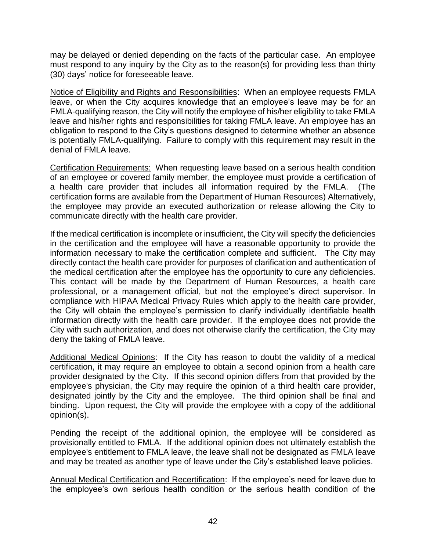may be delayed or denied depending on the facts of the particular case. An employee must respond to any inquiry by the City as to the reason(s) for providing less than thirty (30) days' notice for foreseeable leave.

Notice of Eligibility and Rights and Responsibilities: When an employee requests FMLA leave, or when the City acquires knowledge that an employee's leave may be for an FMLA-qualifying reason, the City will notify the employee of his/her eligibility to take FMLA leave and his/her rights and responsibilities for taking FMLA leave. An employee has an obligation to respond to the City's questions designed to determine whether an absence is potentially FMLA-qualifying. Failure to comply with this requirement may result in the denial of FMLA leave.

Certification Requirements: When requesting leave based on a serious health condition of an employee or covered family member, the employee must provide a certification of a health care provider that includes all information required by the FMLA. (The certification forms are available from the Department of Human Resources) Alternatively, the employee may provide an executed authorization or release allowing the City to communicate directly with the health care provider.

If the medical certification is incomplete or insufficient, the City will specify the deficiencies in the certification and the employee will have a reasonable opportunity to provide the information necessary to make the certification complete and sufficient. The City may directly contact the health care provider for purposes of clarification and authentication of the medical certification after the employee has the opportunity to cure any deficiencies. This contact will be made by the Department of Human Resources, a health care professional, or a management official, but not the employee's direct supervisor. In compliance with HIPAA Medical Privacy Rules which apply to the health care provider, the City will obtain the employee's permission to clarify individually identifiable health information directly with the health care provider. If the employee does not provide the City with such authorization, and does not otherwise clarify the certification, the City may deny the taking of FMLA leave.

Additional Medical Opinions: If the City has reason to doubt the validity of a medical certification, it may require an employee to obtain a second opinion from a health care provider designated by the City. If this second opinion differs from that provided by the employee's physician, the City may require the opinion of a third health care provider, designated jointly by the City and the employee. The third opinion shall be final and binding. Upon request, the City will provide the employee with a copy of the additional opinion(s).

Pending the receipt of the additional opinion, the employee will be considered as provisionally entitled to FMLA. If the additional opinion does not ultimately establish the employee's entitlement to FMLA leave, the leave shall not be designated as FMLA leave and may be treated as another type of leave under the City's established leave policies.

Annual Medical Certification and Recertification: If the employee's need for leave due to the employee's own serious health condition or the serious health condition of the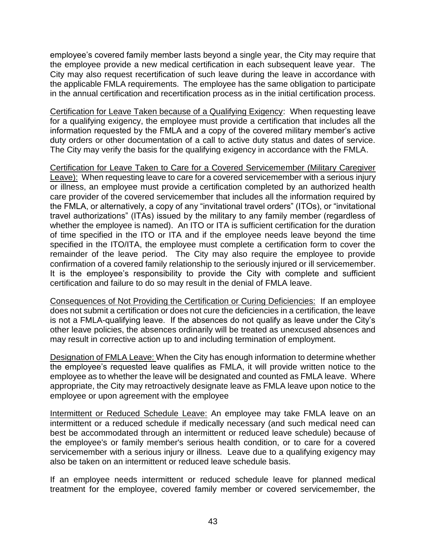employee's covered family member lasts beyond a single year, the City may require that the employee provide a new medical certification in each subsequent leave year. The City may also request recertification of such leave during the leave in accordance with the applicable FMLA requirements. The employee has the same obligation to participate in the annual certification and recertification process as in the initial certification process.

Certification for Leave Taken because of a Qualifying Exigency: When requesting leave for a qualifying exigency, the employee must provide a certification that includes all the information requested by the FMLA and a copy of the covered military member's active duty orders or other documentation of a call to active duty status and dates of service. The City may verify the basis for the qualifying exigency in accordance with the FMLA.

Certification for Leave Taken to Care for a Covered Servicemember (Military Caregiver Leave): When requesting leave to care for a covered servicemember with a serious injury or illness, an employee must provide a certification completed by an authorized health care provider of the covered servicemember that includes all the information required by the FMLA, or alternatively, a copy of any "invitational travel orders" (ITOs), or "invitational travel authorizations" (ITAs) issued by the military to any family member (regardless of whether the employee is named). An ITO or ITA is sufficient certification for the duration of time specified in the ITO or ITA and if the employee needs leave beyond the time specified in the ITO/ITA, the employee must complete a certification form to cover the remainder of the leave period. The City may also require the employee to provide confirmation of a covered family relationship to the seriously injured or ill servicemember. It is the employee's responsibility to provide the City with complete and sufficient certification and failure to do so may result in the denial of FMLA leave.

Consequences of Not Providing the Certification or Curing Deficiencies: If an employee does not submit a certification or does not cure the deficiencies in a certification, the leave is not a FMLA-qualifying leave. If the absences do not qualify as leave under the City's other leave policies, the absences ordinarily will be treated as unexcused absences and may result in corrective action up to and including termination of employment.

Designation of FMLA Leave: When the City has enough information to determine whether the employee's requested leave qualifies as FMLA, it will provide written notice to the employee as to whether the leave will be designated and counted as FMLA leave. Where appropriate, the City may retroactively designate leave as FMLA leave upon notice to the employee or upon agreement with the employee

Intermittent or Reduced Schedule Leave: An employee may take FMLA leave on an intermittent or a reduced schedule if medically necessary (and such medical need can best be accommodated through an intermittent or reduced leave schedule) because of the employee's or family member's serious health condition, or to care for a covered servicemember with a serious injury or illness. Leave due to a qualifying exigency may also be taken on an intermittent or reduced leave schedule basis.

If an employee needs intermittent or reduced schedule leave for planned medical treatment for the employee, covered family member or covered servicemember, the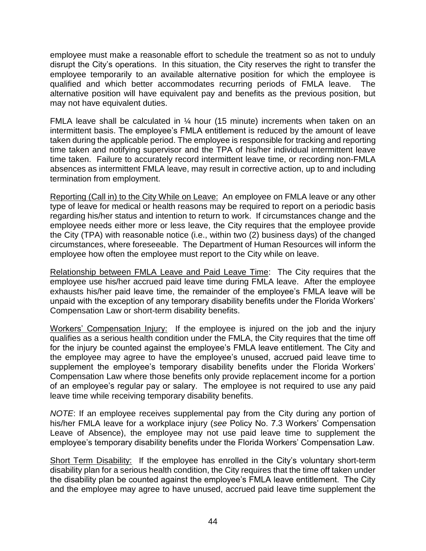employee must make a reasonable effort to schedule the treatment so as not to unduly disrupt the City's operations. In this situation, the City reserves the right to transfer the employee temporarily to an available alternative position for which the employee is qualified and which better accommodates recurring periods of FMLA leave. The alternative position will have equivalent pay and benefits as the previous position, but may not have equivalent duties.

FMLA leave shall be calculated in  $\frac{1}{4}$  hour (15 minute) increments when taken on an intermittent basis. The employee's FMLA entitlement is reduced by the amount of leave taken during the applicable period. The employee is responsible for tracking and reporting time taken and notifying supervisor and the TPA of his/her individual intermittent leave time taken. Failure to accurately record intermittent leave time, or recording non-FMLA absences as intermittent FMLA leave, may result in corrective action, up to and including termination from employment.

Reporting (Call in) to the City While on Leave:An employee on FMLA leave or any other type of leave for medical or health reasons may be required to report on a periodic basis regarding his/her status and intention to return to work. If circumstances change and the employee needs either more or less leave, the City requires that the employee provide the City (TPA) with reasonable notice (i.e., within two (2) business days) of the changed circumstances, where foreseeable. The Department of Human Resources will inform the employee how often the employee must report to the City while on leave.

Relationship between FMLA Leave and Paid Leave Time:The City requires that the employee use his/her accrued paid leave time during FMLA leave. After the employee exhausts his/her paid leave time, the remainder of the employee's FMLA leave will be unpaid with the exception of any temporary disability benefits under the Florida Workers' Compensation Law or short-term disability benefits.

Workers' Compensation Injury: If the employee is injured on the job and the injury qualifies as a serious health condition under the FMLA, the City requires that the time off for the injury be counted against the employee's FMLA leave entitlement. The City and the employee may agree to have the employee's unused, accrued paid leave time to supplement the employee's temporary disability benefits under the Florida Workers' Compensation Law where those benefits only provide replacement income for a portion of an employee's regular pay or salary. The employee is not required to use any paid leave time while receiving temporary disability benefits.

*NOTE*: If an employee receives supplemental pay from the City during any portion of his/her FMLA leave for a workplace injury (*see* Policy No. 7.3 Workers' Compensation Leave of Absence), the employee may not use paid leave time to supplement the employee's temporary disability benefits under the Florida Workers' Compensation Law.

Short Term Disability: If the employee has enrolled in the City's voluntary short-term disability plan for a serious health condition, the City requires that the time off taken under the disability plan be counted against the employee's FMLA leave entitlement. The City and the employee may agree to have unused, accrued paid leave time supplement the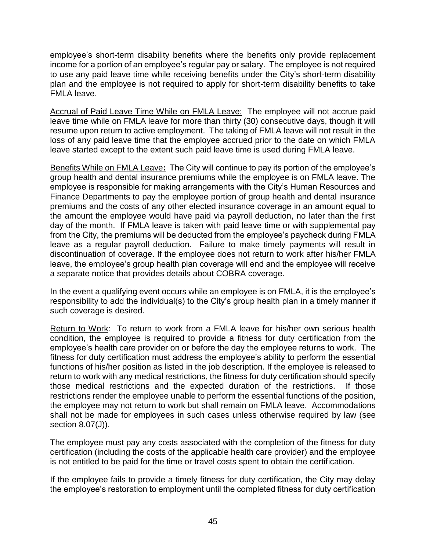employee's short-term disability benefits where the benefits only provide replacement income for a portion of an employee's regular pay or salary. The employee is not required to use any paid leave time while receiving benefits under the City's short-term disability plan and the employee is not required to apply for short-term disability benefits to take FMLA leave.

Accrual of Paid Leave Time While on FMLA Leave:The employee will not accrue paid leave time while on FMLA leave for more than thirty (30) consecutive days, though it will resume upon return to active employment. The taking of FMLA leave will not result in the loss of any paid leave time that the employee accrued prior to the date on which FMLA leave started except to the extent such paid leave time is used during FMLA leave.

Benefits While on FMLA Leave**:** The City will continue to pay its portion of the employee's group health and dental insurance premiums while the employee is on FMLA leave. The employee is responsible for making arrangements with the City's Human Resources and Finance Departments to pay the employee portion of group health and dental insurance premiums and the costs of any other elected insurance coverage in an amount equal to the amount the employee would have paid via payroll deduction, no later than the first day of the month. If FMLA leave is taken with paid leave time or with supplemental pay from the City, the premiums will be deducted from the employee's paycheck during FMLA leave as a regular payroll deduction. Failure to make timely payments will result in discontinuation of coverage. If the employee does not return to work after his/her FMLA leave, the employee's group health plan coverage will end and the employee will receive a separate notice that provides details about COBRA coverage.

In the event a qualifying event occurs while an employee is on FMLA, it is the employee's responsibility to add the individual(s) to the City's group health plan in a timely manner if such coverage is desired.

Return to Work: To return to work from a FMLA leave for his/her own serious health condition, the employee is required to provide a fitness for duty certification from the employee's health care provider on or before the day the employee returns to work. The fitness for duty certification must address the employee's ability to perform the essential functions of his/her position as listed in the job description. If the employee is released to return to work with any medical restrictions, the fitness for duty certification should specify those medical restrictions and the expected duration of the restrictions. If those restrictions render the employee unable to perform the essential functions of the position, the employee may not return to work but shall remain on FMLA leave. Accommodations shall not be made for employees in such cases unless otherwise required by law (see section 8.07(J)).

The employee must pay any costs associated with the completion of the fitness for duty certification (including the costs of the applicable health care provider) and the employee is not entitled to be paid for the time or travel costs spent to obtain the certification.

If the employee fails to provide a timely fitness for duty certification, the City may delay the employee's restoration to employment until the completed fitness for duty certification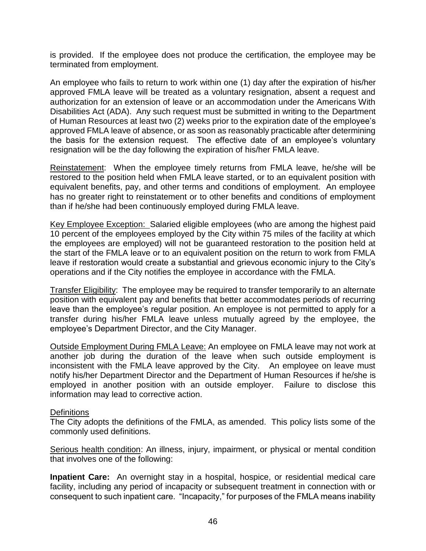is provided. If the employee does not produce the certification, the employee may be terminated from employment.

An employee who fails to return to work within one (1) day after the expiration of his/her approved FMLA leave will be treated as a voluntary resignation, absent a request and authorization for an extension of leave or an accommodation under the Americans With Disabilities Act (ADA). Any such request must be submitted in writing to the Department of Human Resources at least two (2) weeks prior to the expiration date of the employee's approved FMLA leave of absence, or as soon as reasonably practicable after determining the basis for the extension request. The effective date of an employee's voluntary resignation will be the day following the expiration of his/her FMLA leave.

Reinstatement: When the employee timely returns from FMLA leave, he/she will be restored to the position held when FMLA leave started, or to an equivalent position with equivalent benefits, pay, and other terms and conditions of employment. An employee has no greater right to reinstatement or to other benefits and conditions of employment than if he/she had been continuously employed during FMLA leave.

Key Employee Exception: Salaried eligible employees (who are among the highest paid 10 percent of the employees employed by the City within 75 miles of the facility at which the employees are employed) will not be guaranteed restoration to the position held at the start of the FMLA leave or to an equivalent position on the return to work from FMLA leave if restoration would create a substantial and grievous economic injury to the City's operations and if the City notifies the employee in accordance with the FMLA.

Transfer Eligibility:The employee may be required to transfer temporarily to an alternate position with equivalent pay and benefits that better accommodates periods of recurring leave than the employee's regular position. An employee is not permitted to apply for a transfer during his/her FMLA leave unless mutually agreed by the employee, the employee's Department Director, and the City Manager.

Outside Employment During FMLA Leave: An employee on FMLA leave may not work at another job during the duration of the leave when such outside employment is inconsistent with the FMLA leave approved by the City. An employee on leave must notify his/her Department Director and the Department of Human Resources if he/she is employed in another position with an outside employer. Failure to disclose this information may lead to corrective action.

### **Definitions**

The City adopts the definitions of the FMLA, as amended. This policy lists some of the commonly used definitions.

Serious health condition: An illness, injury, impairment, or physical or mental condition that involves one of the following:

**Inpatient Care:** An overnight stay in a hospital, hospice, or residential medical care facility, including any period of incapacity or subsequent treatment in connection with or consequent to such inpatient care. "Incapacity," for purposes of the FMLA means inability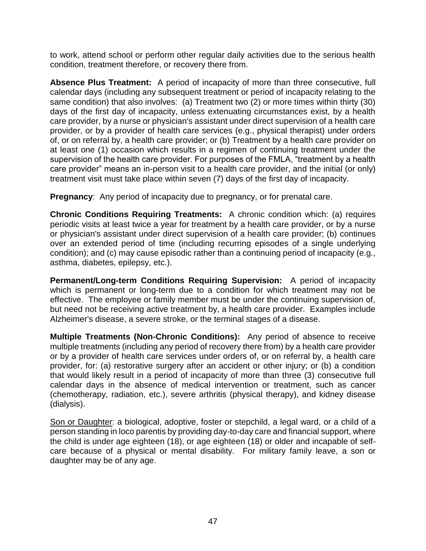to work, attend school or perform other regular daily activities due to the serious health condition, treatment therefore, or recovery there from.

**Absence Plus Treatment:** A period of incapacity of more than three consecutive, full calendar days (including any subsequent treatment or period of incapacity relating to the same condition) that also involves: (a) Treatment two (2) or more times within thirty (30) days of the first day of incapacity, unless extenuating circumstances exist, by a health care provider, by a nurse or physician's assistant under direct supervision of a health care provider, or by a provider of health care services (e.g., physical therapist) under orders of, or on referral by, a health care provider; or (b) Treatment by a health care provider on at least one (1) occasion which results in a regimen of continuing treatment under the supervision of the health care provider. For purposes of the FMLA, "treatment by a health care provider" means an in-person visit to a health care provider, and the initial (or only) treatment visit must take place within seven (7) days of the first day of incapacity.

**Pregnancy**: Any period of incapacity due to pregnancy, or for prenatal care.

**Chronic Conditions Requiring Treatments:** A chronic condition which: (a) requires periodic visits at least twice a year for treatment by a health care provider, or by a nurse or physician's assistant under direct supervision of a health care provider; (b) continues over an extended period of time (including recurring episodes of a single underlying condition); and (c) may cause episodic rather than a continuing period of incapacity (e.g., asthma, diabetes, epilepsy, etc.).

**Permanent/Long-term Conditions Requiring Supervision:** A period of incapacity which is permanent or long-term due to a condition for which treatment may not be effective. The employee or family member must be under the continuing supervision of, but need not be receiving active treatment by, a health care provider. Examples include Alzheimer's disease, a severe stroke, or the terminal stages of a disease.

**Multiple Treatments (Non-Chronic Conditions):** Any period of absence to receive multiple treatments (including any period of recovery there from) by a health care provider or by a provider of health care services under orders of, or on referral by, a health care provider, for: (a) restorative surgery after an accident or other injury; or (b) a condition that would likely result in a period of incapacity of more than three (3) consecutive full calendar days in the absence of medical intervention or treatment, such as cancer (chemotherapy, radiation, etc.), severe arthritis (physical therapy), and kidney disease (dialysis).

Son or Daughter: a biological, adoptive, foster or stepchild, a legal ward, or a child of a person standing in loco parentis by providing day-to-day care and financial support, where the child is under age eighteen (18), or age eighteen (18) or older and incapable of selfcare because of a physical or mental disability. For military family leave, a son or daughter may be of any age.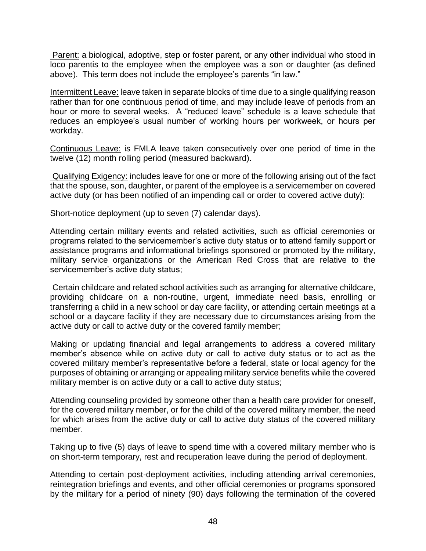Parent: a biological, adoptive, step or foster parent, or any other individual who stood in loco parentis to the employee when the employee was a son or daughter (as defined above). This term does not include the employee's parents "in law."

Intermittent Leave: leave taken in separate blocks of time due to a single qualifying reason rather than for one continuous period of time, and may include leave of periods from an hour or more to several weeks. A "reduced leave" schedule is a leave schedule that reduces an employee's usual number of working hours per workweek, or hours per workday.

Continuous Leave: is FMLA leave taken consecutively over one period of time in the twelve (12) month rolling period (measured backward).

Qualifying Exigency: includes leave for one or more of the following arising out of the fact that the spouse, son, daughter, or parent of the employee is a servicemember on covered active duty (or has been notified of an impending call or order to covered active duty):

Short-notice deployment (up to seven (7) calendar days).

Attending certain military events and related activities, such as official ceremonies or programs related to the servicemember's active duty status or to attend family support or assistance programs and informational briefings sponsored or promoted by the military, military service organizations or the American Red Cross that are relative to the servicemember's active duty status;

Certain childcare and related school activities such as arranging for alternative childcare, providing childcare on a non-routine, urgent, immediate need basis, enrolling or transferring a child in a new school or day care facility, or attending certain meetings at a school or a daycare facility if they are necessary due to circumstances arising from the active duty or call to active duty or the covered family member;

Making or updating financial and legal arrangements to address a covered military member's absence while on active duty or call to active duty status or to act as the covered military member's representative before a federal, state or local agency for the purposes of obtaining or arranging or appealing military service benefits while the covered military member is on active duty or a call to active duty status;

Attending counseling provided by someone other than a health care provider for oneself, for the covered military member, or for the child of the covered military member, the need for which arises from the active duty or call to active duty status of the covered military member.

Taking up to five (5) days of leave to spend time with a covered military member who is on short-term temporary, rest and recuperation leave during the period of deployment.

Attending to certain post-deployment activities, including attending arrival ceremonies, reintegration briefings and events, and other official ceremonies or programs sponsored by the military for a period of ninety (90) days following the termination of the covered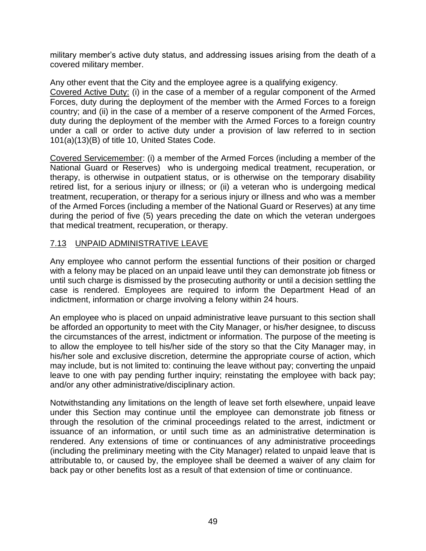military member's active duty status, and addressing issues arising from the death of a covered military member.

Any other event that the City and the employee agree is a qualifying exigency. Covered Active Duty: (i) in the case of a member of a regular component of the Armed Forces, duty during the deployment of the member with the Armed Forces to a foreign country; and (ii) in the case of a member of a reserve component of the Armed Forces, duty during the deployment of the member with the Armed Forces to a foreign country under a call or order to active duty under a provision of law referred to in section 101(a)(13)(B) of title 10, United States Code.

Covered Servicemember: (i) a member of the Armed Forces (including a member of the National Guard or Reserves) who is undergoing medical treatment, recuperation, or therapy, is otherwise in outpatient status, or is otherwise on the temporary disability retired list, for a serious injury or illness; or (ii) a veteran who is undergoing medical treatment, recuperation, or therapy for a serious injury or illness and who was a member of the Armed Forces (including a member of the National Guard or Reserves) at any time during the period of five (5) years preceding the date on which the veteran undergoes that medical treatment, recuperation, or therapy.

## 7.13 UNPAID ADMINISTRATIVE LEAVE

Any employee who cannot perform the essential functions of their position or charged with a felony may be placed on an unpaid leave until they can demonstrate job fitness or until such charge is dismissed by the prosecuting authority or until a decision settling the case is rendered. Employees are required to inform the Department Head of an indictment, information or charge involving a felony within 24 hours.

An employee who is placed on unpaid administrative leave pursuant to this section shall be afforded an opportunity to meet with the City Manager, or his/her designee, to discuss the circumstances of the arrest, indictment or information. The purpose of the meeting is to allow the employee to tell his/her side of the story so that the City Manager may, in his/her sole and exclusive discretion, determine the appropriate course of action, which may include, but is not limited to: continuing the leave without pay; converting the unpaid leave to one with pay pending further inquiry; reinstating the employee with back pay; and/or any other administrative/disciplinary action.

Notwithstanding any limitations on the length of leave set forth elsewhere, unpaid leave under this Section may continue until the employee can demonstrate job fitness or through the resolution of the criminal proceedings related to the arrest, indictment or issuance of an information, or until such time as an administrative determination is rendered. Any extensions of time or continuances of any administrative proceedings (including the preliminary meeting with the City Manager) related to unpaid leave that is attributable to, or caused by, the employee shall be deemed a waiver of any claim for back pay or other benefits lost as a result of that extension of time or continuance.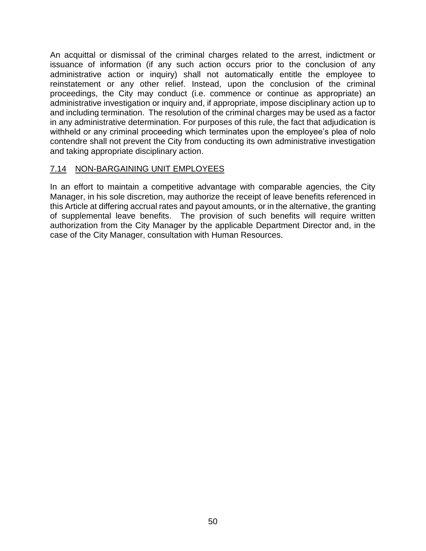An acquittal or dismissal of the criminal charges related to the arrest, indictment or issuance of information (if any such action occurs prior to the conclusion of any administrative action or inquiry) shall not automatically entitle the employee to reinstatement or any other relief. Instead, upon the conclusion of the criminal proceedings, the City may conduct (i.e. commence or continue as appropriate) an administrative investigation or inquiry and, if appropriate, impose disciplinary action up to and including termination. The resolution of the criminal charges may be used as a factor in any administrative determination. For purposes of this rule, the fact that adjudication is withheld or any criminal proceeding which terminates upon the employee's plea of nolo contendre shall not prevent the City from conducting its own administrative investigation and taking appropriate disciplinary action.

### 7.14 NON-BARGAINING UNIT EMPLOYEES

In an effort to maintain a competitive advantage with comparable agencies, the City Manager, in his sole discretion, may authorize the receipt of leave benefits referenced in this Article at differing accrual rates and payout amounts, or in the alternative, the granting of supplemental leave benefits. The provision of such benefits will require written authorization from the City Manager by the applicable Department Director and, in the case of the City Manager, consultation with Human Resources.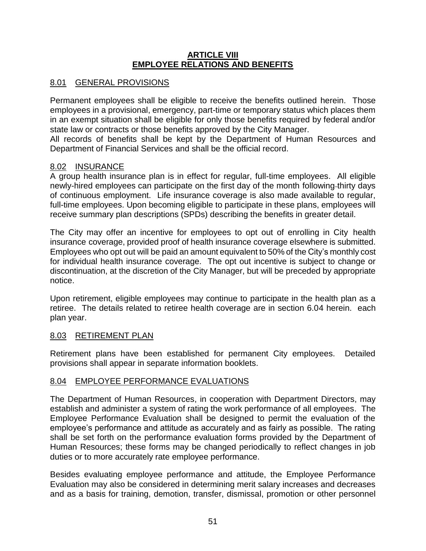### **ARTICLE VIII EMPLOYEE RELATIONS AND BENEFITS**

# 8.01 GENERAL PROVISIONS

Permanent employees shall be eligible to receive the benefits outlined herein. Those employees in a provisional, emergency, part-time or temporary status which places them in an exempt situation shall be eligible for only those benefits required by federal and/or state law or contracts or those benefits approved by the City Manager.

All records of benefits shall be kept by the Department of Human Resources and Department of Financial Services and shall be the official record.

## 8.02 INSURANCE

A group health insurance plan is in effect for regular, full-time employees. All eligible newly-hired employees can participate on the first day of the month following-thirty days of continuous employment. Life insurance coverage is also made available to regular, full-time employees. Upon becoming eligible to participate in these plans, employees will receive summary plan descriptions (SPDs) describing the benefits in greater detail.

The City may offer an incentive for employees to opt out of enrolling in City health insurance coverage, provided proof of health insurance coverage elsewhere is submitted. Employees who opt out will be paid an amount equivalent to 50% of the City's monthly cost for individual health insurance coverage. The opt out incentive is subject to change or discontinuation, at the discretion of the City Manager, but will be preceded by appropriate notice.

Upon retirement, eligible employees may continue to participate in the health plan as a retiree. The details related to retiree health coverage are in section 6.04 herein. each plan year.

# 8.03 RETIREMENT PLAN

Retirement plans have been established for permanent City employees. Detailed provisions shall appear in separate information booklets.

## 8.04 EMPLOYEE PERFORMANCE EVALUATIONS

The Department of Human Resources, in cooperation with Department Directors, may establish and administer a system of rating the work performance of all employees. The Employee Performance Evaluation shall be designed to permit the evaluation of the employee's performance and attitude as accurately and as fairly as possible. The rating shall be set forth on the performance evaluation forms provided by the Department of Human Resources; these forms may be changed periodically to reflect changes in job duties or to more accurately rate employee performance.

Besides evaluating employee performance and attitude, the Employee Performance Evaluation may also be considered in determining merit salary increases and decreases and as a basis for training, demotion, transfer, dismissal, promotion or other personnel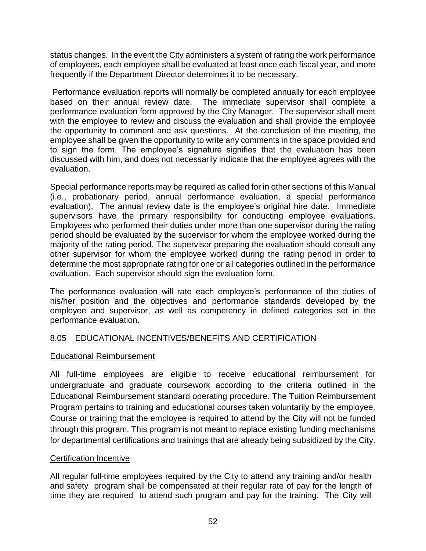status changes. In the event the City administers a system of rating the work performance of employees, each employee shall be evaluated at least once each fiscal year, and more frequently if the Department Director determines it to be necessary.

Performance evaluation reports will normally be completed annually for each employee based on their annual review date. The immediate supervisor shall complete a performance evaluation form approved by the City Manager. The supervisor shall meet with the employee to review and discuss the evaluation and shall provide the employee the opportunity to comment and ask questions. At the conclusion of the meeting, the employee shall be given the opportunity to write any comments in the space provided and to sign the form. The employee's signature signifies that the evaluation has been discussed with him, and does not necessarily indicate that the employee agrees with the evaluation.

Special performance reports may be required as called for in other sections of this Manual (i.e., probationary period, annual performance evaluation, a special performance evaluation). The annual review date is the employee's original hire date. Immediate supervisors have the primary responsibility for conducting employee evaluations. Employees who performed their duties under more than one supervisor during the rating period should be evaluated by the supervisor for whom the employee worked during the majority of the rating period. The supervisor preparing the evaluation should consult any other supervisor for whom the employee worked during the rating period in order to determine the most appropriate rating for one or all categories outlined in the performance evaluation. Each supervisor should sign the evaluation form.

The performance evaluation will rate each employee's performance of the duties of his/her position and the objectives and performance standards developed by the employee and supervisor, as well as competency in defined categories set in the performance evaluation.

# 8.05 EDUCATIONAL INCENTIVES/BENEFITS AND CERTIFICATION

## Educational Reimbursement

All full-time employees are eligible to receive educational reimbursement for undergraduate and graduate coursework according to the criteria outlined in the Educational Reimbursement standard operating procedure. The Tuition Reimbursement Program pertains to training and educational courses taken voluntarily by the employee. Course or training that the employee is required to attend by the City will not be funded through this program. This program is not meant to replace existing funding mechanisms for departmental certifications and trainings that are already being subsidized by the City.

## Certification Incentive

All regular full-time employees required by the City to attend any training and/or health and safety program shall be compensated at their regular rate of pay for the length of time they are required to attend such program and pay for the training. The City will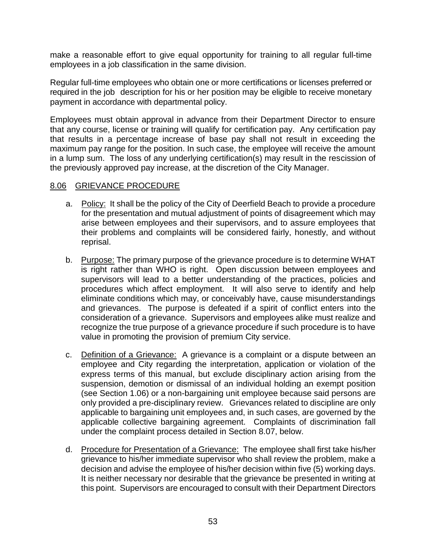make a reasonable effort to give equal opportunity for training to all regular full-time employees in a job classification in the same division.

Regular full-time employees who obtain one or more certifications or licenses preferred or required in the job description for his or her position may be eligible to receive monetary payment in accordance with departmental policy.

Employees must obtain approval in advance from their Department Director to ensure that any course, license or training will qualify for certification pay. Any certification pay that results in a percentage increase of base pay shall not result in exceeding the maximum pay range for the position. In such case, the employee will receive the amount in a lump sum. The loss of any underlying certification(s) may result in the rescission of the previously approved pay increase, at the discretion of the City Manager.

### 8.06 GRIEVANCE PROCEDURE

- a. Policy: It shall be the policy of the City of Deerfield Beach to provide a procedure for the presentation and mutual adjustment of points of disagreement which may arise between employees and their supervisors, and to assure employees that their problems and complaints will be considered fairly, honestly, and without reprisal.
- b. Purpose: The primary purpose of the grievance procedure is to determine WHAT is right rather than WHO is right. Open discussion between employees and supervisors will lead to a better understanding of the practices, policies and procedures which affect employment. It will also serve to identify and help eliminate conditions which may, or conceivably have, cause misunderstandings and grievances. The purpose is defeated if a spirit of conflict enters into the consideration of a grievance. Supervisors and employees alike must realize and recognize the true purpose of a grievance procedure if such procedure is to have value in promoting the provision of premium City service.
- c. Definition of a Grievance: A grievance is a complaint or a dispute between an employee and City regarding the interpretation, application or violation of the express terms of this manual, but exclude disciplinary action arising from the suspension, demotion or dismissal of an individual holding an exempt position (see Section 1.06) or a non-bargaining unit employee because said persons are only provided a pre-disciplinary review. Grievances related to discipline are only applicable to bargaining unit employees and, in such cases, are governed by the applicable collective bargaining agreement. Complaints of discrimination fall under the complaint process detailed in Section 8.07, below.
- d. Procedure for Presentation of a Grievance: The employee shall first take his/her grievance to his/her immediate supervisor who shall review the problem, make a decision and advise the employee of his/her decision within five (5) working days. It is neither necessary nor desirable that the grievance be presented in writing at this point. Supervisors are encouraged to consult with their Department Directors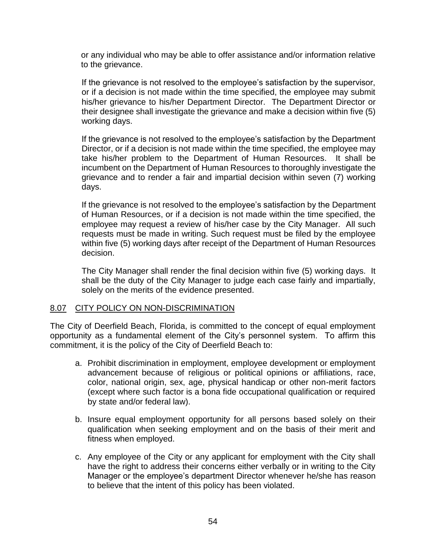or any individual who may be able to offer assistance and/or information relative to the grievance.

If the grievance is not resolved to the employee's satisfaction by the supervisor, or if a decision is not made within the time specified, the employee may submit his/her grievance to his/her Department Director. The Department Director or their designee shall investigate the grievance and make a decision within five (5) working days.

If the grievance is not resolved to the employee's satisfaction by the Department Director, or if a decision is not made within the time specified, the employee may take his/her problem to the Department of Human Resources. It shall be incumbent on the Department of Human Resources to thoroughly investigate the grievance and to render a fair and impartial decision within seven (7) working days.

If the grievance is not resolved to the employee's satisfaction by the Department of Human Resources, or if a decision is not made within the time specified, the employee may request a review of his/her case by the City Manager. All such requests must be made in writing. Such request must be filed by the employee within five (5) working days after receipt of the Department of Human Resources decision.

The City Manager shall render the final decision within five (5) working days. It shall be the duty of the City Manager to judge each case fairly and impartially, solely on the merits of the evidence presented.

### 8.07 CITY POLICY ON NON-DISCRIMINATION

The City of Deerfield Beach, Florida, is committed to the concept of equal employment opportunity as a fundamental element of the City's personnel system. To affirm this commitment, it is the policy of the City of Deerfield Beach to:

- a. Prohibit discrimination in employment, employee development or employment advancement because of religious or political opinions or affiliations, race, color, national origin, sex, age, physical handicap or other non-merit factors (except where such factor is a bona fide occupational qualification or required by state and/or federal law).
- b. Insure equal employment opportunity for all persons based solely on their qualification when seeking employment and on the basis of their merit and fitness when employed.
- c. Any employee of the City or any applicant for employment with the City shall have the right to address their concerns either verbally or in writing to the City Manager or the employee's department Director whenever he/she has reason to believe that the intent of this policy has been violated.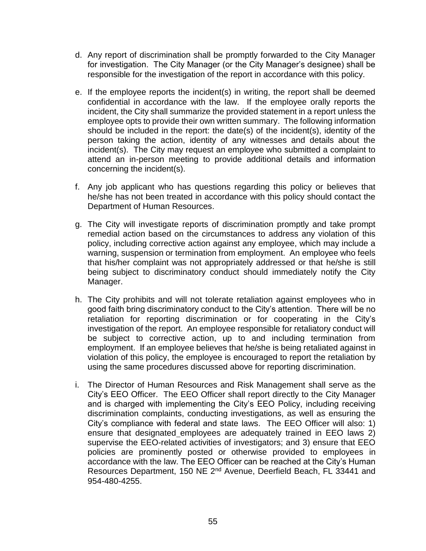- d. Any report of discrimination shall be promptly forwarded to the City Manager for investigation. The City Manager (or the City Manager's designee) shall be responsible for the investigation of the report in accordance with this policy.
- e. If the employee reports the incident(s) in writing, the report shall be deemed confidential in accordance with the law. If the employee orally reports the incident, the City shall summarize the provided statement in a report unless the employee opts to provide their own written summary. The following information should be included in the report: the date(s) of the incident(s), identity of the person taking the action, identity of any witnesses and details about the incident(s). The City may request an employee who submitted a complaint to attend an in-person meeting to provide additional details and information concerning the incident(s).
- f. Any job applicant who has questions regarding this policy or believes that he/she has not been treated in accordance with this policy should contact the Department of Human Resources.
- g. The City will investigate reports of discrimination promptly and take prompt remedial action based on the circumstances to address any violation of this policy, including corrective action against any employee, which may include a warning, suspension or termination from employment. An employee who feels that his/her complaint was not appropriately addressed or that he/she is still being subject to discriminatory conduct should immediately notify the City Manager.
- h. The City prohibits and will not tolerate retaliation against employees who in good faith bring discriminatory conduct to the City's attention. There will be no retaliation for reporting discrimination or for cooperating in the City's investigation of the report. An employee responsible for retaliatory conduct will be subject to corrective action, up to and including termination from employment. If an employee believes that he/she is being retaliated against in violation of this policy, the employee is encouraged to report the retaliation by using the same procedures discussed above for reporting discrimination.
- i. The Director of Human Resources and Risk Management shall serve as the City's EEO Officer. The EEO Officer shall report directly to the City Manager and is charged with implementing the City's EEO Policy, including receiving discrimination complaints, conducting investigations, as well as ensuring the City's compliance with federal and state laws. The EEO Officer will also: 1) ensure that designated employees are adequately trained in EEO laws 2) supervise the EEO-related activities of investigators; and 3) ensure that EEO policies are prominently posted or otherwise provided to employees in accordance with the law. The EEO Officer can be reached at the City's Human Resources Department, 150 NE 2<sup>nd</sup> Avenue, Deerfield Beach, FL 33441 and 954-480-4255.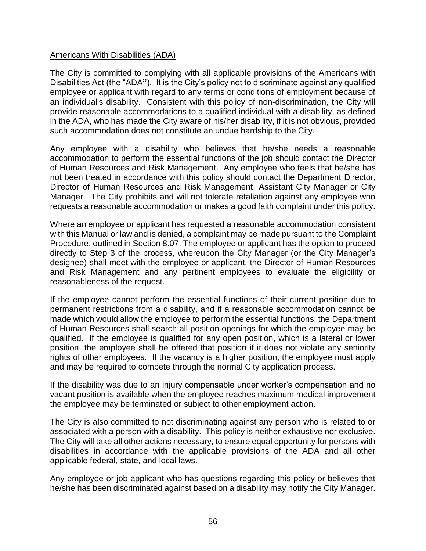### Americans With Disabilities (ADA)

The City is committed to complying with all applicable provisions of the Americans with Disabilities Act (the "ADA**"**). It is the City's policy not to discriminate against any qualified employee or applicant with regard to any terms or conditions of employment because of an individual's disability. Consistent with this policy of non-discrimination, the City will provide reasonable accommodations to a qualified individual with a disability, as defined in the ADA, who has made the City aware of his/her disability, if it is not obvious, provided such accommodation does not constitute an undue hardship to the City.

Any employee with a disability who believes that he/she needs a reasonable accommodation to perform the essential functions of the job should contact the Director of Human Resources and Risk Management. Any employee who feels that he/she has not been treated in accordance with this policy should contact the Department Director, Director of Human Resources and Risk Management, Assistant City Manager or City Manager. The City prohibits and will not tolerate retaliation against any employee who requests a reasonable accommodation or makes a good faith complaint under this policy.

Where an employee or applicant has requested a reasonable accommodation consistent with this Manual or law and is denied, a complaint may be made pursuant to the Complaint Procedure, outlined in Section 8.07. The employee or applicant has the option to proceed directly to Step 3 of the process, whereupon the City Manager (or the City Manager's designee) shall meet with the employee or applicant, the Director of Human Resources and Risk Management and any pertinent employees to evaluate the eligibility or reasonableness of the request.

If the employee cannot perform the essential functions of their current position due to permanent restrictions from a disability, and if a reasonable accommodation cannot be made which would allow the employee to perform the essential functions, the Department of Human Resources shall search all position openings for which the employee may be qualified. If the employee is qualified for any open position, which is a lateral or lower position, the employee shall be offered that position if it does not violate any seniority rights of other employees. If the vacancy is a higher position, the employee must apply and may be required to compete through the normal City application process.

If the disability was due to an injury compensable under worker's compensation and no vacant position is available when the employee reaches maximum medical improvement the employee may be terminated or subject to other employment action.

The City is also committed to not discriminating against any person who is related to or associated with a person with a disability. This policy is neither exhaustive nor exclusive. The City will take all other actions necessary, to ensure equal opportunity for persons with disabilities in accordance with the applicable provisions of the ADA and all other applicable federal, state, and local laws.

Any employee or job applicant who has questions regarding this policy or believes that he/she has been discriminated against based on a disability may notify the City Manager.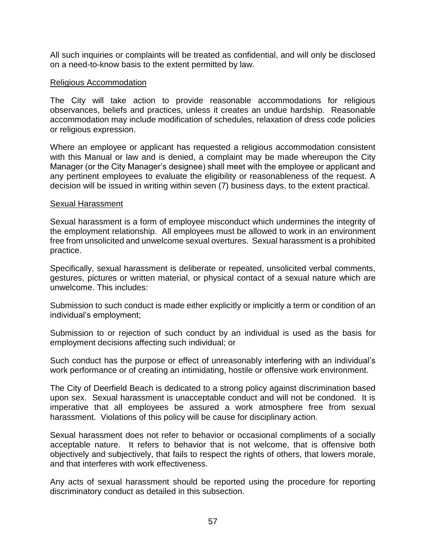All such inquiries or complaints will be treated as confidential, and will only be disclosed on a need-to-know basis to the extent permitted by law.

#### Religious Accommodation

The City will take action to provide reasonable accommodations for religious observances, beliefs and practices, unless it creates an undue hardship. Reasonable accommodation may include modification of schedules, relaxation of dress code policies or religious expression.

Where an employee or applicant has requested a religious accommodation consistent with this Manual or law and is denied, a complaint may be made whereupon the City Manager (or the City Manager's designee) shall meet with the employee or applicant and any pertinent employees to evaluate the eligibility or reasonableness of the request. A decision will be issued in writing within seven (7) business days, to the extent practical.

#### Sexual Harassment

Sexual harassment is a form of employee misconduct which undermines the integrity of the employment relationship. All employees must be allowed to work in an environment free from unsolicited and unwelcome sexual overtures. Sexual harassment is a prohibited practice.

Specifically, sexual harassment is deliberate or repeated, unsolicited verbal comments, gestures, pictures or written material, or physical contact of a sexual nature which are unwelcome. This includes:

Submission to such conduct is made either explicitly or implicitly a term or condition of an individual's employment;

Submission to or rejection of such conduct by an individual is used as the basis for employment decisions affecting such individual; or

Such conduct has the purpose or effect of unreasonably interfering with an individual's work performance or of creating an intimidating, hostile or offensive work environment.

The City of Deerfield Beach is dedicated to a strong policy against discrimination based upon sex. Sexual harassment is unacceptable conduct and will not be condoned. It is imperative that all employees be assured a work atmosphere free from sexual harassment. Violations of this policy will be cause for disciplinary action.

Sexual harassment does not refer to behavior or occasional compliments of a socially acceptable nature. It refers to behavior that is not welcome, that is offensive both objectively and subjectively, that fails to respect the rights of others, that lowers morale, and that interferes with work effectiveness.

Any acts of sexual harassment should be reported using the procedure for reporting discriminatory conduct as detailed in this subsection.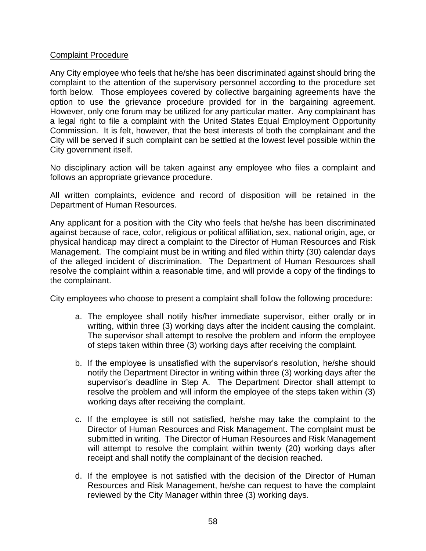### Complaint Procedure

Any City employee who feels that he/she has been discriminated against should bring the complaint to the attention of the supervisory personnel according to the procedure set forth below. Those employees covered by collective bargaining agreements have the option to use the grievance procedure provided for in the bargaining agreement. However, only one forum may be utilized for any particular matter. Any complainant has a legal right to file a complaint with the United States Equal Employment Opportunity Commission. It is felt, however, that the best interests of both the complainant and the City will be served if such complaint can be settled at the lowest level possible within the City government itself.

No disciplinary action will be taken against any employee who files a complaint and follows an appropriate grievance procedure.

All written complaints, evidence and record of disposition will be retained in the Department of Human Resources.

Any applicant for a position with the City who feels that he/she has been discriminated against because of race, color, religious or political affiliation, sex, national origin, age, or physical handicap may direct a complaint to the Director of Human Resources and Risk Management. The complaint must be in writing and filed within thirty (30) calendar days of the alleged incident of discrimination. The Department of Human Resources shall resolve the complaint within a reasonable time, and will provide a copy of the findings to the complainant.

City employees who choose to present a complaint shall follow the following procedure:

- a. The employee shall notify his/her immediate supervisor, either orally or in writing, within three (3) working days after the incident causing the complaint. The supervisor shall attempt to resolve the problem and inform the employee of steps taken within three (3) working days after receiving the complaint.
- b. If the employee is unsatisfied with the supervisor's resolution, he/she should notify the Department Director in writing within three (3) working days after the supervisor's deadline in Step A. The Department Director shall attempt to resolve the problem and will inform the employee of the steps taken within (3) working days after receiving the complaint.
- c. If the employee is still not satisfied, he/she may take the complaint to the Director of Human Resources and Risk Management. The complaint must be submitted in writing. The Director of Human Resources and Risk Management will attempt to resolve the complaint within twenty (20) working days after receipt and shall notify the complainant of the decision reached.
- d. If the employee is not satisfied with the decision of the Director of Human Resources and Risk Management, he/she can request to have the complaint reviewed by the City Manager within three (3) working days.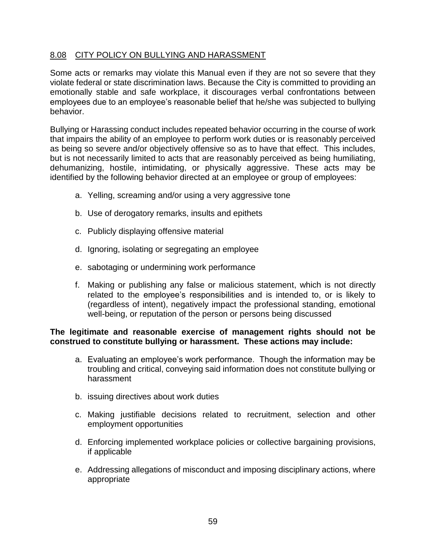### 8.08 CITY POLICY ON BULLYING AND HARASSMENT

Some acts or remarks may violate this Manual even if they are not so severe that they violate federal or state discrimination laws. Because the City is committed to providing an emotionally stable and safe workplace, it discourages verbal confrontations between employees due to an employee's reasonable belief that he/she was subjected to bullying behavior.

Bullying or Harassing conduct includes repeated behavior occurring in the course of work that impairs the ability of an employee to perform work duties or is reasonably perceived as being so severe and/or objectively offensive so as to have that effect. This includes, but is not necessarily limited to acts that are reasonably perceived as being humiliating, dehumanizing, hostile, intimidating, or physically aggressive. These acts may be identified by the following behavior directed at an employee or group of employees:

- a. Yelling, screaming and/or using a very aggressive tone
- b. Use of derogatory remarks, insults and epithets
- c. Publicly displaying offensive material
- d. Ignoring, isolating or segregating an employee
- e. sabotaging or undermining work performance
- f. Making or publishing any false or malicious statement, which is not directly related to the employee's responsibilities and is intended to, or is likely to (regardless of intent), negatively impact the professional standing, emotional well-being, or reputation of the person or persons being discussed

#### **The legitimate and reasonable exercise of management rights should not be construed to constitute bullying or harassment. These actions may include:**

- a. Evaluating an employee's work performance. Though the information may be troubling and critical, conveying said information does not constitute bullying or harassment
- b. issuing directives about work duties
- c. Making justifiable decisions related to recruitment, selection and other employment opportunities
- d. Enforcing implemented workplace policies or collective bargaining provisions, if applicable
- e. Addressing allegations of misconduct and imposing disciplinary actions, where appropriate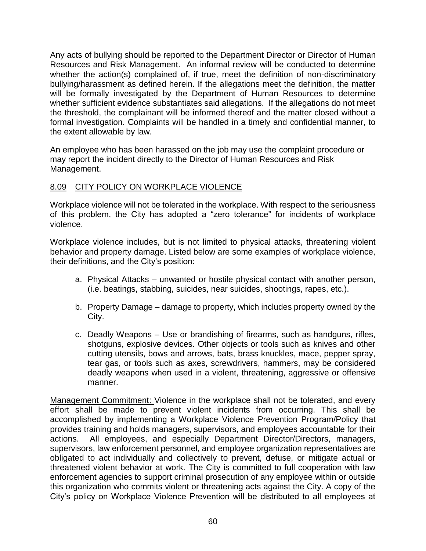Any acts of bullying should be reported to the Department Director or Director of Human Resources and Risk Management. An informal review will be conducted to determine whether the action(s) complained of, if true, meet the definition of non-discriminatory bullying/harassment as defined herein. If the allegations meet the definition, the matter will be formally investigated by the Department of Human Resources to determine whether sufficient evidence substantiates said allegations. If the allegations do not meet the threshold, the complainant will be informed thereof and the matter closed without a formal investigation. Complaints will be handled in a timely and confidential manner, to the extent allowable by law.

An employee who has been harassed on the job may use the complaint procedure or may report the incident directly to the Director of Human Resources and Risk Management.

## 8.09 CITY POLICY ON WORKPLACE VIOLENCE

Workplace violence will not be tolerated in the workplace. With respect to the seriousness of this problem, the City has adopted a "zero tolerance" for incidents of workplace violence.

Workplace violence includes, but is not limited to physical attacks, threatening violent behavior and property damage. Listed below are some examples of workplace violence, their definitions, and the City's position:

- a. Physical Attacks unwanted or hostile physical contact with another person, (i.e. beatings, stabbing, suicides, near suicides, shootings, rapes, etc.).
- b. Property Damage damage to property, which includes property owned by the City.
- c. Deadly Weapons Use or brandishing of firearms, such as handguns, rifles, shotguns, explosive devices. Other objects or tools such as knives and other cutting utensils, bows and arrows, bats, brass knuckles, mace, pepper spray, tear gas, or tools such as axes, screwdrivers, hammers, may be considered deadly weapons when used in a violent, threatening, aggressive or offensive manner.

Management Commitment: Violence in the workplace shall not be tolerated, and every effort shall be made to prevent violent incidents from occurring. This shall be accomplished by implementing a Workplace Violence Prevention Program/Policy that provides training and holds managers, supervisors, and employees accountable for their actions. All employees, and especially Department Director/Directors, managers, supervisors, law enforcement personnel, and employee organization representatives are obligated to act individually and collectively to prevent, defuse, or mitigate actual or threatened violent behavior at work. The City is committed to full cooperation with law enforcement agencies to support criminal prosecution of any employee within or outside this organization who commits violent or threatening acts against the City. A copy of the City's policy on Workplace Violence Prevention will be distributed to all employees at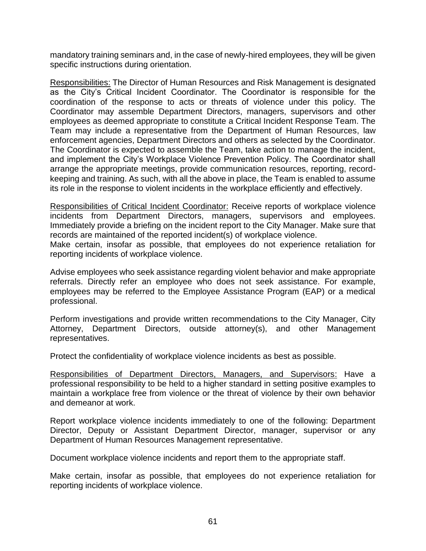mandatory training seminars and, in the case of newly-hired employees, they will be given specific instructions during orientation.

Responsibilities: The Director of Human Resources and Risk Management is designated as the City's Critical Incident Coordinator. The Coordinator is responsible for the coordination of the response to acts or threats of violence under this policy. The Coordinator may assemble Department Directors, managers, supervisors and other employees as deemed appropriate to constitute a Critical Incident Response Team. The Team may include a representative from the Department of Human Resources, law enforcement agencies, Department Directors and others as selected by the Coordinator. The Coordinator is expected to assemble the Team, take action to manage the incident, and implement the City's Workplace Violence Prevention Policy. The Coordinator shall arrange the appropriate meetings, provide communication resources, reporting, recordkeeping and training. As such, with all the above in place, the Team is enabled to assume its role in the response to violent incidents in the workplace efficiently and effectively.

Responsibilities of Critical Incident Coordinator: Receive reports of workplace violence incidents from Department Directors, managers, supervisors and employees. Immediately provide a briefing on the incident report to the City Manager. Make sure that records are maintained of the reported incident(s) of workplace violence.

Make certain, insofar as possible, that employees do not experience retaliation for reporting incidents of workplace violence.

Advise employees who seek assistance regarding violent behavior and make appropriate referrals. Directly refer an employee who does not seek assistance. For example, employees may be referred to the Employee Assistance Program (EAP) or a medical professional.

Perform investigations and provide written recommendations to the City Manager, City Attorney, Department Directors, outside attorney(s), and other Management representatives.

Protect the confidentiality of workplace violence incidents as best as possible.

Responsibilities of Department Directors, Managers, and Supervisors: Have a professional responsibility to be held to a higher standard in setting positive examples to maintain a workplace free from violence or the threat of violence by their own behavior and demeanor at work.

Report workplace violence incidents immediately to one of the following: Department Director, Deputy or Assistant Department Director, manager, supervisor or any Department of Human Resources Management representative.

Document workplace violence incidents and report them to the appropriate staff.

Make certain, insofar as possible, that employees do not experience retaliation for reporting incidents of workplace violence.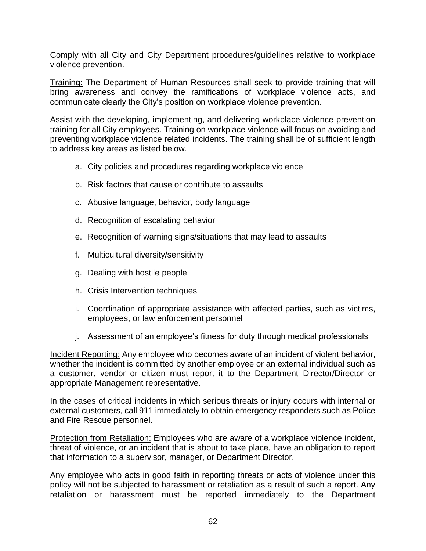Comply with all City and City Department procedures/guidelines relative to workplace violence prevention.

Training: The Department of Human Resources shall seek to provide training that will bring awareness and convey the ramifications of workplace violence acts, and communicate clearly the City's position on workplace violence prevention.

Assist with the developing, implementing, and delivering workplace violence prevention training for all City employees. Training on workplace violence will focus on avoiding and preventing workplace violence related incidents. The training shall be of sufficient length to address key areas as listed below.

- a. City policies and procedures regarding workplace violence
- b. Risk factors that cause or contribute to assaults
- c. Abusive language, behavior, body language
- d. Recognition of escalating behavior
- e. Recognition of warning signs/situations that may lead to assaults
- f. Multicultural diversity/sensitivity
- g. Dealing with hostile people
- h. Crisis Intervention techniques
- i. Coordination of appropriate assistance with affected parties, such as victims, employees, or law enforcement personnel
- j. Assessment of an employee's fitness for duty through medical professionals

Incident Reporting: Any employee who becomes aware of an incident of violent behavior, whether the incident is committed by another employee or an external individual such as a customer, vendor or citizen must report it to the Department Director/Director or appropriate Management representative.

In the cases of critical incidents in which serious threats or injury occurs with internal or external customers, call 911 immediately to obtain emergency responders such as Police and Fire Rescue personnel.

Protection from Retaliation: Employees who are aware of a workplace violence incident, threat of violence, or an incident that is about to take place, have an obligation to report that information to a supervisor, manager, or Department Director.

Any employee who acts in good faith in reporting threats or acts of violence under this policy will not be subjected to harassment or retaliation as a result of such a report. Any retaliation or harassment must be reported immediately to the Department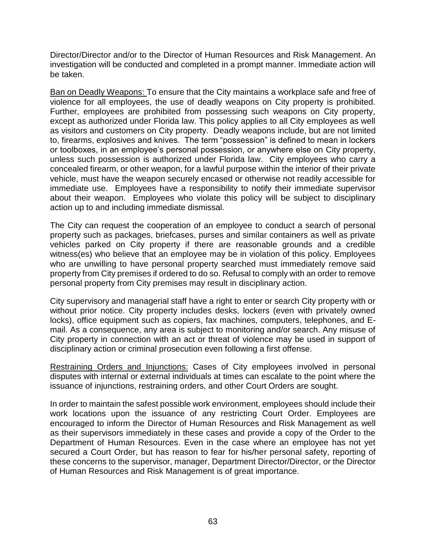Director/Director and/or to the Director of Human Resources and Risk Management. An investigation will be conducted and completed in a prompt manner. Immediate action will be taken.

Ban on Deadly Weapons: To ensure that the City maintains a workplace safe and free of violence for all employees, the use of deadly weapons on City property is prohibited. Further, employees are prohibited from possessing such weapons on City property, except as authorized under Florida law. This policy applies to all City employees as well as visitors and customers on City property. Deadly weapons include, but are not limited to, firearms, explosives and knives. The term "possession" is defined to mean in lockers or toolboxes, in an employee's personal possession, or anywhere else on City property, unless such possession is authorized under Florida law. City employees who carry a concealed firearm, or other weapon, for a lawful purpose within the interior of their private vehicle, must have the weapon securely encased or otherwise not readily accessible for immediate use. Employees have a responsibility to notify their immediate supervisor about their weapon. Employees who violate this policy will be subject to disciplinary action up to and including immediate dismissal.

The City can request the cooperation of an employee to conduct a search of personal property such as packages, briefcases, purses and similar containers as well as private vehicles parked on City property if there are reasonable grounds and a credible witness(es) who believe that an employee may be in violation of this policy. Employees who are unwilling to have personal property searched must immediately remove said property from City premises if ordered to do so. Refusal to comply with an order to remove personal property from City premises may result in disciplinary action.

City supervisory and managerial staff have a right to enter or search City property with or without prior notice. City property includes desks, lockers (even with privately owned locks), office equipment such as copiers, fax machines, computers, telephones, and Email. As a consequence, any area is subject to monitoring and/or search. Any misuse of City property in connection with an act or threat of violence may be used in support of disciplinary action or criminal prosecution even following a first offense.

Restraining Orders and Injunctions: Cases of City employees involved in personal disputes with internal or external individuals at times can escalate to the point where the issuance of injunctions, restraining orders, and other Court Orders are sought.

In order to maintain the safest possible work environment, employees should include their work locations upon the issuance of any restricting Court Order. Employees are encouraged to inform the Director of Human Resources and Risk Management as well as their supervisors immediately in these cases and provide a copy of the Order to the Department of Human Resources. Even in the case where an employee has not yet secured a Court Order, but has reason to fear for his/her personal safety, reporting of these concerns to the supervisor, manager, Department Director/Director, or the Director of Human Resources and Risk Management is of great importance.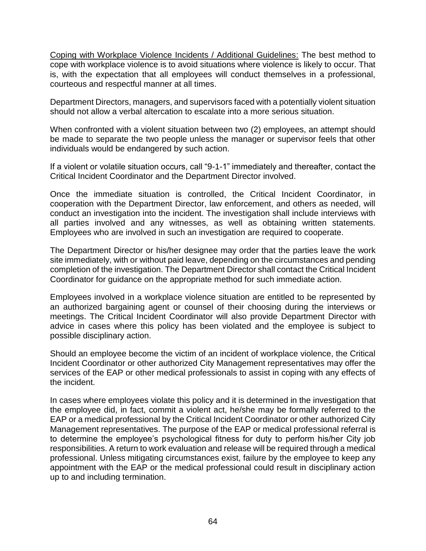Coping with Workplace Violence Incidents / Additional Guidelines: The best method to cope with workplace violence is to avoid situations where violence is likely to occur. That is, with the expectation that all employees will conduct themselves in a professional, courteous and respectful manner at all times.

Department Directors, managers, and supervisors faced with a potentially violent situation should not allow a verbal altercation to escalate into a more serious situation.

When confronted with a violent situation between two (2) employees, an attempt should be made to separate the two people unless the manager or supervisor feels that other individuals would be endangered by such action.

If a violent or volatile situation occurs, call "9-1-1" immediately and thereafter, contact the Critical Incident Coordinator and the Department Director involved.

Once the immediate situation is controlled, the Critical Incident Coordinator, in cooperation with the Department Director, law enforcement, and others as needed, will conduct an investigation into the incident. The investigation shall include interviews with all parties involved and any witnesses, as well as obtaining written statements. Employees who are involved in such an investigation are required to cooperate.

The Department Director or his/her designee may order that the parties leave the work site immediately, with or without paid leave, depending on the circumstances and pending completion of the investigation. The Department Director shall contact the Critical Incident Coordinator for guidance on the appropriate method for such immediate action.

Employees involved in a workplace violence situation are entitled to be represented by an authorized bargaining agent or counsel of their choosing during the interviews or meetings. The Critical Incident Coordinator will also provide Department Director with advice in cases where this policy has been violated and the employee is subject to possible disciplinary action.

Should an employee become the victim of an incident of workplace violence, the Critical Incident Coordinator or other authorized City Management representatives may offer the services of the EAP or other medical professionals to assist in coping with any effects of the incident.

In cases where employees violate this policy and it is determined in the investigation that the employee did, in fact, commit a violent act, he/she may be formally referred to the EAP or a medical professional by the Critical Incident Coordinator or other authorized City Management representatives. The purpose of the EAP or medical professional referral is to determine the employee's psychological fitness for duty to perform his/her City job responsibilities. A return to work evaluation and release will be required through a medical professional. Unless mitigating circumstances exist, failure by the employee to keep any appointment with the EAP or the medical professional could result in disciplinary action up to and including termination.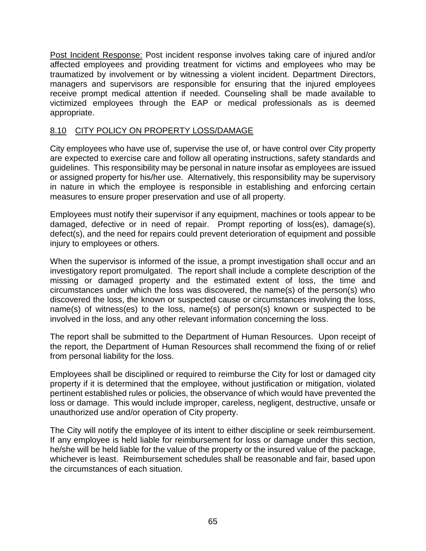Post Incident Response: Post incident response involves taking care of injured and/or affected employees and providing treatment for victims and employees who may be traumatized by involvement or by witnessing a violent incident. Department Directors, managers and supervisors are responsible for ensuring that the injured employees receive prompt medical attention if needed. Counseling shall be made available to victimized employees through the EAP or medical professionals as is deemed appropriate.

## 8.10 CITY POLICY ON PROPERTY LOSS/DAMAGE

City employees who have use of, supervise the use of, or have control over City property are expected to exercise care and follow all operating instructions, safety standards and guidelines. This responsibility may be personal in nature insofar as employees are issued or assigned property for his/her use. Alternatively, this responsibility may be supervisory in nature in which the employee is responsible in establishing and enforcing certain measures to ensure proper preservation and use of all property.

Employees must notify their supervisor if any equipment, machines or tools appear to be damaged, defective or in need of repair. Prompt reporting of loss(es), damage(s), defect(s), and the need for repairs could prevent deterioration of equipment and possible injury to employees or others.

When the supervisor is informed of the issue, a prompt investigation shall occur and an investigatory report promulgated. The report shall include a complete description of the missing or damaged property and the estimated extent of loss, the time and circumstances under which the loss was discovered, the name(s) of the person(s) who discovered the loss, the known or suspected cause or circumstances involving the loss, name(s) of witness(es) to the loss, name(s) of person(s) known or suspected to be involved in the loss, and any other relevant information concerning the loss.

The report shall be submitted to the Department of Human Resources. Upon receipt of the report, the Department of Human Resources shall recommend the fixing of or relief from personal liability for the loss.

Employees shall be disciplined or required to reimburse the City for lost or damaged city property if it is determined that the employee, without justification or mitigation, violated pertinent established rules or policies, the observance of which would have prevented the loss or damage. This would include improper, careless, negligent, destructive, unsafe or unauthorized use and/or operation of City property.

The City will notify the employee of its intent to either discipline or seek reimbursement. If any employee is held liable for reimbursement for loss or damage under this section, he/she will be held liable for the value of the property or the insured value of the package, whichever is least. Reimbursement schedules shall be reasonable and fair, based upon the circumstances of each situation.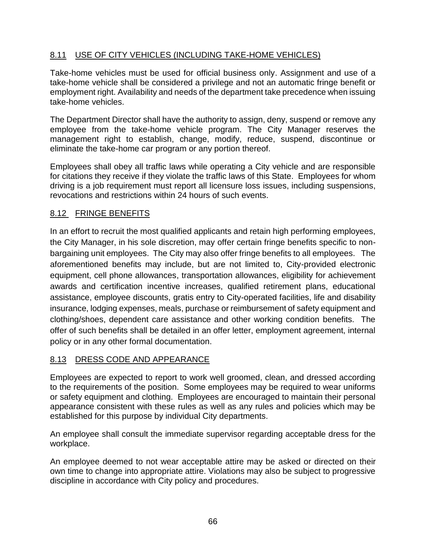## 8.11 USE OF CITY VEHICLES (INCLUDING TAKE-HOME VEHICLES)

Take-home vehicles must be used for official business only. Assignment and use of a take-home vehicle shall be considered a privilege and not an automatic fringe benefit or employment right. Availability and needs of the department take precedence when issuing take-home vehicles.

The Department Director shall have the authority to assign, deny, suspend or remove any employee from the take-home vehicle program. The City Manager reserves the management right to establish, change, modify, reduce, suspend, discontinue or eliminate the take-home car program or any portion thereof.

Employees shall obey all traffic laws while operating a City vehicle and are responsible for citations they receive if they violate the traffic laws of this State. Employees for whom driving is a job requirement must report all licensure loss issues, including suspensions, revocations and restrictions within 24 hours of such events.

## 8.12 FRINGE BENEFITS

In an effort to recruit the most qualified applicants and retain high performing employees, the City Manager, in his sole discretion, may offer certain fringe benefits specific to nonbargaining unit employees. The City may also offer fringe benefits to all employees. The aforementioned benefits may include, but are not limited to, City-provided electronic equipment, cell phone allowances, transportation allowances, eligibility for achievement awards and certification incentive increases, qualified retirement plans, educational assistance, employee discounts, gratis entry to City-operated facilities, life and disability insurance, lodging expenses, meals, purchase or reimbursement of safety equipment and clothing/shoes, dependent care assistance and other working condition benefits. The offer of such benefits shall be detailed in an offer letter, employment agreement, internal policy or in any other formal documentation.

## 8.13 DRESS CODE AND APPEARANCE

Employees are expected to report to work well groomed, clean, and dressed according to the requirements of the position. Some employees may be required to wear uniforms or safety equipment and clothing. Employees are encouraged to maintain their personal appearance consistent with these rules as well as any rules and policies which may be established for this purpose by individual City departments.

An employee shall consult the immediate supervisor regarding acceptable dress for the workplace.

An employee deemed to not wear acceptable attire may be asked or directed on their own time to change into appropriate attire. Violations may also be subject to progressive discipline in accordance with City policy and procedures.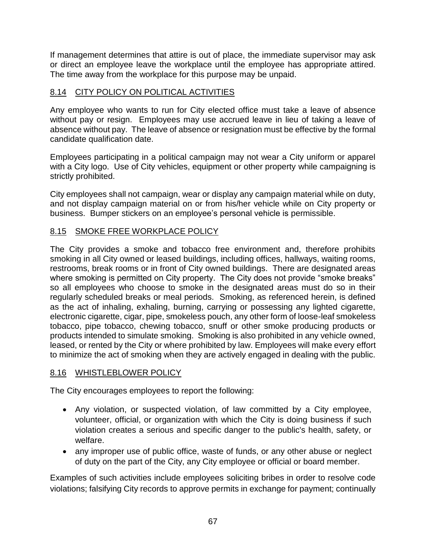If management determines that attire is out of place, the immediate supervisor may ask or direct an employee leave the workplace until the employee has appropriate attired. The time away from the workplace for this purpose may be unpaid.

## 8.14 CITY POLICY ON POLITICAL ACTIVITIES

Any employee who wants to run for City elected office must take a leave of absence without pay or resign. Employees may use accrued leave in lieu of taking a leave of absence without pay. The leave of absence or resignation must be effective by the formal candidate qualification date.

Employees participating in a political campaign may not wear a City uniform or apparel with a City logo. Use of City vehicles, equipment or other property while campaigning is strictly prohibited.

City employees shall not campaign, wear or display any campaign material while on duty, and not display campaign material on or from his/her vehicle while on City property or business. Bumper stickers on an employee's personal vehicle is permissible.

## 8.15 SMOKE FREE WORKPLACE POLICY

The City provides a smoke and tobacco free environment and, therefore prohibits smoking in all City owned or leased buildings, including offices, hallways, waiting rooms, restrooms, break rooms or in front of City owned buildings. There are designated areas where smoking is permitted on City property. The City does not provide "smoke breaks" so all employees who choose to smoke in the designated areas must do so in their regularly scheduled breaks or meal periods. Smoking, as referenced herein, is defined as the act of inhaling, exhaling, burning, carrying or possessing any lighted cigarette, electronic cigarette, cigar, pipe, smokeless pouch, any other form of loose-leaf smokeless tobacco, pipe tobacco, chewing tobacco, snuff or other smoke producing products or products intended to simulate smoking. Smoking is also prohibited in any vehicle owned, leased, or rented by the City or where prohibited by law. Employees will make every effort to minimize the act of smoking when they are actively engaged in dealing with the public.

## 8.16 WHISTLEBLOWER POLICY

The City encourages employees to report the following:

- Any violation, or suspected violation, of law committed by a City employee, volunteer, official, or organization with which the City is doing business if such violation creates a serious and specific danger to the public's health, safety, or welfare.
- any improper use of public office, waste of funds, or any other abuse or neglect of duty on the part of the City, any City employee or official or board member.

Examples of such activities include employees soliciting bribes in order to resolve code violations; falsifying City records to approve permits in exchange for payment; continually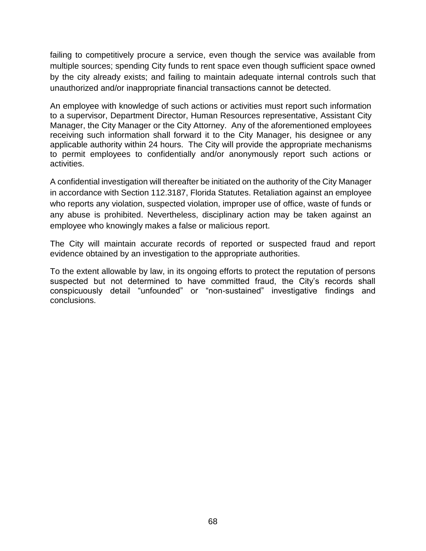failing to competitively procure a service, even though the service was available from multiple sources; spending City funds to rent space even though sufficient space owned by the city already exists; and failing to maintain adequate internal controls such that unauthorized and/or inappropriate financial transactions cannot be detected.

An employee with knowledge of such actions or activities must report such information to a supervisor, Department Director, Human Resources representative, Assistant City Manager, the City Manager or the City Attorney. Any of the aforementioned employees receiving such information shall forward it to the City Manager, his designee or any applicable authority within 24 hours. The City will provide the appropriate mechanisms to permit employees to confidentially and/or anonymously report such actions or activities.

A confidential investigation will thereafter be initiated on the authority of the City Manager in accordance with Section 112.3187, Florida Statutes. Retaliation against an employee who reports any violation, suspected violation, improper use of office, waste of funds or any abuse is prohibited. Nevertheless, disciplinary action may be taken against an employee who knowingly makes a false or malicious report.

The City will maintain accurate records of reported or suspected fraud and report evidence obtained by an investigation to the appropriate authorities.

To the extent allowable by law, in its ongoing efforts to protect the reputation of persons suspected but not determined to have committed fraud, the City's records shall conspicuously detail "unfounded" or "non-sustained" investigative findings and conclusions.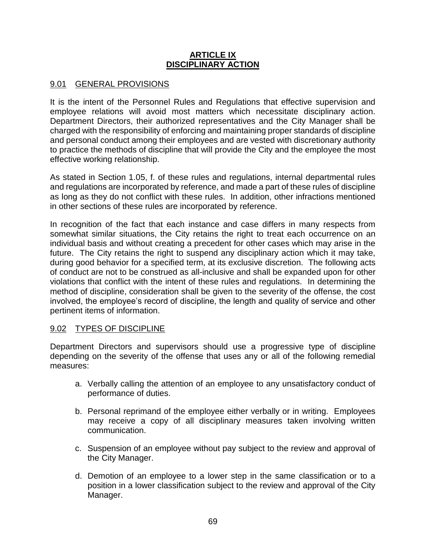#### **ARTICLE IX DISCIPLINARY ACTION**

## 9.01 GENERAL PROVISIONS

It is the intent of the Personnel Rules and Regulations that effective supervision and employee relations will avoid most matters which necessitate disciplinary action. Department Directors, their authorized representatives and the City Manager shall be charged with the responsibility of enforcing and maintaining proper standards of discipline and personal conduct among their employees and are vested with discretionary authority to practice the methods of discipline that will provide the City and the employee the most effective working relationship.

As stated in Section 1.05, f. of these rules and regulations, internal departmental rules and regulations are incorporated by reference, and made a part of these rules of discipline as long as they do not conflict with these rules. In addition, other infractions mentioned in other sections of these rules are incorporated by reference.

In recognition of the fact that each instance and case differs in many respects from somewhat similar situations, the City retains the right to treat each occurrence on an individual basis and without creating a precedent for other cases which may arise in the future. The City retains the right to suspend any disciplinary action which it may take, during good behavior for a specified term, at its exclusive discretion. The following acts of conduct are not to be construed as all-inclusive and shall be expanded upon for other violations that conflict with the intent of these rules and regulations. In determining the method of discipline, consideration shall be given to the severity of the offense, the cost involved, the employee's record of discipline, the length and quality of service and other pertinent items of information.

## 9.02 TYPES OF DISCIPLINE

Department Directors and supervisors should use a progressive type of discipline depending on the severity of the offense that uses any or all of the following remedial measures:

- a. Verbally calling the attention of an employee to any unsatisfactory conduct of performance of duties.
- b. Personal reprimand of the employee either verbally or in writing. Employees may receive a copy of all disciplinary measures taken involving written communication.
- c. Suspension of an employee without pay subject to the review and approval of the City Manager.
- d. Demotion of an employee to a lower step in the same classification or to a position in a lower classification subject to the review and approval of the City Manager.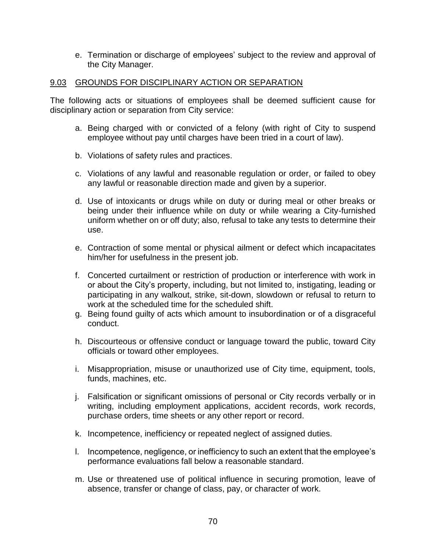e. Termination or discharge of employees' subject to the review and approval of the City Manager.

### 9.03 GROUNDS FOR DISCIPLINARY ACTION OR SEPARATION

The following acts or situations of employees shall be deemed sufficient cause for disciplinary action or separation from City service:

- a. Being charged with or convicted of a felony (with right of City to suspend employee without pay until charges have been tried in a court of law).
- b. Violations of safety rules and practices.
- c. Violations of any lawful and reasonable regulation or order, or failed to obey any lawful or reasonable direction made and given by a superior.
- d. Use of intoxicants or drugs while on duty or during meal or other breaks or being under their influence while on duty or while wearing a City-furnished uniform whether on or off duty; also, refusal to take any tests to determine their use.
- e. Contraction of some mental or physical ailment or defect which incapacitates him/her for usefulness in the present job.
- f. Concerted curtailment or restriction of production or interference with work in or about the City's property, including, but not limited to, instigating, leading or participating in any walkout, strike, sit-down, slowdown or refusal to return to work at the scheduled time for the scheduled shift.
- g. Being found guilty of acts which amount to insubordination or of a disgraceful conduct.
- h. Discourteous or offensive conduct or language toward the public, toward City officials or toward other employees.
- i. Misappropriation, misuse or unauthorized use of City time, equipment, tools, funds, machines, etc.
- j. Falsification or significant omissions of personal or City records verbally or in writing, including employment applications, accident records, work records, purchase orders, time sheets or any other report or record.
- k. Incompetence, inefficiency or repeated neglect of assigned duties.
- l. Incompetence, negligence, or inefficiency to such an extent that the employee's performance evaluations fall below a reasonable standard.
- m. Use or threatened use of political influence in securing promotion, leave of absence, transfer or change of class, pay, or character of work.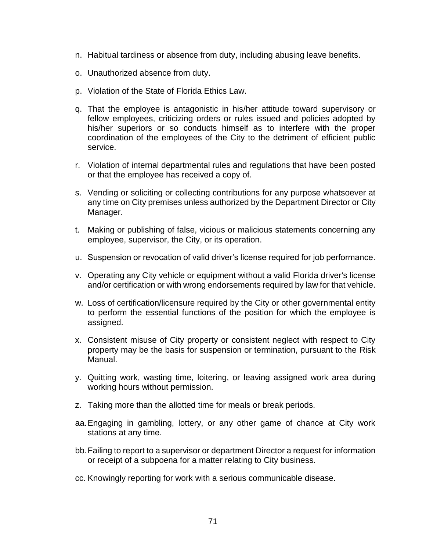- n. Habitual tardiness or absence from duty, including abusing leave benefits.
- o. Unauthorized absence from duty.
- p. Violation of the State of Florida Ethics Law.
- q. That the employee is antagonistic in his/her attitude toward supervisory or fellow employees, criticizing orders or rules issued and policies adopted by his/her superiors or so conducts himself as to interfere with the proper coordination of the employees of the City to the detriment of efficient public service.
- r. Violation of internal departmental rules and regulations that have been posted or that the employee has received a copy of.
- s. Vending or soliciting or collecting contributions for any purpose whatsoever at any time on City premises unless authorized by the Department Director or City Manager.
- t. Making or publishing of false, vicious or malicious statements concerning any employee, supervisor, the City, or its operation.
- u. Suspension or revocation of valid driver's license required for job performance.
- v. Operating any City vehicle or equipment without a valid Florida driver's license and/or certification or with wrong endorsements required by law for that vehicle.
- w. Loss of certification/licensure required by the City or other governmental entity to perform the essential functions of the position for which the employee is assigned.
- x. Consistent misuse of City property or consistent neglect with respect to City property may be the basis for suspension or termination, pursuant to the Risk Manual.
- y. Quitting work, wasting time, loitering, or leaving assigned work area during working hours without permission.
- z. Taking more than the allotted time for meals or break periods.
- aa.Engaging in gambling, lottery, or any other game of chance at City work stations at any time.
- bb.Failing to report to a supervisor or department Director a request for information or receipt of a subpoena for a matter relating to City business.
- cc. Knowingly reporting for work with a serious communicable disease.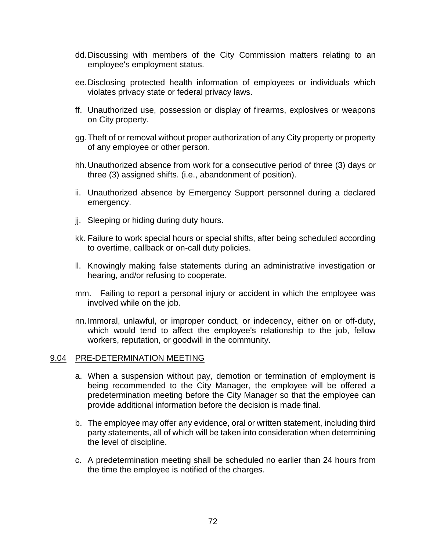- dd.Discussing with members of the City Commission matters relating to an employee's employment status.
- ee.Disclosing protected health information of employees or individuals which violates privacy state or federal privacy laws.
- ff. Unauthorized use, possession or display of firearms, explosives or weapons on City property.
- gg.Theft of or removal without proper authorization of any City property or property of any employee or other person.
- hh.Unauthorized absence from work for a consecutive period of three (3) days or three (3) assigned shifts. (i.e., abandonment of position).
- ii. Unauthorized absence by Emergency Support personnel during a declared emergency.
- jj. Sleeping or hiding during duty hours.
- kk. Failure to work special hours or special shifts, after being scheduled according to overtime, callback or on-call duty policies.
- ll. Knowingly making false statements during an administrative investigation or hearing, and/or refusing to cooperate.
- mm. Failing to report a personal injury or accident in which the employee was involved while on the job.
- nn.Immoral, unlawful, or improper conduct, or indecency, either on or off-duty, which would tend to affect the employee's relationship to the job, fellow workers, reputation, or goodwill in the community.

#### 9.04 PRE-DETERMINATION MEETING

- a. When a suspension without pay, demotion or termination of employment is being recommended to the City Manager, the employee will be offered a predetermination meeting before the City Manager so that the employee can provide additional information before the decision is made final.
- b. The employee may offer any evidence, oral or written statement, including third party statements, all of which will be taken into consideration when determining the level of discipline.
- c. A predetermination meeting shall be scheduled no earlier than 24 hours from the time the employee is notified of the charges.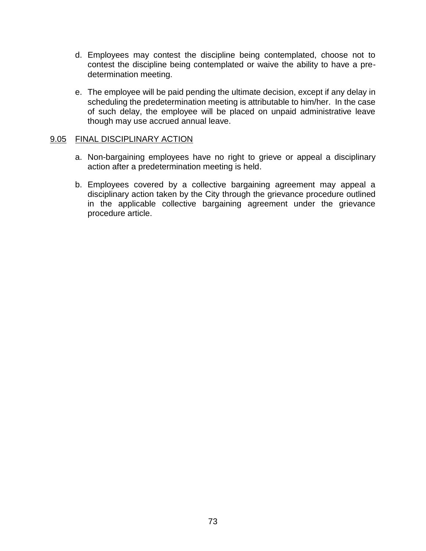- d. Employees may contest the discipline being contemplated, choose not to contest the discipline being contemplated or waive the ability to have a predetermination meeting.
- e. The employee will be paid pending the ultimate decision, except if any delay in scheduling the predetermination meeting is attributable to him/her. In the case of such delay, the employee will be placed on unpaid administrative leave though may use accrued annual leave.

#### 9.05 FINAL DISCIPLINARY ACTION

- a. Non-bargaining employees have no right to grieve or appeal a disciplinary action after a predetermination meeting is held.
- b. Employees covered by a collective bargaining agreement may appeal a disciplinary action taken by the City through the grievance procedure outlined in the applicable collective bargaining agreement under the grievance procedure article.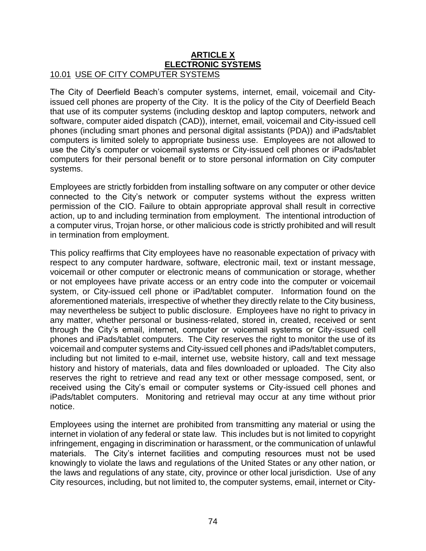#### **ARTICLE X ELECTRONIC SYSTEMS** 10.01 USE OF CITY COMPUTER SYSTEMS

The City of Deerfield Beach's computer systems, internet, email, voicemail and Cityissued cell phones are property of the City. It is the policy of the City of Deerfield Beach that use of its computer systems (including desktop and laptop computers, network and software, computer aided dispatch (CAD)), internet, email, voicemail and City-issued cell phones (including smart phones and personal digital assistants (PDA)) and iPads/tablet computers is limited solely to appropriate business use. Employees are not allowed to use the City's computer or voicemail systems or City-issued cell phones or iPads/tablet computers for their personal benefit or to store personal information on City computer systems.

Employees are strictly forbidden from installing software on any computer or other device connected to the City's network or computer systems without the express written permission of the CIO. Failure to obtain appropriate approval shall result in corrective action, up to and including termination from employment. The intentional introduction of a computer virus, Trojan horse, or other malicious code is strictly prohibited and will result in termination from employment.

This policy reaffirms that City employees have no reasonable expectation of privacy with respect to any computer hardware, software, electronic mail, text or instant message, voicemail or other computer or electronic means of communication or storage, whether or not employees have private access or an entry code into the computer or voicemail system, or City-issued cell phone or iPad/tablet computer. Information found on the aforementioned materials, irrespective of whether they directly relate to the City business, may nevertheless be subject to public disclosure. Employees have no right to privacy in any matter, whether personal or business-related, stored in, created, received or sent through the City's email, internet, computer or voicemail systems or City-issued cell phones and iPads/tablet computers. The City reserves the right to monitor the use of its voicemail and computer systems and City-issued cell phones and iPads/tablet computers, including but not limited to e-mail, internet use, website history, call and text message history and history of materials, data and files downloaded or uploaded. The City also reserves the right to retrieve and read any text or other message composed, sent, or received using the City's email or computer systems or City-issued cell phones and iPads/tablet computers. Monitoring and retrieval may occur at any time without prior notice.

Employees using the internet are prohibited from transmitting any material or using the internet in violation of any federal or state law. This includes but is not limited to copyright infringement, engaging in discrimination or harassment, or the communication of unlawful materials. The City's internet facilities and computing resources must not be used knowingly to violate the laws and regulations of the United States or any other nation, or the laws and regulations of any state, city, province or other local jurisdiction. Use of any City resources, including, but not limited to, the computer systems, email, internet or City-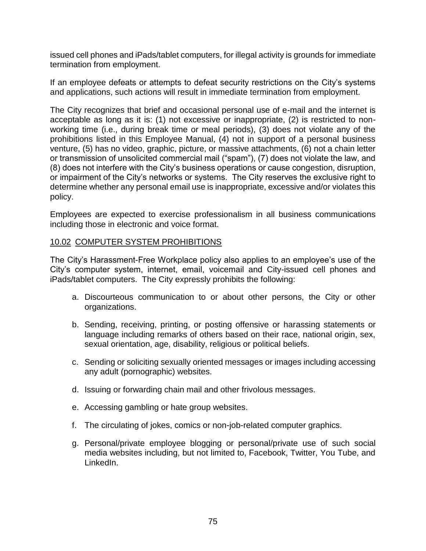issued cell phones and iPads/tablet computers, for illegal activity is grounds for immediate termination from employment.

If an employee defeats or attempts to defeat security restrictions on the City's systems and applications, such actions will result in immediate termination from employment.

The City recognizes that brief and occasional personal use of e-mail and the internet is acceptable as long as it is: (1) not excessive or inappropriate, (2) is restricted to nonworking time (i.e., during break time or meal periods), (3) does not violate any of the prohibitions listed in this Employee Manual, (4) not in support of a personal business venture, (5) has no video, graphic, picture, or massive attachments, (6) not a chain letter or transmission of unsolicited commercial mail ("spam"), (7) does not violate the law, and (8) does not interfere with the City's business operations or cause congestion, disruption, or impairment of the City's networks or systems. The City reserves the exclusive right to determine whether any personal email use is inappropriate, excessive and/or violates this policy.

Employees are expected to exercise professionalism in all business communications including those in electronic and voice format.

#### 10.02 COMPUTER SYSTEM PROHIBITIONS

The City's Harassment-Free Workplace policy also applies to an employee's use of the City's computer system, internet, email, voicemail and City-issued cell phones and iPads/tablet computers. The City expressly prohibits the following:

- a. Discourteous communication to or about other persons, the City or other organizations.
- b. Sending, receiving, printing, or posting offensive or harassing statements or language including remarks of others based on their race, national origin, sex, sexual orientation, age, disability, religious or political beliefs.
- c. Sending or soliciting sexually oriented messages or images including accessing any adult (pornographic) websites.
- d. Issuing or forwarding chain mail and other frivolous messages.
- e. Accessing gambling or hate group websites.
- f. The circulating of jokes, comics or non-job-related computer graphics.
- g. Personal/private employee blogging or personal/private use of such social media websites including, but not limited to, Facebook, Twitter, You Tube, and LinkedIn.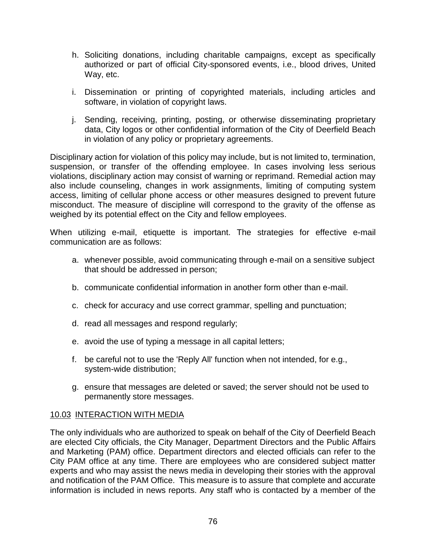- h. Soliciting donations, including charitable campaigns, except as specifically authorized or part of official City-sponsored events, i.e., blood drives, United Way, etc.
- i. Dissemination or printing of copyrighted materials, including articles and software, in violation of copyright laws.
- j. Sending, receiving, printing, posting, or otherwise disseminating proprietary data, City logos or other confidential information of the City of Deerfield Beach in violation of any policy or proprietary agreements.

Disciplinary action for violation of this policy may include, but is not limited to, termination, suspension, or transfer of the offending employee. In cases involving less serious violations, disciplinary action may consist of warning or reprimand. Remedial action may also include counseling, changes in work assignments, limiting of computing system access, limiting of cellular phone access or other measures designed to prevent future misconduct. The measure of discipline will correspond to the gravity of the offense as weighed by its potential effect on the City and fellow employees.

When utilizing e-mail, etiquette is important. The strategies for effective e-mail communication are as follows:

- a. whenever possible, avoid communicating through e-mail on a sensitive subject that should be addressed in person;
- b. communicate confidential information in another form other than e-mail.
- c. check for accuracy and use correct grammar, spelling and punctuation;
- d. read all messages and respond regularly;
- e. avoid the use of typing a message in all capital letters;
- f. be careful not to use the 'Reply All' function when not intended, for e.g., system-wide distribution;
- g. ensure that messages are deleted or saved; the server should not be used to permanently store messages.

#### 10.03 INTERACTION WITH MEDIA

The only individuals who are authorized to speak on behalf of the City of Deerfield Beach are elected City officials, the City Manager, Department Directors and the Public Affairs and Marketing (PAM) office. Department directors and elected officials can refer to the City PAM office at any time. There are employees who are considered subject matter experts and who may assist the news media in developing their stories with the approval and notification of the PAM Office. This measure is to assure that complete and accurate information is included in news reports. Any staff who is contacted by a member of the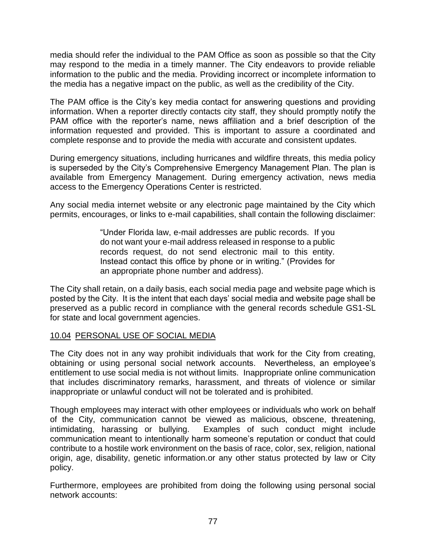media should refer the individual to the PAM Office as soon as possible so that the City may respond to the media in a timely manner. The City endeavors to provide reliable information to the public and the media. Providing incorrect or incomplete information to the media has a negative impact on the public, as well as the credibility of the City.

The PAM office is the City's key media contact for answering questions and providing information. When a reporter directly contacts city staff, they should promptly notify the PAM office with the reporter's name, news affiliation and a brief description of the information requested and provided. This is important to assure a coordinated and complete response and to provide the media with accurate and consistent updates.

During emergency situations, including hurricanes and wildfire threats, this media policy is superseded by the City's Comprehensive Emergency Management Plan. The plan is available from Emergency Management. During emergency activation, news media access to the Emergency Operations Center is restricted.

Any social media internet website or any electronic page maintained by the City which permits, encourages, or links to e-mail capabilities, shall contain the following disclaimer:

> "Under Florida law, e-mail addresses are public records. If you do not want your e-mail address released in response to a public records request, do not send electronic mail to this entity. Instead contact this office by phone or in writing." (Provides for an appropriate phone number and address).

The City shall retain, on a daily basis, each social media page and website page which is posted by the City. It is the intent that each days' social media and website page shall be preserved as a public record in compliance with the general records schedule GS1-SL for state and local government agencies.

## 10.04 PERSONAL USE OF SOCIAL MEDIA

The City does not in any way prohibit individuals that work for the City from creating, obtaining or using personal social network accounts. Nevertheless, an employee's entitlement to use social media is not without limits. Inappropriate online communication that includes discriminatory remarks, harassment, and threats of violence or similar inappropriate or unlawful conduct will not be tolerated and is prohibited.

Though employees may interact with other employees or individuals who work on behalf of the City, communication cannot be viewed as malicious, obscene, threatening, intimidating, harassing or bullying. Examples of such conduct might include communication meant to intentionally harm someone's reputation or conduct that could contribute to a hostile work environment on the basis of race, color, sex, religion, national origin, age, disability, genetic information.or any other status protected by law or City policy.

Furthermore, employees are prohibited from doing the following using personal social network accounts: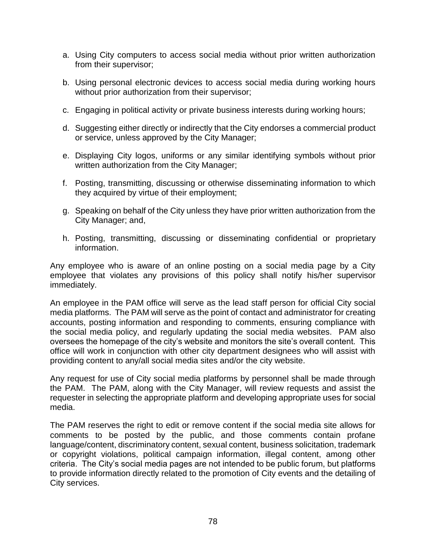- a. Using City computers to access social media without prior written authorization from their supervisor;
- b. Using personal electronic devices to access social media during working hours without prior authorization from their supervisor;
- c. Engaging in political activity or private business interests during working hours;
- d. Suggesting either directly or indirectly that the City endorses a commercial product or service, unless approved by the City Manager;
- e. Displaying City logos, uniforms or any similar identifying symbols without prior written authorization from the City Manager;
- f. Posting, transmitting, discussing or otherwise disseminating information to which they acquired by virtue of their employment;
- g. Speaking on behalf of the City unless they have prior written authorization from the City Manager; and,
- h. Posting, transmitting, discussing or disseminating confidential or proprietary information.

Any employee who is aware of an online posting on a social media page by a City employee that violates any provisions of this policy shall notify his/her supervisor immediately.

An employee in the PAM office will serve as the lead staff person for official City social media platforms. The PAM will serve as the point of contact and administrator for creating accounts, posting information and responding to comments, ensuring compliance with the social media policy, and regularly updating the social media websites. PAM also oversees the homepage of the city's website and monitors the site's overall content. This office will work in conjunction with other city department designees who will assist with providing content to any/all social media sites and/or the city website.

Any request for use of City social media platforms by personnel shall be made through the PAM. The PAM, along with the City Manager, will review requests and assist the requester in selecting the appropriate platform and developing appropriate uses for social media.

The PAM reserves the right to edit or remove content if the social media site allows for comments to be posted by the public, and those comments contain profane language/content, discriminatory content, sexual content, business solicitation, trademark or copyright violations, political campaign information, illegal content, among other criteria. The City's social media pages are not intended to be public forum, but platforms to provide information directly related to the promotion of City events and the detailing of City services.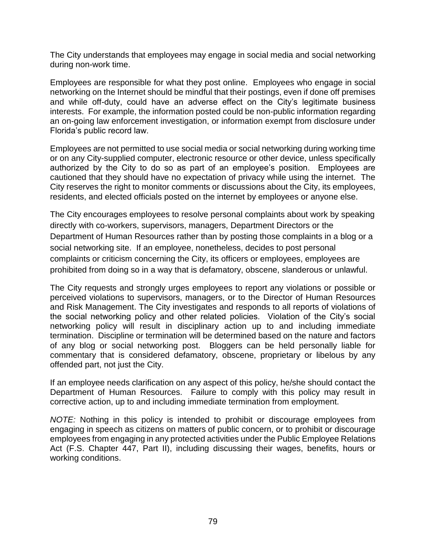The City understands that employees may engage in social media and social networking during non-work time.

Employees are responsible for what they post online. Employees who engage in social networking on the Internet should be mindful that their postings, even if done off premises and while off-duty, could have an adverse effect on the City's legitimate business interests. For example, the information posted could be non-public information regarding an on-going law enforcement investigation, or information exempt from disclosure under Florida's public record law.

Employees are not permitted to use social media or social networking during working time or on any City-supplied computer, electronic resource or other device, unless specifically authorized by the City to do so as part of an employee's position. Employees are cautioned that they should have no expectation of privacy while using the internet. The City reserves the right to monitor comments or discussions about the City, its employees, residents, and elected officials posted on the internet by employees or anyone else.

The City encourages employees to resolve personal complaints about work by speaking directly with co-workers, supervisors, managers, Department Directors or the Department of Human Resources rather than by posting those complaints in a blog or a social networking site. If an employee, nonetheless, decides to post personal complaints or criticism concerning the City, its officers or employees, employees are prohibited from doing so in a way that is defamatory, obscene, slanderous or unlawful.

The City requests and strongly urges employees to report any violations or possible or perceived violations to supervisors, managers, or to the Director of Human Resources and Risk Management. The City investigates and responds to all reports of violations of the social networking policy and other related policies. Violation of the City's social networking policy will result in disciplinary action up to and including immediate termination. Discipline or termination will be determined based on the nature and factors of any blog or social networking post. Bloggers can be held personally liable for commentary that is considered defamatory, obscene, proprietary or libelous by any offended part, not just the City.

If an employee needs clarification on any aspect of this policy, he/she should contact the Department of Human Resources. Failure to comply with this policy may result in corrective action, up to and including immediate termination from employment.

*NOTE:* Nothing in this policy is intended to prohibit or discourage employees from engaging in speech as citizens on matters of public concern, or to prohibit or discourage employees from engaging in any protected activities under the Public Employee Relations Act (F.S. Chapter 447, Part II), including discussing their wages, benefits, hours or working conditions.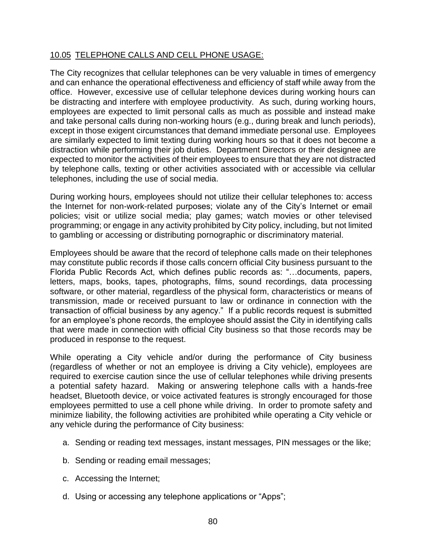## 10.05 TELEPHONE CALLS AND CELL PHONE USAGE:

The City recognizes that cellular telephones can be very valuable in times of emergency and can enhance the operational effectiveness and efficiency of staff while away from the office. However, excessive use of cellular telephone devices during working hours can be distracting and interfere with employee productivity. As such, during working hours, employees are expected to limit personal calls as much as possible and instead make and take personal calls during non-working hours (e.g., during break and lunch periods), except in those exigent circumstances that demand immediate personal use. Employees are similarly expected to limit texting during working hours so that it does not become a distraction while performing their job duties. Department Directors or their designee are expected to monitor the activities of their employees to ensure that they are not distracted by telephone calls, texting or other activities associated with or accessible via cellular telephones, including the use of social media.

During working hours, employees should not utilize their cellular telephones to: access the Internet for non-work-related purposes; violate any of the City's Internet or email policies; visit or utilize social media; play games; watch movies or other televised programming; or engage in any activity prohibited by City policy, including, but not limited to gambling or accessing or distributing pornographic or discriminatory material.

Employees should be aware that the record of telephone calls made on their telephones may constitute public records if those calls concern official City business pursuant to the Florida Public Records Act, which defines public records as: "…documents, papers, letters, maps, books, tapes, photographs, films, sound recordings, data processing software, or other material, regardless of the physical form, characteristics or means of transmission, made or received pursuant to law or ordinance in connection with the transaction of official business by any agency." If a public records request is submitted for an employee's phone records, the employee should assist the City in identifying calls that were made in connection with official City business so that those records may be produced in response to the request.

While operating a City vehicle and/or during the performance of City business (regardless of whether or not an employee is driving a City vehicle), employees are required to exercise caution since the use of cellular telephones while driving presents a potential safety hazard. Making or answering telephone calls with a hands-free headset, Bluetooth device, or voice activated features is strongly encouraged for those employees permitted to use a cell phone while driving. In order to promote safety and minimize liability, the following activities are prohibited while operating a City vehicle or any vehicle during the performance of City business:

- a. Sending or reading text messages, instant messages, PIN messages or the like;
- b. Sending or reading email messages;
- c. Accessing the Internet;
- d. Using or accessing any telephone applications or "Apps";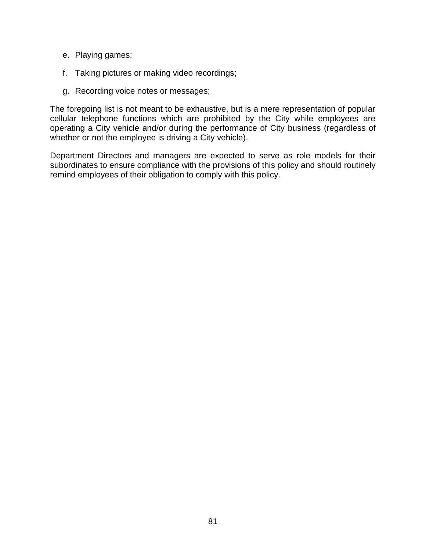- e. Playing games;
- f. Taking pictures or making video recordings;
- g. Recording voice notes or messages;

The foregoing list is not meant to be exhaustive, but is a mere representation of popular cellular telephone functions which are prohibited by the City while employees are operating a City vehicle and/or during the performance of City business (regardless of whether or not the employee is driving a City vehicle).

Department Directors and managers are expected to serve as role models for their subordinates to ensure compliance with the provisions of this policy and should routinely remind employees of their obligation to comply with this policy.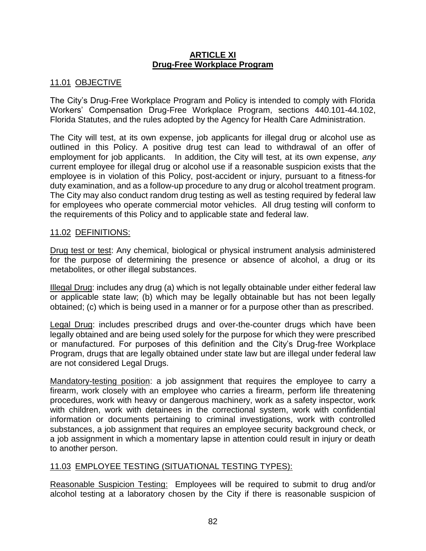#### **ARTICLE XI Drug-Free Workplace Program**

## 11.01 OBJECTIVE

The City's Drug-Free Workplace Program and Policy is intended to comply with Florida Workers' Compensation Drug-Free Workplace Program, sections 440.101-44.102, Florida Statutes, and the rules adopted by the Agency for Health Care Administration.

The City will test, at its own expense, job applicants for illegal drug or alcohol use as outlined in this Policy. A positive drug test can lead to withdrawal of an offer of employment for job applicants. In addition, the City will test, at its own expense, *any* current employee for illegal drug or alcohol use if a reasonable suspicion exists that the employee is in violation of this Policy, post-accident or injury, pursuant to a fitness-for duty examination, and as a follow-up procedure to any drug or alcohol treatment program. The City may also conduct random drug testing as well as testing required by federal law for employees who operate commercial motor vehicles. All drug testing will conform to the requirements of this Policy and to applicable state and federal law.

#### 11.02 DEFINITIONS:

Drug test or test: Any chemical, biological or physical instrument analysis administered for the purpose of determining the presence or absence of alcohol, a drug or its metabolites, or other illegal substances.

Illegal Drug: includes any drug (a) which is not legally obtainable under either federal law or applicable state law; (b) which may be legally obtainable but has not been legally obtained; (c) which is being used in a manner or for a purpose other than as prescribed.

Legal Drug: includes prescribed drugs and over-the-counter drugs which have been legally obtained and are being used solely for the purpose for which they were prescribed or manufactured. For purposes of this definition and the City's Drug-free Workplace Program, drugs that are legally obtained under state law but are illegal under federal law are not considered Legal Drugs.

Mandatory-testing position: a job assignment that requires the employee to carry a firearm, work closely with an employee who carries a firearm, perform life threatening procedures, work with heavy or dangerous machinery, work as a safety inspector, work with children, work with detainees in the correctional system, work with confidential information or documents pertaining to criminal investigations, work with controlled substances, a job assignment that requires an employee security background check, or a job assignment in which a momentary lapse in attention could result in injury or death to another person.

#### 11.03 EMPLOYEE TESTING (SITUATIONAL TESTING TYPES):

Reasonable Suspicion Testing: Employees will be required to submit to drug and/or alcohol testing at a laboratory chosen by the City if there is reasonable suspicion of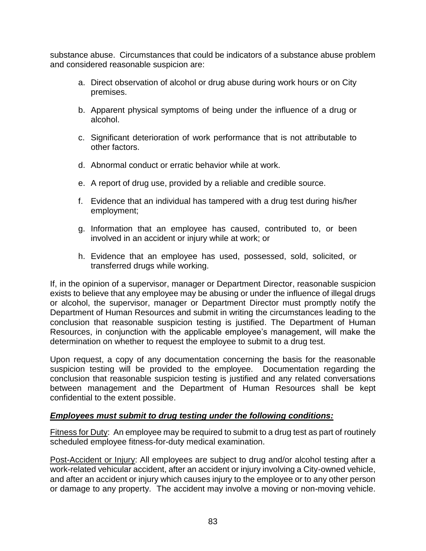substance abuse. Circumstances that could be indicators of a substance abuse problem and considered reasonable suspicion are:

- a. Direct observation of alcohol or drug abuse during work hours or on City premises.
- b. Apparent physical symptoms of being under the influence of a drug or alcohol.
- c. Significant deterioration of work performance that is not attributable to other factors.
- d. Abnormal conduct or erratic behavior while at work.
- e. A report of drug use, provided by a reliable and credible source.
- f. Evidence that an individual has tampered with a drug test during his/her employment;
- g. Information that an employee has caused, contributed to, or been involved in an accident or injury while at work; or
- h. Evidence that an employee has used, possessed, sold, solicited, or transferred drugs while working.

If, in the opinion of a supervisor, manager or Department Director, reasonable suspicion exists to believe that any employee may be abusing or under the influence of illegal drugs or alcohol, the supervisor, manager or Department Director must promptly notify the Department of Human Resources and submit in writing the circumstances leading to the conclusion that reasonable suspicion testing is justified. The Department of Human Resources, in conjunction with the applicable employee's management, will make the determination on whether to request the employee to submit to a drug test.

Upon request, a copy of any documentation concerning the basis for the reasonable suspicion testing will be provided to the employee. Documentation regarding the conclusion that reasonable suspicion testing is justified and any related conversations between management and the Department of Human Resources shall be kept confidential to the extent possible.

## *Employees must submit to drug testing under the following conditions:*

Fitness for Duty: An employee may be required to submit to a drug test as part of routinely scheduled employee fitness-for-duty medical examination.

Post-Accident or Injury: All employees are subject to drug and/or alcohol testing after a work-related vehicular accident, after an accident or injury involving a City-owned vehicle, and after an accident or injury which causes injury to the employee or to any other person or damage to any property. The accident may involve a moving or non-moving vehicle.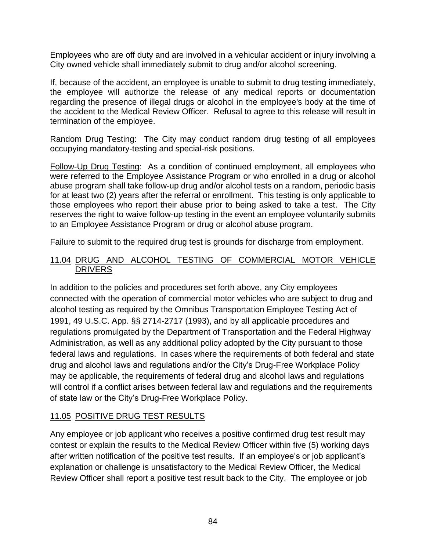Employees who are off duty and are involved in a vehicular accident or injury involving a City owned vehicle shall immediately submit to drug and/or alcohol screening.

If, because of the accident, an employee is unable to submit to drug testing immediately, the employee will authorize the release of any medical reports or documentation regarding the presence of illegal drugs or alcohol in the employee's body at the time of the accident to the Medical Review Officer. Refusal to agree to this release will result in termination of the employee.

Random Drug Testing: The City may conduct random drug testing of all employees occupying mandatory-testing and special-risk positions.

Follow-Up Drug Testing: As a condition of continued employment, all employees who were referred to the Employee Assistance Program or who enrolled in a drug or alcohol abuse program shall take follow-up drug and/or alcohol tests on a random, periodic basis for at least two (2) years after the referral or enrollment. This testing is only applicable to those employees who report their abuse prior to being asked to take a test. The City reserves the right to waive follow-up testing in the event an employee voluntarily submits to an Employee Assistance Program or drug or alcohol abuse program.

Failure to submit to the required drug test is grounds for discharge from employment.

### 11.04 DRUG AND ALCOHOL TESTING OF COMMERCIAL MOTOR VEHICLE **DRIVERS**

In addition to the policies and procedures set forth above, any City employees connected with the operation of commercial motor vehicles who are subject to drug and alcohol testing as required by the Omnibus Transportation Employee Testing Act of 1991, 49 U.S.C. App. §§ 2714-2717 (1993), and by all applicable procedures and regulations promulgated by the Department of Transportation and the Federal Highway Administration, as well as any additional policy adopted by the City pursuant to those federal laws and regulations. In cases where the requirements of both federal and state drug and alcohol laws and regulations and/or the City's Drug-Free Workplace Policy may be applicable, the requirements of federal drug and alcohol laws and regulations will control if a conflict arises between federal law and regulations and the requirements of state law or the City's Drug-Free Workplace Policy.

# 11.05 POSITIVE DRUG TEST RESULTS

Any employee or job applicant who receives a positive confirmed drug test result may contest or explain the results to the Medical Review Officer within five (5) working days after written notification of the positive test results. If an employee's or job applicant's explanation or challenge is unsatisfactory to the Medical Review Officer, the Medical Review Officer shall report a positive test result back to the City. The employee or job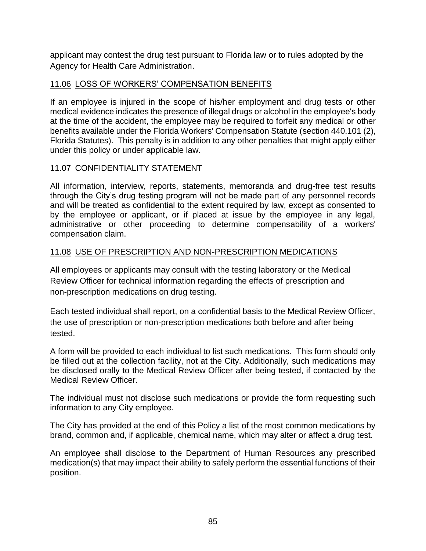applicant may contest the drug test pursuant to Florida law or to rules adopted by the Agency for Health Care Administration.

# 11.06 LOSS OF WORKERS' COMPENSATION BENEFITS

If an employee is injured in the scope of his/her employment and drug tests or other medical evidence indicates the presence of illegal drugs or alcohol in the employee's body at the time of the accident, the employee may be required to forfeit any medical or other benefits available under the Florida Workers' Compensation Statute (section 440.101 (2), Florida Statutes). This penalty is in addition to any other penalties that might apply either under this policy or under applicable law.

# 11.07 CONFIDENTIALITY STATEMENT

All information, interview, reports, statements, memoranda and drug-free test results through the City's drug testing program will not be made part of any personnel records and will be treated as confidential to the extent required by law, except as consented to by the employee or applicant, or if placed at issue by the employee in any legal, administrative or other proceeding to determine compensability of a workers' compensation claim.

# 11.08 USE OF PRESCRIPTION AND NON-PRESCRIPTION MEDICATIONS

All employees or applicants may consult with the testing laboratory or the Medical Review Officer for technical information regarding the effects of prescription and non-prescription medications on drug testing.

Each tested individual shall report, on a confidential basis to the Medical Review Officer, the use of prescription or non-prescription medications both before and after being tested.

A form will be provided to each individual to list such medications. This form should only be filled out at the collection facility, not at the City. Additionally, such medications may be disclosed orally to the Medical Review Officer after being tested, if contacted by the Medical Review Officer.

The individual must not disclose such medications or provide the form requesting such information to any City employee.

The City has provided at the end of this Policy a list of the most common medications by brand, common and, if applicable, chemical name, which may alter or affect a drug test.

An employee shall disclose to the Department of Human Resources any prescribed medication(s) that may impact their ability to safely perform the essential functions of their position.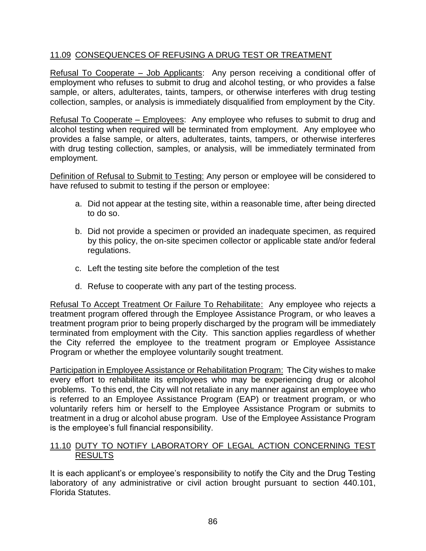## 11.09 CONSEQUENCES OF REFUSING A DRUG TEST OR TREATMENT

Refusal To Cooperate – Job Applicants: Any person receiving a conditional offer of employment who refuses to submit to drug and alcohol testing, or who provides a false sample, or alters, adulterates, taints, tampers, or otherwise interferes with drug testing collection, samples, or analysis is immediately disqualified from employment by the City.

Refusal To Cooperate – Employees: Any employee who refuses to submit to drug and alcohol testing when required will be terminated from employment. Any employee who provides a false sample, or alters, adulterates, taints, tampers, or otherwise interferes with drug testing collection, samples, or analysis, will be immediately terminated from employment.

Definition of Refusal to Submit to Testing: Any person or employee will be considered to have refused to submit to testing if the person or employee:

- a. Did not appear at the testing site, within a reasonable time, after being directed to do so.
- b. Did not provide a specimen or provided an inadequate specimen, as required by this policy, the on-site specimen collector or applicable state and/or federal regulations.
- c. Left the testing site before the completion of the test
- d. Refuse to cooperate with any part of the testing process.

Refusal To Accept Treatment Or Failure To Rehabilitate: Any employee who rejects a treatment program offered through the Employee Assistance Program, or who leaves a treatment program prior to being properly discharged by the program will be immediately terminated from employment with the City. This sanction applies regardless of whether the City referred the employee to the treatment program or Employee Assistance Program or whether the employee voluntarily sought treatment.

Participation in Employee Assistance or Rehabilitation Program: The City wishes to make every effort to rehabilitate its employees who may be experiencing drug or alcohol problems. To this end, the City will not retaliate in any manner against an employee who is referred to an Employee Assistance Program (EAP) or treatment program, or who voluntarily refers him or herself to the Employee Assistance Program or submits to treatment in a drug or alcohol abuse program. Use of the Employee Assistance Program is the employee's full financial responsibility.

#### 11.10 DUTY TO NOTIFY LABORATORY OF LEGAL ACTION CONCERNING TEST RESULTS

It is each applicant's or employee's responsibility to notify the City and the Drug Testing laboratory of any administrative or civil action brought pursuant to section 440.101, Florida Statutes.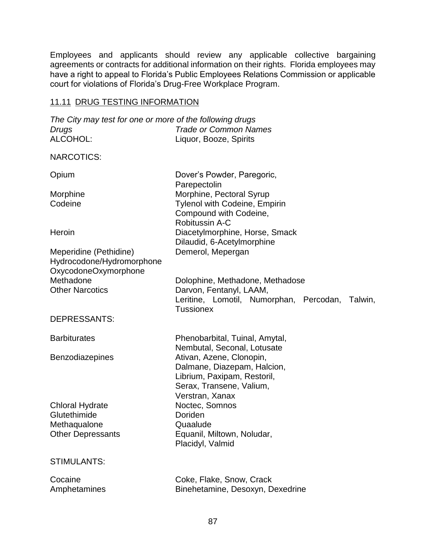Employees and applicants should review any applicable collective bargaining agreements or contracts for additional information on their rights. Florida employees may have a right to appeal to Florida's Public Employees Relations Commission or applicable court for violations of Florida's Drug-Free Workplace Program.

# 11.11 DRUG TESTING INFORMATION

| The City may test for one or more of the following drugs<br>Drugs           | <b>Trade or Common Names</b>                                                                                                          |
|-----------------------------------------------------------------------------|---------------------------------------------------------------------------------------------------------------------------------------|
| ALCOHOL:                                                                    | Liquor, Booze, Spirits                                                                                                                |
| <b>NARCOTICS:</b>                                                           |                                                                                                                                       |
| Opium                                                                       | Dover's Powder, Paregoric,<br>Parepectolin                                                                                            |
| Morphine                                                                    | Morphine, Pectoral Syrup                                                                                                              |
| Codeine                                                                     | <b>Tylenol with Codeine, Empirin</b><br>Compound with Codeine,<br><b>Robitussin A-C</b>                                               |
| Heroin                                                                      | Diacetylmorphine, Horse, Smack<br>Dilaudid, 6-Acetylmorphine                                                                          |
| Meperidine (Pethidine)<br>Hydrocodone/Hydromorphone<br>OxycodoneOxymorphone | Demerol, Mepergan                                                                                                                     |
| Methadone                                                                   | Dolophine, Methadone, Methadose                                                                                                       |
| <b>Other Narcotics</b>                                                      | Darvon, Fentanyl, LAAM,<br>Leritine, Lomotil, Numorphan, Percodan,<br>Talwin,<br><b>Tussionex</b>                                     |
| <b>DEPRESSANTS:</b>                                                         |                                                                                                                                       |
| <b>Barbiturates</b>                                                         | Phenobarbital, Tuinal, Amytal,<br>Nembutal, Seconal, Lotusate                                                                         |
| Benzodiazepines                                                             | Ativan, Azene, Clonopin,<br>Dalmane, Diazepam, Halcion,<br>Librium, Paxipam, Restoril,<br>Serax, Transene, Valium,<br>Verstran, Xanax |
| <b>Chloral Hydrate</b>                                                      | Noctec, Somnos                                                                                                                        |
| Glutethimide                                                                | Doriden<br>Quaalude                                                                                                                   |
| Methaqualone<br><b>Other Depressants</b>                                    | Equanil, Miltown, Noludar,<br>Placidyl, Valmid                                                                                        |
| <b>STIMULANTS:</b>                                                          |                                                                                                                                       |
| Cocaine<br>Amphetamines                                                     | Coke, Flake, Snow, Crack<br>Binehetamine, Desoxyn, Dexedrine                                                                          |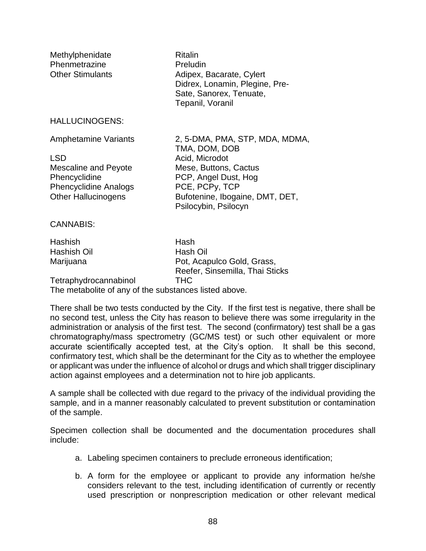| Methylphenidate<br>Phenmetrazine<br><b>Other Stimulants</b> | <b>Ritalin</b><br>Preludin<br>Adipex, Bacarate, Cylert<br>Didrex, Lonamin, Plegine, Pre-<br>Sate, Sanorex, Tenuate,<br>Tepanil, Voranil |
|-------------------------------------------------------------|-----------------------------------------------------------------------------------------------------------------------------------------|
| <b>HALLUCINOGENS:</b>                                       |                                                                                                                                         |
| <b>Amphetamine Variants</b>                                 | 2, 5-DMA, PMA, STP, MDA, MDMA,<br>TMA, DOM, DOB                                                                                         |
| <b>LSD</b>                                                  | Acid, Microdot                                                                                                                          |
| Mescaline and Peyote                                        | Mese, Buttons, Cactus                                                                                                                   |
| Phencyclidine                                               | PCP, Angel Dust, Hog<br>PCE, PCPy, TCP                                                                                                  |
| <b>Phencyclidine Analogs</b><br><b>Other Hallucinogens</b>  | Bufotenine, Ibogaine, DMT, DET,                                                                                                         |
|                                                             | Psilocybin, Psilocyn                                                                                                                    |
| <b>CANNABIS:</b>                                            |                                                                                                                                         |
| <b>Hashish</b>                                              | Hash                                                                                                                                    |
| Hashish Oil                                                 | Hash Oil                                                                                                                                |
| Marijuana                                                   | Pot, Acapulco Gold, Grass,<br>Reefer, Sinsemilla, Thai Sticks                                                                           |
| Tetraphydrocannabinol                                       | THC                                                                                                                                     |

The metabolite of any of the substances listed above*.*

There shall be two tests conducted by the City. If the first test is negative, there shall be no second test, unless the City has reason to believe there was some irregularity in the administration or analysis of the first test. The second (confirmatory) test shall be a gas chromatography/mass spectrometry (GC/MS test) or such other equivalent or more accurate scientifically accepted test, at the City's option. It shall be this second, confirmatory test, which shall be the determinant for the City as to whether the employee or applicant was under the influence of alcohol or drugs and which shall trigger disciplinary action against employees and a determination not to hire job applicants.

A sample shall be collected with due regard to the privacy of the individual providing the sample, and in a manner reasonably calculated to prevent substitution or contamination of the sample.

Specimen collection shall be documented and the documentation procedures shall include:

- a. Labeling specimen containers to preclude erroneous identification;
- b. A form for the employee or applicant to provide any information he/she considers relevant to the test, including identification of currently or recently used prescription or nonprescription medication or other relevant medical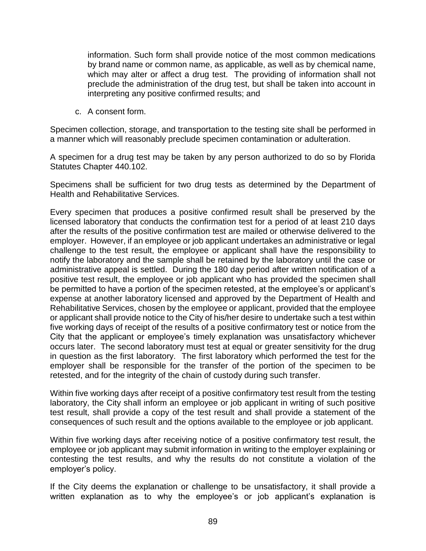information. Such form shall provide notice of the most common medications by brand name or common name, as applicable, as well as by chemical name, which may alter or affect a drug test. The providing of information shall not preclude the administration of the drug test, but shall be taken into account in interpreting any positive confirmed results; and

c. A consent form.

Specimen collection, storage, and transportation to the testing site shall be performed in a manner which will reasonably preclude specimen contamination or adulteration.

A specimen for a drug test may be taken by any person authorized to do so by Florida Statutes Chapter 440.102.

Specimens shall be sufficient for two drug tests as determined by the Department of Health and Rehabilitative Services.

Every specimen that produces a positive confirmed result shall be preserved by the licensed laboratory that conducts the confirmation test for a period of at least 210 days after the results of the positive confirmation test are mailed or otherwise delivered to the employer. However, if an employee or job applicant undertakes an administrative or legal challenge to the test result, the employee or applicant shall have the responsibility to notify the laboratory and the sample shall be retained by the laboratory until the case or administrative appeal is settled. During the 180 day period after written notification of a positive test result, the employee or job applicant who has provided the specimen shall be permitted to have a portion of the specimen retested, at the employee's or applicant's expense at another laboratory licensed and approved by the Department of Health and Rehabilitative Services, chosen by the employee or applicant, provided that the employee or applicant shall provide notice to the City of his/her desire to undertake such a test within five working days of receipt of the results of a positive confirmatory test or notice from the City that the applicant or employee's timely explanation was unsatisfactory whichever occurs later. The second laboratory must test at equal or greater sensitivity for the drug in question as the first laboratory. The first laboratory which performed the test for the employer shall be responsible for the transfer of the portion of the specimen to be retested, and for the integrity of the chain of custody during such transfer.

Within five working days after receipt of a positive confirmatory test result from the testing laboratory, the City shall inform an employee or job applicant in writing of such positive test result, shall provide a copy of the test result and shall provide a statement of the consequences of such result and the options available to the employee or job applicant.

Within five working days after receiving notice of a positive confirmatory test result, the employee or job applicant may submit information in writing to the employer explaining or contesting the test results, and why the results do not constitute a violation of the employer's policy.

If the City deems the explanation or challenge to be unsatisfactory, it shall provide a written explanation as to why the employee's or job applicant's explanation is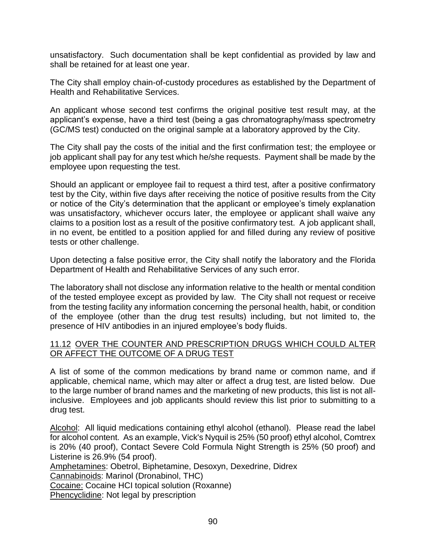unsatisfactory. Such documentation shall be kept confidential as provided by law and shall be retained for at least one year.

The City shall employ chain-of-custody procedures as established by the Department of Health and Rehabilitative Services.

An applicant whose second test confirms the original positive test result may, at the applicant's expense, have a third test (being a gas chromatography/mass spectrometry (GC/MS test) conducted on the original sample at a laboratory approved by the City.

The City shall pay the costs of the initial and the first confirmation test; the employee or job applicant shall pay for any test which he/she requests. Payment shall be made by the employee upon requesting the test.

Should an applicant or employee fail to request a third test, after a positive confirmatory test by the City, within five days after receiving the notice of positive results from the City or notice of the City's determination that the applicant or employee's timely explanation was unsatisfactory, whichever occurs later, the employee or applicant shall waive any claims to a position lost as a result of the positive confirmatory test. A job applicant shall, in no event, be entitled to a position applied for and filled during any review of positive tests or other challenge.

Upon detecting a false positive error, the City shall notify the laboratory and the Florida Department of Health and Rehabilitative Services of any such error.

The laboratory shall not disclose any information relative to the health or mental condition of the tested employee except as provided by law. The City shall not request or receive from the testing facility any information concerning the personal health, habit, or condition of the employee (other than the drug test results) including, but not limited to, the presence of HIV antibodies in an injured employee's body fluids.

### 11.12 OVER THE COUNTER AND PRESCRIPTION DRUGS WHICH COULD ALTER OR AFFECT THE OUTCOME OF A DRUG TEST

A list of some of the common medications by brand name or common name, and if applicable, chemical name, which may alter or affect a drug test, are listed below. Due to the large number of brand names and the marketing of new products, this list is not allinclusive. Employees and job applicants should review this list prior to submitting to a drug test.

Alcohol: All liquid medications containing ethyl alcohol (ethanol). Please read the label for alcohol content. As an example, Vick's Nyquil is 25% (50 proof) ethyl alcohol, Comtrex is 20% (40 proof), Contact Severe Cold Formula Night Strength is 25% (50 proof) and Listerine is 26.9% (54 proof).

Amphetamines: Obetrol, Biphetamine, Desoxyn, Dexedrine, Didrex

Cannabinoids: Marinol (Dronabinol, THC)

Cocaine: Cocaine HCI topical solution (Roxanne)

Phencyclidine: Not legal by prescription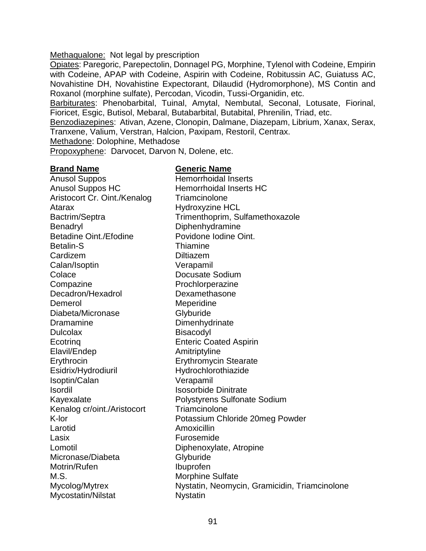#### Methaqualone: Not legal by prescription

Opiates: Paregoric, Parepectolin, Donnagel PG, Morphine, Tylenol with Codeine, Empirin with Codeine, APAP with Codeine, Aspirin with Codeine, Robitussin AC, Guiatuss AC, Novahistine DH, Novahistine Expectorant, Dilaudid (Hydromorphone), MS Contin and Roxanol (morphine sulfate), Percodan, Vicodin, Tussi-Organidin, etc.

Barbiturates: Phenobarbital, Tuinal, Amytal, Nembutal, Seconal, Lotusate, Fiorinal, Fioricet, Esgic, Butisol, Mebaral, Butabarbital, Butabital, Phrenilin, Triad, etc.

Benzodiazepines: Ativan, Azene, Clonopin, Dalmane, Diazepam, Librium, Xanax, Serax, Tranxene, Valium, Verstran, Halcion, Paxipam, Restoril, Centrax.

Methadone: Dolophine, Methadose

Propoxyphene: Darvocet, Darvon N, Dolene, etc.

#### **Brand Name Generic Name**

Anusol Suppos Hemorrhoidal Inserts Anusol Suppos HC Hemorrhoidal Inserts HC Aristocort Cr. Oint./Kenalog Triamcinolone Atarax Hydroxyzine HCL Benadryl Diphenhydramine Betadine Oint./Efodine **Povidone Iodine Oint.** Betalin-S Thiamine Cardizem Diltiazem Calan/Isoptin Verapamil Colace Docusate Sodium Compazine **Prochlorperazine** Decadron/Hexadrol Dexamethasone Demerol Meperidine Diabeta/Micronase Glyburide Dramamine Dimenhydrinate Dulcolax Bisacodyl Ecotrinq Enteric Coated Aspirin Elavil/Endep **Amitriptyline** Erythrocin Erythromycin Stearate Esidrix/Hydrodiuril Hydrochlorothiazide Isoptin/Calan Verapamil Isordil Isosorbide Dinitrate Kenalog cr/oint./Aristocort Triamcinolone Larotid **Amoxicillin** Lasix **Furosemide** Lomotil Diphenoxylate, Atropine Micronase/Diabeta Glyburide Motrin/Rufen Ibuprofen M.S. Morphine Sulfate Mycostatin/Nilstat Nystatin

Bactrim/Septra Trimenthoprim, Sulfamethoxazole Kayexalate **Polystyrens Sulfonate Sodium** K-lor **Potassium Chloride 20meg Powder** Mycolog/Mytrex Nystatin, Neomycin, Gramicidin, Triamcinolone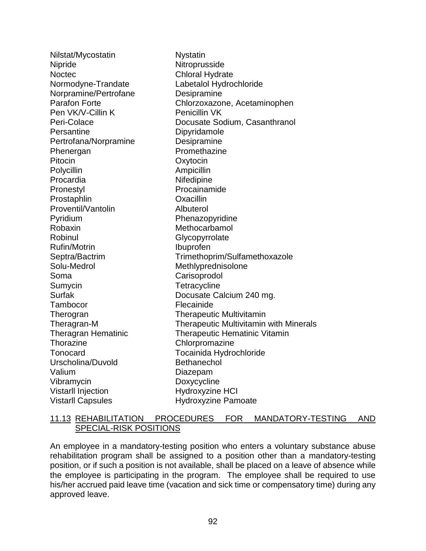| Nilstat/Mycostatin         | <b>Nystatin</b>                               |
|----------------------------|-----------------------------------------------|
| <b>Nipride</b>             | Nitroprusside                                 |
| <b>Noctec</b>              | <b>Chloral Hydrate</b>                        |
| Normodyne-Trandate         | Labetalol Hydrochloride                       |
| Norpramine/Pertrofane      | Desipramine                                   |
| <b>Parafon Forte</b>       | Chlorzoxazone, Acetaminophen                  |
| Pen VK/V-Cillin K          | Penicillin VK                                 |
| Peri-Colace                | Docusate Sodium, Casanthranol                 |
| Persantine                 | Dipyridamole                                  |
| Pertrofana/Norpramine      | Desipramine                                   |
| Phenergan                  | Promethazine                                  |
| Pitocin                    | Oxytocin                                      |
| Polycillin                 | Ampicillin                                    |
| Procardia                  | Nifedipine                                    |
| Pronestyl                  | Procainamide                                  |
| Prostaphlin                | Oxacillin                                     |
| Proventil/Vantolin         | Albuterol                                     |
| Pyridium                   | Phenazopyridine                               |
| Robaxin                    | Methocarbamol                                 |
| Robinul                    | Glycopyrrolate                                |
| <b>Rufin/Motrin</b>        | Ibuprofen                                     |
| Septra/Bactrim             | Trimethoprim/Sulfamethoxazole                 |
| Solu-Medrol                | Methlyprednisolone                            |
| Soma                       | Carisoprodol                                  |
| Sumycin                    | Tetracycline                                  |
| Surfak                     | Docusate Calcium 240 mg.                      |
| Tambocor                   | Flecainide                                    |
| Therogran                  | <b>Therapeutic Multivitamin</b>               |
| Theragran-M                | <b>Therapeutic Multivitamin with Minerals</b> |
| <b>Theragran Hematinic</b> | <b>Therapeutic Hematinic Vitamin</b>          |
| <b>Thorazine</b>           | Chlorpromazine                                |
| Tonocard                   | Tocainida Hydrochloride                       |
| Urscholina/Duvold          | <b>Bethanechol</b>                            |
| Valium                     | Diazepam                                      |
| Vibramycin                 | Doxycycline                                   |
| Vistarll Injection         | <b>Hydroxyzine HCI</b>                        |
| <b>Vistarll Capsules</b>   | <b>Hydroxyzine Pamoate</b>                    |

## 11.13 REHABILITATION PROCEDURES FOR MANDATORY-TESTING AND SPECIAL-RISK POSITIONS

An employee in a mandatory-testing position who enters a voluntary substance abuse rehabilitation program shall be assigned to a position other than a mandatory-testing position, or if such a position is not available, shall be placed on a leave of absence while the employee is participating in the program. The employee shall be required to use his/her accrued paid leave time (vacation and sick time or compensatory time) during any approved leave.